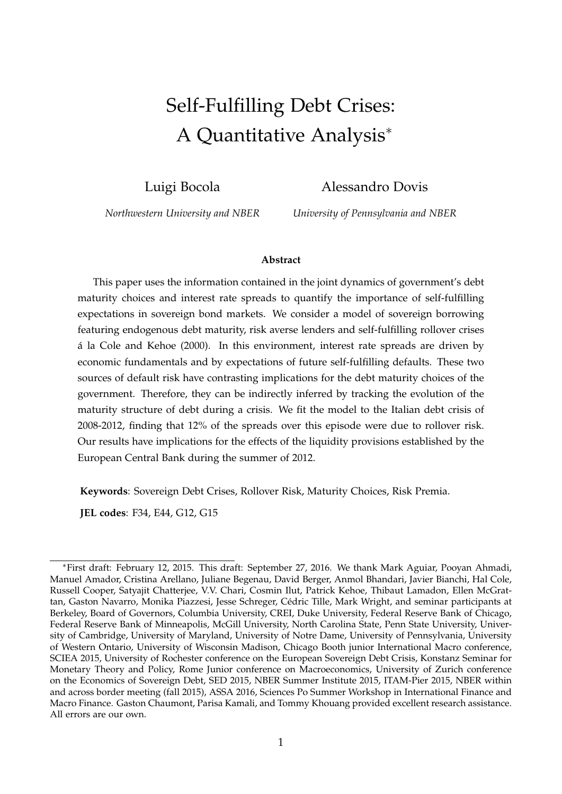# Self-Fulfilling Debt Crises: A Quantitative Analysis<sup>∗</sup>

Luigi Bocola

Alessandro Dovis

*Northwestern University and NBER*

*University of Pennsylvania and NBER*

#### **Abstract**

This paper uses the information contained in the joint dynamics of government's debt maturity choices and interest rate spreads to quantify the importance of self-fulfilling expectations in sovereign bond markets. We consider a model of sovereign borrowing featuring endogenous debt maturity, risk averse lenders and self-fulfilling rollover crises á la Cole and Kehoe (2000). In this environment, interest rate spreads are driven by economic fundamentals and by expectations of future self-fulfilling defaults. These two sources of default risk have contrasting implications for the debt maturity choices of the government. Therefore, they can be indirectly inferred by tracking the evolution of the maturity structure of debt during a crisis. We fit the model to the Italian debt crisis of 2008-2012, finding that 12% of the spreads over this episode were due to rollover risk. Our results have implications for the effects of the liquidity provisions established by the European Central Bank during the summer of 2012.

**Keywords**: Sovereign Debt Crises, Rollover Risk, Maturity Choices, Risk Premia.

**JEL codes**: F34, E44, G12, G15

<sup>∗</sup>First draft: February 12, 2015. This draft: September 27, 2016. We thank Mark Aguiar, Pooyan Ahmadi, Manuel Amador, Cristina Arellano, Juliane Begenau, David Berger, Anmol Bhandari, Javier Bianchi, Hal Cole, Russell Cooper, Satyajit Chatterjee, V.V. Chari, Cosmin Ilut, Patrick Kehoe, Thibaut Lamadon, Ellen McGrattan, Gaston Navarro, Monika Piazzesi, Jesse Schreger, Cédric Tille, Mark Wright, and seminar participants at Berkeley, Board of Governors, Columbia University, CREI, Duke University, Federal Reserve Bank of Chicago, Federal Reserve Bank of Minneapolis, McGill University, North Carolina State, Penn State University, University of Cambridge, University of Maryland, University of Notre Dame, University of Pennsylvania, University of Western Ontario, University of Wisconsin Madison, Chicago Booth junior International Macro conference, SCIEA 2015, University of Rochester conference on the European Sovereign Debt Crisis, Konstanz Seminar for Monetary Theory and Policy, Rome Junior conference on Macroeconomics, University of Zurich conference on the Economics of Sovereign Debt, SED 2015, NBER Summer Institute 2015, ITAM-Pier 2015, NBER within and across border meeting (fall 2015), ASSA 2016, Sciences Po Summer Workshop in International Finance and Macro Finance. Gaston Chaumont, Parisa Kamali, and Tommy Khouang provided excellent research assistance. All errors are our own.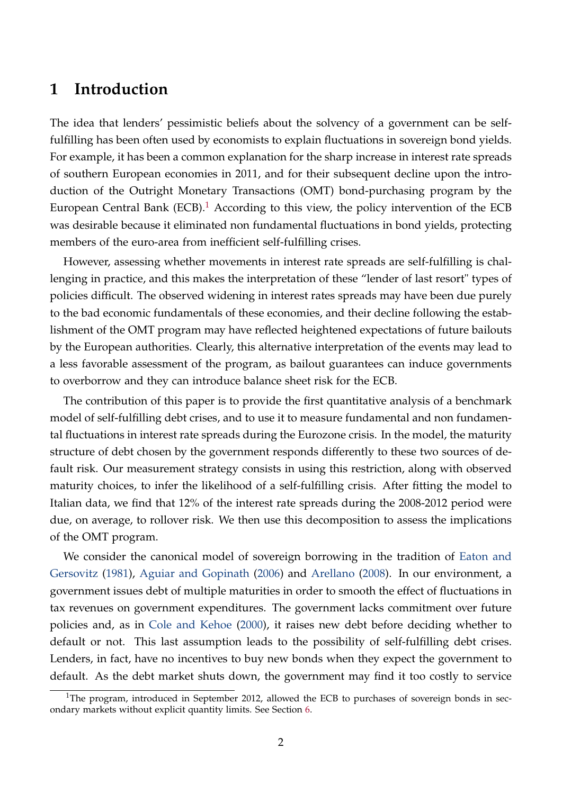### **1 Introduction**

The idea that lenders' pessimistic beliefs about the solvency of a government can be selffulfilling has been often used by economists to explain fluctuations in sovereign bond yields. For example, it has been a common explanation for the sharp increase in interest rate spreads of southern European economies in 2011, and for their subsequent decline upon the introduction of the Outright Monetary Transactions (OMT) bond-purchasing program by the European Central Bank (ECB).<sup>[1](#page-1-0)</sup> According to this view, the policy intervention of the ECB was desirable because it eliminated non fundamental fluctuations in bond yields, protecting members of the euro-area from inefficient self-fulfilling crises.

However, assessing whether movements in interest rate spreads are self-fulfilling is challenging in practice, and this makes the interpretation of these "lender of last resort" types of policies difficult. The observed widening in interest rates spreads may have been due purely to the bad economic fundamentals of these economies, and their decline following the establishment of the OMT program may have reflected heightened expectations of future bailouts by the European authorities. Clearly, this alternative interpretation of the events may lead to a less favorable assessment of the program, as bailout guarantees can induce governments to overborrow and they can introduce balance sheet risk for the ECB.

The contribution of this paper is to provide the first quantitative analysis of a benchmark model of self-fulfilling debt crises, and to use it to measure fundamental and non fundamental fluctuations in interest rate spreads during the Eurozone crisis. In the model, the maturity structure of debt chosen by the government responds differently to these two sources of default risk. Our measurement strategy consists in using this restriction, along with observed maturity choices, to infer the likelihood of a self-fulfilling crisis. After fitting the model to Italian data, we find that 12% of the interest rate spreads during the 2008-2012 period were due, on average, to rollover risk. We then use this decomposition to assess the implications of the OMT program.

We consider the canonical model of sovereign borrowing in the tradition of [Eaton and](#page-42-0) [Gersovitz](#page-42-0) [\(1981\)](#page-42-0), [Aguiar and Gopinath](#page-40-0) [\(2006\)](#page-40-0) and [Arellano](#page-40-1) [\(2008\)](#page-40-1). In our environment, a government issues debt of multiple maturities in order to smooth the effect of fluctuations in tax revenues on government expenditures. The government lacks commitment over future policies and, as in [Cole and Kehoe](#page-41-0) [\(2000\)](#page-41-0), it raises new debt before deciding whether to default or not. This last assumption leads to the possibility of self-fulfilling debt crises. Lenders, in fact, have no incentives to buy new bonds when they expect the government to default. As the debt market shuts down, the government may find it too costly to service

<span id="page-1-0"></span><sup>&</sup>lt;sup>1</sup>The program, introduced in September 2012, allowed the ECB to purchases of sovereign bonds in secondary markets without explicit quantity limits. See Section [6.](#page-35-0)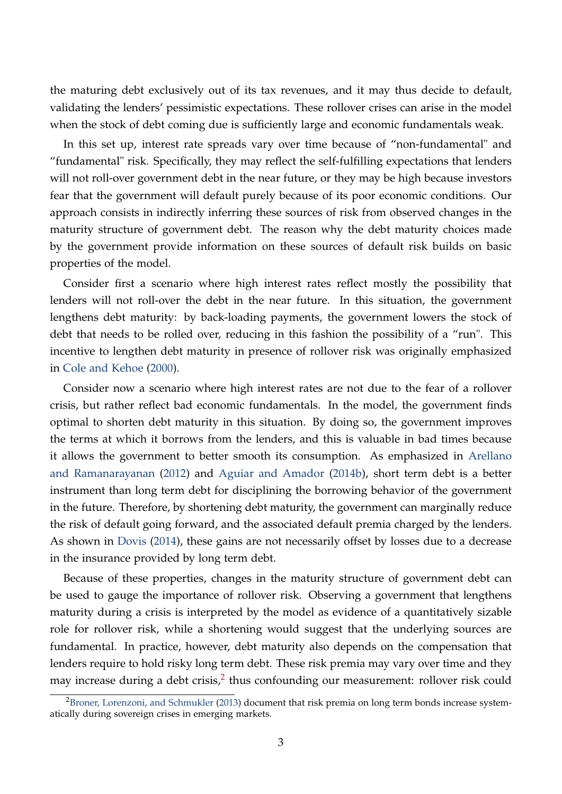the maturing debt exclusively out of its tax revenues, and it may thus decide to default, validating the lenders' pessimistic expectations. These rollover crises can arise in the model when the stock of debt coming due is sufficiently large and economic fundamentals weak.

In this set up, interest rate spreads vary over time because of "non-fundamental" and "fundamental" risk. Specifically, they may reflect the self-fulfilling expectations that lenders will not roll-over government debt in the near future, or they may be high because investors fear that the government will default purely because of its poor economic conditions. Our approach consists in indirectly inferring these sources of risk from observed changes in the maturity structure of government debt. The reason why the debt maturity choices made by the government provide information on these sources of default risk builds on basic properties of the model.

Consider first a scenario where high interest rates reflect mostly the possibility that lenders will not roll-over the debt in the near future. In this situation, the government lengthens debt maturity: by back-loading payments, the government lowers the stock of debt that needs to be rolled over, reducing in this fashion the possibility of a "run". This incentive to lengthen debt maturity in presence of rollover risk was originally emphasized in [Cole and Kehoe](#page-41-0) [\(2000\)](#page-41-0).

Consider now a scenario where high interest rates are not due to the fear of a rollover crisis, but rather reflect bad economic fundamentals. In the model, the government finds optimal to shorten debt maturity in this situation. By doing so, the government improves the terms at which it borrows from the lenders, and this is valuable in bad times because it allows the government to better smooth its consumption. As emphasized in [Arellano](#page-40-2) [and Ramanarayanan](#page-40-2) [\(2012\)](#page-40-2) and [Aguiar and Amador](#page-40-3) [\(2014b\)](#page-40-3), short term debt is a better instrument than long term debt for disciplining the borrowing behavior of the government in the future. Therefore, by shortening debt maturity, the government can marginally reduce the risk of default going forward, and the associated default premia charged by the lenders. As shown in [Dovis](#page-41-1) [\(2014\)](#page-41-1), these gains are not necessarily offset by losses due to a decrease in the insurance provided by long term debt.

Because of these properties, changes in the maturity structure of government debt can be used to gauge the importance of rollover risk. Observing a government that lengthens maturity during a crisis is interpreted by the model as evidence of a quantitatively sizable role for rollover risk, while a shortening would suggest that the underlying sources are fundamental. In practice, however, debt maturity also depends on the compensation that lenders require to hold risky long term debt. These risk premia may vary over time and they may increase during a debt crisis,<sup>[2](#page-2-0)</sup> thus confounding our measurement: rollover risk could

<span id="page-2-0"></span><sup>&</sup>lt;sup>2</sup>[Broner, Lorenzoni, and Schmukler](#page-41-2) [\(2013\)](#page-41-2) document that risk premia on long term bonds increase systematically during sovereign crises in emerging markets.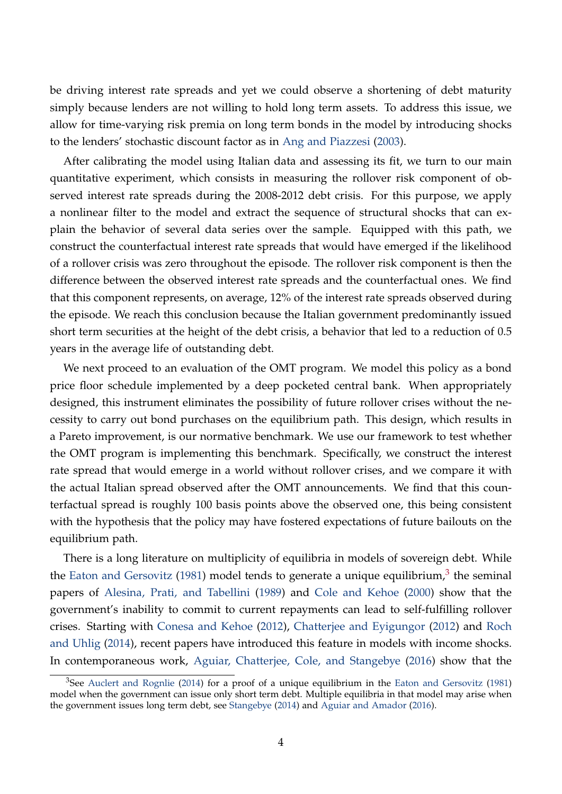be driving interest rate spreads and yet we could observe a shortening of debt maturity simply because lenders are not willing to hold long term assets. To address this issue, we allow for time-varying risk premia on long term bonds in the model by introducing shocks to the lenders' stochastic discount factor as in [Ang and Piazzesi](#page-40-4) [\(2003\)](#page-40-4).

After calibrating the model using Italian data and assessing its fit, we turn to our main quantitative experiment, which consists in measuring the rollover risk component of observed interest rate spreads during the 2008-2012 debt crisis. For this purpose, we apply a nonlinear filter to the model and extract the sequence of structural shocks that can explain the behavior of several data series over the sample. Equipped with this path, we construct the counterfactual interest rate spreads that would have emerged if the likelihood of a rollover crisis was zero throughout the episode. The rollover risk component is then the difference between the observed interest rate spreads and the counterfactual ones. We find that this component represents, on average, 12% of the interest rate spreads observed during the episode. We reach this conclusion because the Italian government predominantly issued short term securities at the height of the debt crisis, a behavior that led to a reduction of 0.5 years in the average life of outstanding debt.

We next proceed to an evaluation of the OMT program. We model this policy as a bond price floor schedule implemented by a deep pocketed central bank. When appropriately designed, this instrument eliminates the possibility of future rollover crises without the necessity to carry out bond purchases on the equilibrium path. This design, which results in a Pareto improvement, is our normative benchmark. We use our framework to test whether the OMT program is implementing this benchmark. Specifically, we construct the interest rate spread that would emerge in a world without rollover crises, and we compare it with the actual Italian spread observed after the OMT announcements. We find that this counterfactual spread is roughly 100 basis points above the observed one, this being consistent with the hypothesis that the policy may have fostered expectations of future bailouts on the equilibrium path.

There is a long literature on multiplicity of equilibria in models of sovereign debt. While the [Eaton and Gersovitz](#page-42-0) [\(1981\)](#page-42-0) model tends to generate a unique equilibrium,<sup>[3](#page-3-0)</sup> the seminal papers of [Alesina, Prati, and Tabellini](#page-40-5) [\(1989\)](#page-40-5) and [Cole and Kehoe](#page-41-0) [\(2000\)](#page-41-0) show that the government's inability to commit to current repayments can lead to self-fulfilling rollover crises. Starting with [Conesa and Kehoe](#page-41-3) [\(2012\)](#page-41-3), [Chatterjee and Eyigungor](#page-41-4) [\(2012\)](#page-41-4) and [Roch](#page-43-0) [and Uhlig](#page-43-0) [\(2014\)](#page-43-0), recent papers have introduced this feature in models with income shocks. In contemporaneous work, [Aguiar, Chatterjee, Cole, and Stangebye](#page-40-6) [\(2016\)](#page-40-6) show that the

<span id="page-3-0"></span><sup>&</sup>lt;sup>3</sup>See [Auclert and Rognlie](#page-40-7) [\(2014\)](#page-40-7) for a proof of a unique equilibrium in the [Eaton and Gersovitz](#page-42-0) [\(1981\)](#page-42-0) model when the government can issue only short term debt. Multiple equilibria in that model may arise when the government issues long term debt, see [Stangebye](#page-43-1) [\(2014\)](#page-43-1) and [Aguiar and Amador](#page-40-8) [\(2016\)](#page-40-8).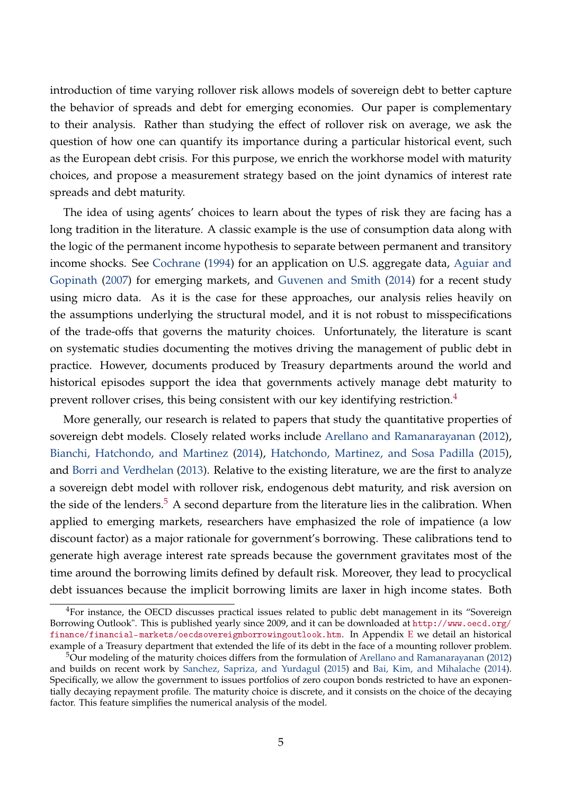introduction of time varying rollover risk allows models of sovereign debt to better capture the behavior of spreads and debt for emerging economies. Our paper is complementary to their analysis. Rather than studying the effect of rollover risk on average, we ask the question of how one can quantify its importance during a particular historical event, such as the European debt crisis. For this purpose, we enrich the workhorse model with maturity choices, and propose a measurement strategy based on the joint dynamics of interest rate spreads and debt maturity.

The idea of using agents' choices to learn about the types of risk they are facing has a long tradition in the literature. A classic example is the use of consumption data along with the logic of the permanent income hypothesis to separate between permanent and transitory income shocks. See [Cochrane](#page-41-5) [\(1994\)](#page-41-5) for an application on U.S. aggregate data, [Aguiar and](#page-40-9) [Gopinath](#page-40-9) [\(2007\)](#page-40-9) for emerging markets, and [Guvenen and Smith](#page-42-1) [\(2014\)](#page-42-1) for a recent study using micro data. As it is the case for these approaches, our analysis relies heavily on the assumptions underlying the structural model, and it is not robust to misspecifications of the trade-offs that governs the maturity choices. Unfortunately, the literature is scant on systematic studies documenting the motives driving the management of public debt in practice. However, documents produced by Treasury departments around the world and historical episodes support the idea that governments actively manage debt maturity to prevent rollover crises, this being consistent with our key identifying restriction.<sup>[4](#page-4-0)</sup>

More generally, our research is related to papers that study the quantitative properties of sovereign debt models. Closely related works include [Arellano and Ramanarayanan](#page-40-2) [\(2012\)](#page-40-2), [Bianchi, Hatchondo, and Martinez](#page-41-6) [\(2014\)](#page-41-6), [Hatchondo, Martinez, and Sosa Padilla](#page-42-2) [\(2015\)](#page-42-2), and [Borri and Verdhelan](#page-41-7) [\(2013\)](#page-41-7). Relative to the existing literature, we are the first to analyze a sovereign debt model with rollover risk, endogenous debt maturity, and risk aversion on the side of the lenders.<sup>[5](#page-4-1)</sup> A second departure from the literature lies in the calibration. When applied to emerging markets, researchers have emphasized the role of impatience (a low discount factor) as a major rationale for government's borrowing. These calibrations tend to generate high average interest rate spreads because the government gravitates most of the time around the borrowing limits defined by default risk. Moreover, they lead to procyclical debt issuances because the implicit borrowing limits are laxer in high income states. Both

<span id="page-4-0"></span><sup>&</sup>lt;sup>4</sup>For instance, the OECD discusses practical issues related to public debt management in its "Sovereign Borrowing Outlook". This is published yearly since 2009, and it can be downloaded at [http://www.oecd.org/](http://www.oecd.org/finance/financial-markets/oecdsovereignborrowingoutlook.htm) [finance/financial-markets/oecdsovereignborrowingoutlook.htm](http://www.oecd.org/finance/financial-markets/oecdsovereignborrowingoutlook.htm). In Appendix [E](#page-55-0) we detail an historical example of a Treasury department that extended the life of its debt in the face of a mounting rollover problem.

<span id="page-4-1"></span><sup>5</sup>Our modeling of the maturity choices differs from the formulation of [Arellano and Ramanarayanan](#page-40-2) [\(2012\)](#page-40-2) and builds on recent work by [Sanchez, Sapriza, and Yurdagul](#page-43-2) [\(2015\)](#page-43-2) and [Bai, Kim, and Mihalache](#page-40-10) [\(2014\)](#page-40-10). Specifically, we allow the government to issues portfolios of zero coupon bonds restricted to have an exponentially decaying repayment profile. The maturity choice is discrete, and it consists on the choice of the decaying factor. This feature simplifies the numerical analysis of the model.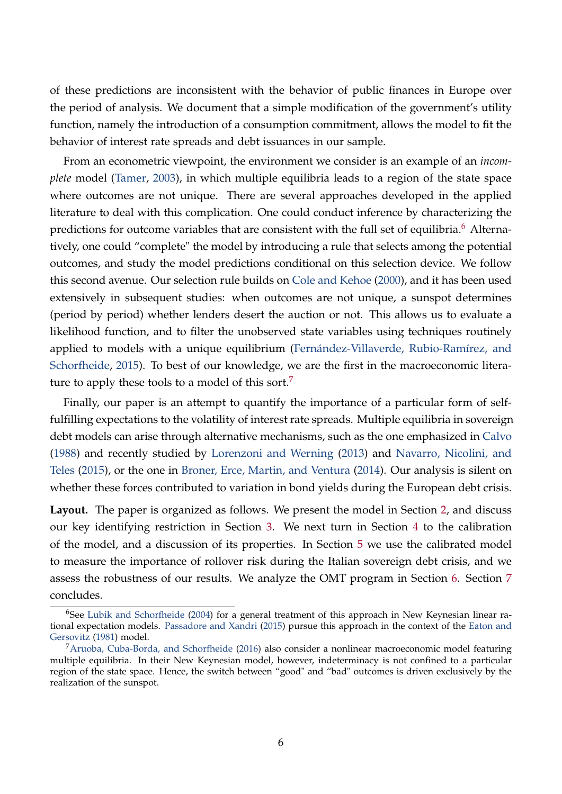of these predictions are inconsistent with the behavior of public finances in Europe over the period of analysis. We document that a simple modification of the government's utility function, namely the introduction of a consumption commitment, allows the model to fit the behavior of interest rate spreads and debt issuances in our sample.

From an econometric viewpoint, the environment we consider is an example of an *incomplete* model [\(Tamer,](#page-43-3) [2003\)](#page-43-3), in which multiple equilibria leads to a region of the state space where outcomes are not unique. There are several approaches developed in the applied literature to deal with this complication. One could conduct inference by characterizing the predictions for outcome variables that are consistent with the full set of equilibria.<sup>[6](#page-5-0)</sup> Alternatively, one could "complete" the model by introducing a rule that selects among the potential outcomes, and study the model predictions conditional on this selection device. We follow this second avenue. Our selection rule builds on [Cole and Kehoe](#page-41-0) [\(2000\)](#page-41-0), and it has been used extensively in subsequent studies: when outcomes are not unique, a sunspot determines (period by period) whether lenders desert the auction or not. This allows us to evaluate a likelihood function, and to filter the unobserved state variables using techniques routinely applied to models with a unique equilibrium [\(Fernández-Villaverde, Rubio-Ramírez, and](#page-42-3) [Schorfheide,](#page-42-3) [2015\)](#page-42-3). To best of our knowledge, we are the first in the macroeconomic litera-ture to apply these tools to a model of this sort.<sup>[7](#page-5-1)</sup>

Finally, our paper is an attempt to quantify the importance of a particular form of selffulfilling expectations to the volatility of interest rate spreads. Multiple equilibria in sovereign debt models can arise through alternative mechanisms, such as the one emphasized in [Calvo](#page-41-8) [\(1988\)](#page-41-8) and recently studied by [Lorenzoni and Werning](#page-42-4) [\(2013\)](#page-42-4) and [Navarro, Nicolini, and](#page-42-5) [Teles](#page-42-5) [\(2015\)](#page-42-5), or the one in [Broner, Erce, Martin, and Ventura](#page-41-9) [\(2014\)](#page-41-9). Our analysis is silent on whether these forces contributed to variation in bond yields during the European debt crisis.

**Layout.** The paper is organized as follows. We present the model in Section [2,](#page-6-0) and discuss our key identifying restriction in Section [3.](#page-11-0) We next turn in Section [4](#page-15-0) to the calibration of the model, and a discussion of its properties. In Section [5](#page-27-0) we use the calibrated model to measure the importance of rollover risk during the Italian sovereign debt crisis, and we assess the robustness of our results. We analyze the OMT program in Section [6.](#page-35-0) Section [7](#page-38-0) concludes.

<span id="page-5-0"></span><sup>&</sup>lt;sup>6</sup>See [Lubik and Schorfheide](#page-42-6) [\(2004\)](#page-42-6) for a general treatment of this approach in New Keynesian linear rational expectation models. [Passadore and Xandri](#page-43-4) [\(2015\)](#page-43-4) pursue this approach in the context of the [Eaton and](#page-42-0) [Gersovitz](#page-42-0) [\(1981\)](#page-42-0) model.

<span id="page-5-1"></span> ${}^{7}$ [Aruoba, Cuba-Borda, and Schorfheide](#page-40-11) [\(2016\)](#page-40-11) also consider a nonlinear macroeconomic model featuring multiple equilibria. In their New Keynesian model, however, indeterminacy is not confined to a particular region of the state space. Hence, the switch between "good" and "bad" outcomes is driven exclusively by the realization of the sunspot.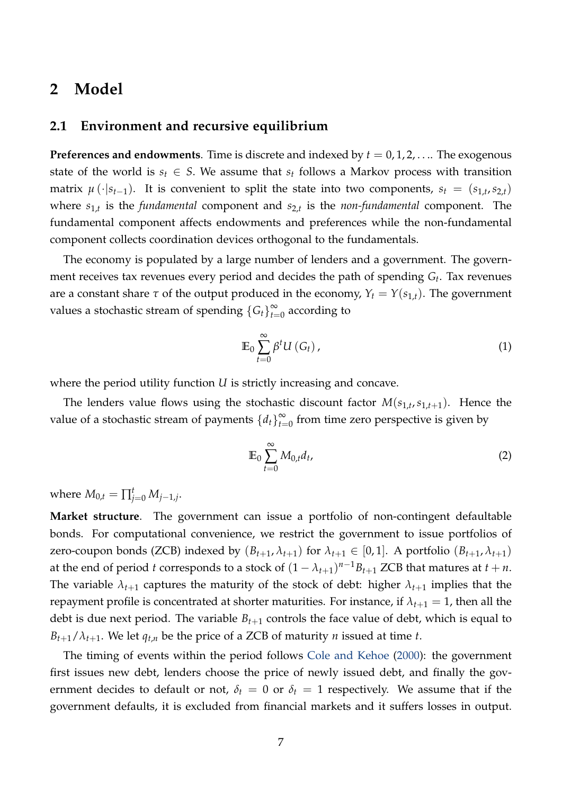### <span id="page-6-0"></span>**2 Model**

#### **2.1 Environment and recursive equilibrium**

**Preferences and endowments**. Time is discrete and indexed by  $t = 0, 1, 2, \ldots$  The exogenous state of the world is  $s_t \in S$ . We assume that  $s_t$  follows a Markov process with transition matrix  $\mu(\cdot|s_{t-1})$ . It is convenient to split the state into two components,  $s_t = (s_{1,t}, s_{2,t})$ where *s*1,*<sup>t</sup>* is the *fundamental* component and *s*2,*<sup>t</sup>* is the *non-fundamental* component. The fundamental component affects endowments and preferences while the non-fundamental component collects coordination devices orthogonal to the fundamentals.

The economy is populated by a large number of lenders and a government. The government receives tax revenues every period and decides the path of spending *G<sup>t</sup>* . Tax revenues are a constant share  $\tau$  of the output produced in the economy,  $Y_t = Y(s_{1,t})$ . The government values a stochastic stream of spending  ${G_t}\big)_{t=1}^{\infty}$  $\sum_{t=0}^{\infty}$  according to

$$
\mathbb{E}_0 \sum_{t=0}^{\infty} \beta^t U(G_t), \qquad (1)
$$

where the period utility function *U* is strictly increasing and concave.

The lenders value flows using the stochastic discount factor  $M(s_{1,t}, s_{1,t+1})$ . Hence the value of a stochastic stream of payments  $\{d_t\}_{t=1}^{\infty}$  $\sum_{t=0}^{\infty}$  from time zero perspective is given by

<span id="page-6-1"></span>
$$
\mathbb{E}_0 \sum_{t=0}^{\infty} M_{0,t} d_t,
$$
 (2)

where  $M_{0,t} = \prod_{j=0}^{t} M_{j-1,j}$ .

**Market structure**. The government can issue a portfolio of non-contingent defaultable bonds. For computational convenience, we restrict the government to issue portfolios of zero-coupon bonds (ZCB) indexed by  $(B_{t+1}, \lambda_{t+1})$  for  $\lambda_{t+1} \in [0, 1]$ . A portfolio  $(B_{t+1}, \lambda_{t+1})$ at the end of period *t* corresponds to a stock of  $(1 - \lambda_{t+1})^{n-1}B_{t+1}$  ZCB that matures at  $t + n$ . The variable  $\lambda_{t+1}$  captures the maturity of the stock of debt: higher  $\lambda_{t+1}$  implies that the repayment profile is concentrated at shorter maturities. For instance, if  $\lambda_{t+1} = 1$ , then all the debt is due next period. The variable  $B_{t+1}$  controls the face value of debt, which is equal to  $B_{t+1}/\lambda_{t+1}$ . We let  $q_{t,n}$  be the price of a ZCB of maturity *n* issued at time *t*.

The timing of events within the period follows [Cole and Kehoe](#page-41-0) [\(2000\)](#page-41-0): the government first issues new debt, lenders choose the price of newly issued debt, and finally the government decides to default or not,  $\delta_t = 0$  or  $\delta_t = 1$  respectively. We assume that if the government defaults, it is excluded from financial markets and it suffers losses in output.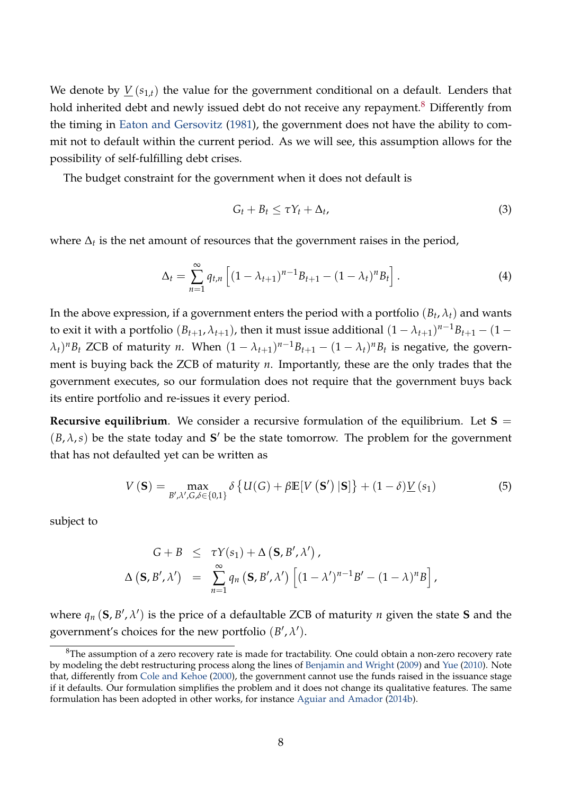We denote by  $\underline{V}(s_{1,t})$  the value for the government conditional on a default. Lenders that hold inherited debt and newly issued debt do not receive any repayment.<sup>[8](#page-7-0)</sup> Differently from the timing in [Eaton and Gersovitz](#page-42-0) [\(1981\)](#page-42-0), the government does not have the ability to commit not to default within the current period. As we will see, this assumption allows for the possibility of self-fulfilling debt crises.

The budget constraint for the government when it does not default is

$$
G_t + B_t \leq \tau Y_t + \Delta_t, \tag{3}
$$

where  $\Delta_t$  is the net amount of resources that the government raises in the period,

$$
\Delta_t = \sum_{n=1}^{\infty} q_{t,n} \left[ (1 - \lambda_{t+1})^{n-1} B_{t+1} - (1 - \lambda_t)^n B_t \right]. \tag{4}
$$

In the above expression, if a government enters the period with a portfolio  $(B_t, \lambda_t)$  and wants to exit it with a portfolio  $(B_{t+1}, \lambda_{t+1})$ , then it must issue additional  $(1 - \lambda_{t+1})^{n-1}B_{t+1} - (1 (\lambda_t)^n B_t$  ZCB of maturity *n*. When  $(1 - \lambda_{t+1})^{n-1} B_{t+1} - (1 - \lambda_t)^n B_t$  is negative, the government is buying back the ZCB of maturity *n*. Importantly, these are the only trades that the government executes, so our formulation does not require that the government buys back its entire portfolio and re-issues it every period.

**Recursive equilibrium**. We consider a recursive formulation of the equilibrium. Let  $S =$  $(B, \lambda, s)$  be the state today and S<sup>'</sup> be the state tomorrow. The problem for the government that has not defaulted yet can be written as

<span id="page-7-1"></span>
$$
V(\mathbf{S}) = \max_{B',\lambda',G,\delta \in \{0,1\}} \delta \left\{ U(G) + \beta \mathbb{E}[V(\mathbf{S}') \,|\mathbf{S}] \right\} + (1-\delta) \underline{V}(s_1)
$$
(5)

subject to

$$
G + B \leq \tau Y(s_1) + \Delta (\mathbf{S}, B', \lambda') ,
$$
  

$$
\Delta (\mathbf{S}, B', \lambda') = \sum_{n=1}^{\infty} q_n (\mathbf{S}, B', \lambda') [(1 - \lambda')^{n-1} B' - (1 - \lambda)^n B] ,
$$

where  $q_n$  (**S**,  $B'$ ,  $\lambda'$ ) is the price of a defaultable ZCB of maturity *n* given the state **S** and the government's choices for the new portfolio  $(B', \lambda')$ .

<span id="page-7-0"></span><sup>&</sup>lt;sup>8</sup>The assumption of a zero recovery rate is made for tractability. One could obtain a non-zero recovery rate by modeling the debt restructuring process along the lines of [Benjamin and Wright](#page-40-12) [\(2009\)](#page-40-12) and [Yue](#page-43-5) [\(2010\)](#page-43-5). Note that, differently from [Cole and Kehoe](#page-41-0) [\(2000\)](#page-41-0), the government cannot use the funds raised in the issuance stage if it defaults. Our formulation simplifies the problem and it does not change its qualitative features. The same formulation has been adopted in other works, for instance [Aguiar and Amador](#page-40-3) [\(2014b\)](#page-40-3).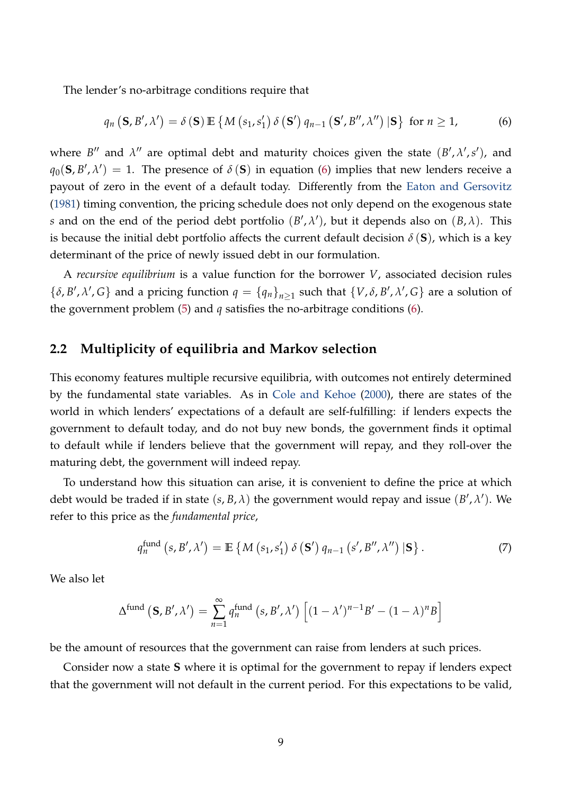The lender's no-arbitrage conditions require that

<span id="page-8-0"></span>
$$
q_n\left(\mathbf{S},B',\lambda'\right)=\delta\left(\mathbf{S}\right)\mathbb{E}\left\{M\left(s_1,s_1'\right)\delta\left(\mathbf{S'}\right)q_{n-1}\left(\mathbf{S'},B'',\lambda''\right)|\mathbf{S}\right\} \text{ for } n\geq 1,
$$
 (6)

where  $B''$  and  $\lambda''$  are optimal debt and maturity choices given the state  $(B', \lambda', s')$ , and  $q_0$ (**S**, *B*<sup> $\prime$ </sup>,  $\lambda$ <sup> $\prime$ </sup>) = 1. The presence of *δ* (**S**) in equation [\(6\)](#page-8-0) implies that new lenders receive a payout of zero in the event of a default today. Differently from the [Eaton and Gersovitz](#page-42-0) [\(1981\)](#page-42-0) timing convention, the pricing schedule does not only depend on the exogenous state *s* and on the end of the period debt portfolio  $(B', \lambda')$ , but it depends also on  $(B, \lambda)$ . This is because the initial debt portfolio affects the current default decision  $\delta$  (**S**), which is a key determinant of the price of newly issued debt in our formulation.

A *recursive equilibrium* is a value function for the borrower *V*, associated decision rules  $\{\delta, B', \lambda', G\}$  and a pricing function  $q = \{q_n\}_{n \geq 1}$  such that  $\{V, \delta, B', \lambda', G\}$  are a solution of the government problem  $(5)$  and  $q$  satisfies the no-arbitrage conditions  $(6)$ .

#### **2.2 Multiplicity of equilibria and Markov selection**

This economy features multiple recursive equilibria, with outcomes not entirely determined by the fundamental state variables. As in [Cole and Kehoe](#page-41-0) [\(2000\)](#page-41-0), there are states of the world in which lenders' expectations of a default are self-fulfilling: if lenders expects the government to default today, and do not buy new bonds, the government finds it optimal to default while if lenders believe that the government will repay, and they roll-over the maturing debt, the government will indeed repay.

To understand how this situation can arise, it is convenient to define the price at which debt would be traded if in state  $(s, B, \lambda)$  the government would repay and issue  $(B', \lambda')$ . We refer to this price as the *fundamental price*,

<span id="page-8-1"></span>
$$
q_n^{\text{fund}}\left(s, B', \lambda'\right) = \mathbb{E}\left\{M\left(s_1, s_1'\right) \delta\left(\mathbf{S'}\right) q_{n-1}\left(s', B'', \lambda''\right) \left|\mathbf{S}\right.\right\}.\tag{7}
$$

We also let

$$
\Delta^{\text{fund}}\left(\mathbf{S},B',\lambda'\right)=\sum_{n=1}^{\infty}q_n^{\text{fund}}\left(s,B',\lambda'\right)\left[(1-\lambda')^{n-1}B'-(1-\lambda)^nB\right]
$$

be the amount of resources that the government can raise from lenders at such prices.

Consider now a state **S** where it is optimal for the government to repay if lenders expect that the government will not default in the current period. For this expectations to be valid,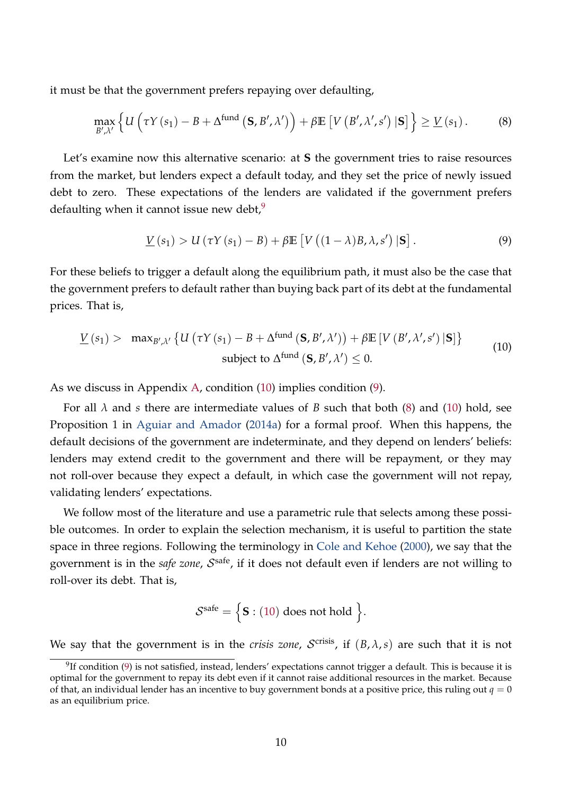it must be that the government prefers repaying over defaulting,

$$
\max_{B',\lambda'} \left\{ U\left(\tau Y\left(s_1\right)-B+\Delta^{\text{fund}}\left(\mathbf{S},B',\lambda'\right)\right)+\beta \mathbb{E}\left[V\left(B',\lambda',s'\right)|\mathbf{S}\right]\right\} \geq \underline{V}\left(s_1\right). \tag{8}
$$

Let's examine now this alternative scenario: at **S** the government tries to raise resources from the market, but lenders expect a default today, and they set the price of newly issued debt to zero. These expectations of the lenders are validated if the government prefers defaulting when it cannot issue new debt,  $9$ 

<span id="page-9-3"></span><span id="page-9-2"></span>
$$
\underline{V}(s_1) > U(\tau Y(s_1) - B) + \beta \mathbb{E}\left[V\left((1 - \lambda)B, \lambda, s'\right)|\mathbf{S}\right].\tag{9}
$$

For these beliefs to trigger a default along the equilibrium path, it must also be the case that the government prefers to default rather than buying back part of its debt at the fundamental prices. That is,

<span id="page-9-1"></span>
$$
\underline{V}(s_1) > \max_{B',\lambda'} \left\{ U\left(\tau Y(s_1) - B + \Delta^{\text{fund}}\left(\mathbf{S}, B', \lambda'\right)\right) + \beta \mathbb{E}\left[V\left(B', \lambda', s'\right) | \mathbf{S}\right] \right\}
$$
\nsubject to  $\Delta^{\text{fund}}\left(\mathbf{S}, B', \lambda'\right) \leq 0$ . (10)

As we discuss in Appendix [A,](#page-44-0) condition [\(10\)](#page-9-1) implies condition [\(9\)](#page-9-2).

For all  $\lambda$  and *s* there are intermediate values of *B* such that both [\(8\)](#page-9-3) and [\(10\)](#page-9-1) hold, see Proposition 1 in [Aguiar and Amador](#page-40-13) [\(2014a\)](#page-40-13) for a formal proof. When this happens, the default decisions of the government are indeterminate, and they depend on lenders' beliefs: lenders may extend credit to the government and there will be repayment, or they may not roll-over because they expect a default, in which case the government will not repay, validating lenders' expectations.

We follow most of the literature and use a parametric rule that selects among these possible outcomes. In order to explain the selection mechanism, it is useful to partition the state space in three regions. Following the terminology in [Cole and Kehoe](#page-41-0) [\(2000\)](#page-41-0), we say that the government is in the *safe zone, S*<sup>safe</sup>, if it does not default even if lenders are not willing to roll-over its debt. That is,

$$
\mathcal{S}^{\text{safe}} = \Big\{ \mathbf{S} : (10) \text{ does not hold } \Big\}.
$$

We say that the government is in the *crisis zone, S*<sup>crisis</sup>, if  $(B, \lambda, s)$  are such that it is not

<span id="page-9-0"></span> $^{9}$ If condition [\(9\)](#page-9-2) is not satisfied, instead, lenders' expectations cannot trigger a default. This is because it is optimal for the government to repay its debt even if it cannot raise additional resources in the market. Because of that, an individual lender has an incentive to buy government bonds at a positive price, this ruling out  $q = 0$ as an equilibrium price.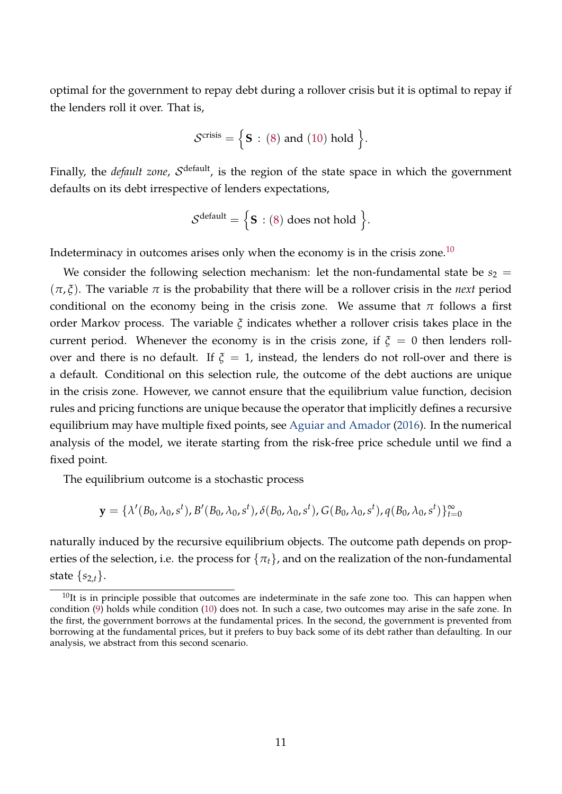optimal for the government to repay debt during a rollover crisis but it is optimal to repay if the lenders roll it over. That is,

$$
\mathcal{S}^{\text{crisis}} = \Big\{ \mathbf{S} : (8) \text{ and } (10) \text{ hold } \Big\}.
$$

Finally, the *default zone, S*<sup>default</sup>, is the region of the state space in which the government defaults on its debt irrespective of lenders expectations,

$$
\mathcal{S}^{\text{default}} = \Big\{ \boldsymbol{S} : (8) \text{ does not hold } \Big\}.
$$

Indeterminacy in outcomes arises only when the economy is in the crisis zone.<sup>[10](#page-10-0)</sup>

We consider the following selection mechanism: let the non-fundamental state be  $s_2 =$  $(\pi, \xi)$ . The variable  $\pi$  is the probability that there will be a rollover crisis in the *next* period conditional on the economy being in the crisis zone. We assume that  $\pi$  follows a first order Markov process. The variable *ξ* indicates whether a rollover crisis takes place in the current period. Whenever the economy is in the crisis zone, if  $\xi = 0$  then lenders rollover and there is no default. If  $\xi = 1$ , instead, the lenders do not roll-over and there is a default. Conditional on this selection rule, the outcome of the debt auctions are unique in the crisis zone. However, we cannot ensure that the equilibrium value function, decision rules and pricing functions are unique because the operator that implicitly defines a recursive equilibrium may have multiple fixed points, see [Aguiar and Amador](#page-40-8) [\(2016\)](#page-40-8). In the numerical analysis of the model, we iterate starting from the risk-free price schedule until we find a fixed point.

The equilibrium outcome is a stochastic process

$$
\mathbf{y} = \{\lambda'(B_0, \lambda_0, s^t), B'(B_0, \lambda_0, s^t), \delta(B_0, \lambda_0, s^t), G(B_0, \lambda_0, s^t), q(B_0, \lambda_0, s^t)\}_{t=0}^{\infty}
$$

naturally induced by the recursive equilibrium objects. The outcome path depends on properties of the selection, i.e. the process for  $\{\pi_t\}$ , and on the realization of the non-fundamental state  $\{s_{2,t}\}.$ 

<span id="page-10-0"></span> $10$ It is in principle possible that outcomes are indeterminate in the safe zone too. This can happen when condition [\(9\)](#page-9-2) holds while condition [\(10\)](#page-9-1) does not. In such a case, two outcomes may arise in the safe zone. In the first, the government borrows at the fundamental prices. In the second, the government is prevented from borrowing at the fundamental prices, but it prefers to buy back some of its debt rather than defaulting. In our analysis, we abstract from this second scenario.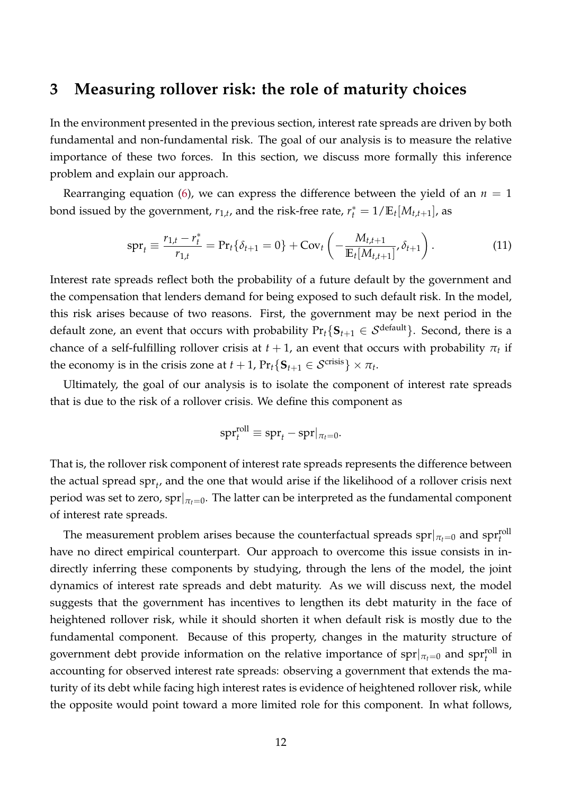### <span id="page-11-0"></span>**3 Measuring rollover risk: the role of maturity choices**

In the environment presented in the previous section, interest rate spreads are driven by both fundamental and non-fundamental risk. The goal of our analysis is to measure the relative importance of these two forces. In this section, we discuss more formally this inference problem and explain our approach.

Rearranging equation [\(6\)](#page-8-0), we can express the difference between the yield of an  $n = 1$ bond issued by the government,  $r_{1,t}$ , and the risk-free rate,  $r_t^* = 1/\mathbb{E}_t[M_{t,t+1}]$ , as

$$
\text{spr}_{t} \equiv \frac{r_{1,t} - r_t^*}{r_{1,t}} = \text{Pr}_{t} \{ \delta_{t+1} = 0 \} + \text{Cov}_{t} \left( -\frac{M_{t,t+1}}{\mathbb{E}_{t} [M_{t,t+1}]} , \delta_{t+1} \right). \tag{11}
$$

Interest rate spreads reflect both the probability of a future default by the government and the compensation that lenders demand for being exposed to such default risk. In the model, this risk arises because of two reasons. First, the government may be next period in the default zone, an event that occurs with probability  $Pr_t\{S_{t+1} \in S^{\text{default}}\}$ . Second, there is a chance of a self-fulfilling rollover crisis at  $t+1$ , an event that occurs with probability  $\pi_t$  if the economy is in the crisis zone at  $t + 1$ ,  $Pr_t\{\mathbf{S}_{t+1} \in \mathcal{S}^{\text{crisis}}\} \times \pi_t$ .

Ultimately, the goal of our analysis is to isolate the component of interest rate spreads that is due to the risk of a rollover crisis. We define this component as

$$
\mathrm{spr}_{t}^{\mathrm{roll}} \equiv \mathrm{spr}_{t} - \mathrm{spr}|_{\pi_{t} = 0}.
$$

That is, the rollover risk component of interest rate spreads represents the difference between the actual spread spr*<sup>t</sup>* , and the one that would arise if the likelihood of a rollover crisis next period was set to zero, spr $|_{\pi_t=0}$ . The latter can be interpreted as the fundamental component of interest rate spreads.

The measurement problem arises because the counterfactual spreads  $\text{spr}|_{\pi_t=0}$  and  $\text{spr}^\text{roll}_t$ have no direct empirical counterpart. Our approach to overcome this issue consists in indirectly inferring these components by studying, through the lens of the model, the joint dynamics of interest rate spreads and debt maturity. As we will discuss next, the model suggests that the government has incentives to lengthen its debt maturity in the face of heightened rollover risk, while it should shorten it when default risk is mostly due to the fundamental component. Because of this property, changes in the maturity structure of government debt provide information on the relative importance of  $\text{spr}|_{\pi_t=0}$  and  $\text{spr}^\text{roll}_t$  in accounting for observed interest rate spreads: observing a government that extends the maturity of its debt while facing high interest rates is evidence of heightened rollover risk, while the opposite would point toward a more limited role for this component. In what follows,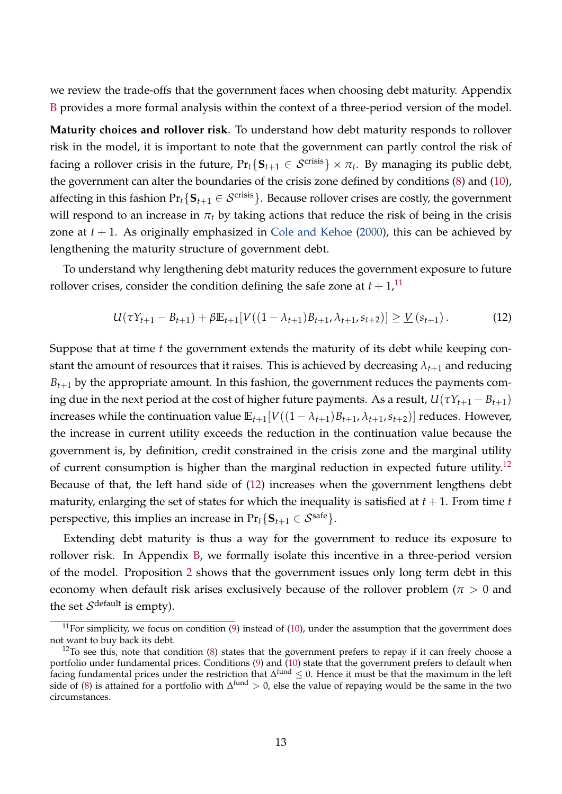we review the trade-offs that the government faces when choosing debt maturity. Appendix [B](#page-46-0) provides a more formal analysis within the context of a three-period version of the model.

**Maturity choices and rollover risk**. To understand how debt maturity responds to rollover risk in the model, it is important to note that the government can partly control the risk of facing a rollover crisis in the future,  $\Pr_t\{\mathbf{S}_{t+1}\in\mathcal{S}^{\text{crisis}}\}\times\pi_t.$  By managing its public debt, the government can alter the boundaries of the crisis zone defined by conditions [\(8\)](#page-9-3) and [\(10\)](#page-9-1), affecting in this fashion  $Pr_t{\mathcal{S}_{t+1} \in \mathcal{S}^{\text{crisis}}}.$  Because rollover crises are costly, the government will respond to an increase in  $\pi_t$  by taking actions that reduce the risk of being in the crisis zone at  $t + 1$ . As originally emphasized in [Cole and Kehoe](#page-41-0) [\(2000\)](#page-41-0), this can be achieved by lengthening the maturity structure of government debt.

To understand why lengthening debt maturity reduces the government exposure to future rollover crises, consider the condition defining the safe zone at  $t + 1$ , <sup>[11](#page-12-0)</sup>

<span id="page-12-2"></span>
$$
U(\tau Y_{t+1} - B_{t+1}) + \beta \mathbb{E}_{t+1}[V((1 - \lambda_{t+1})B_{t+1}, \lambda_{t+1}, s_{t+2})] \geq \underline{V}(s_{t+1}). \tag{12}
$$

Suppose that at time *t* the government extends the maturity of its debt while keeping constant the amount of resources that it raises. This is achieved by decreasing  $\lambda_{t+1}$  and reducing  $B_{t+1}$  by the appropriate amount. In this fashion, the government reduces the payments coming due in the next period at the cost of higher future payments. As a result,  $U(\tau Y_{t+1} - B_{t+1})$ increases while the continuation value  $\mathbb{E}_{t+1}[V((1 - \lambda_{t+1})B_{t+1}, \lambda_{t+1}, s_{t+2})]$  reduces. However, the increase in current utility exceeds the reduction in the continuation value because the government is, by definition, credit constrained in the crisis zone and the marginal utility of current consumption is higher than the marginal reduction in expected future utility.<sup>[12](#page-12-1)</sup> Because of that, the left hand side of [\(12\)](#page-12-2) increases when the government lengthens debt maturity, enlarging the set of states for which the inequality is satisfied at  $t + 1$ . From time  $t$ perspective, this implies an increase in  $Pr$ <sub>*t*</sub>{ $S$ <sub>*t*+1</sub> ∈  $S$ <sup>safe</sup>}.

Extending debt maturity is thus a way for the government to reduce its exposure to rollover risk. In Appendix [B,](#page-46-0) we formally isolate this incentive in a three-period version of the model. Proposition [2](#page-47-0) shows that the government issues only long term debt in this economy when default risk arises exclusively because of the rollover problem ( $\pi > 0$  and the set  $\mathcal{S}^{\text{default}}$  is empty).

<span id="page-12-0"></span> $11$ For simplicity, we focus on condition [\(9\)](#page-9-2) instead of [\(10\)](#page-9-1), under the assumption that the government does not want to buy back its debt.

<span id="page-12-1"></span> $12$ To see this, note that condition [\(8\)](#page-9-3) states that the government prefers to repay if it can freely choose a portfolio under fundamental prices. Conditions [\(9\)](#page-9-2) and [\(10\)](#page-9-1) state that the government prefers to default when facing fundamental prices under the restriction that  $\Delta^{\text{fund}} \leq 0$ . Hence it must be that the maximum in the left side of [\(8\)](#page-9-3) is attained for a portfolio with  $\Delta^{\text{fund}} > 0$ , else the value of repaying would be the same in the two circumstances.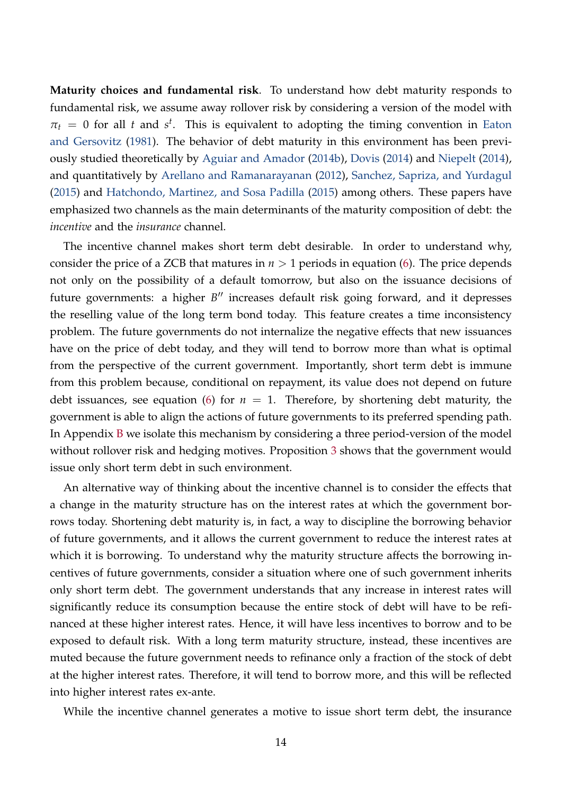**Maturity choices and fundamental risk**. To understand how debt maturity responds to fundamental risk, we assume away rollover risk by considering a version of the model with  $\pi_t = 0$  for all *t* and *s<sup>t</sup>*. This is equivalent to adopting the timing convention in [Eaton](#page-42-0) [and Gersovitz](#page-42-0) [\(1981\)](#page-42-0). The behavior of debt maturity in this environment has been previously studied theoretically by [Aguiar and Amador](#page-40-3) [\(2014b\)](#page-40-3), [Dovis](#page-41-1) [\(2014\)](#page-41-1) and [Niepelt](#page-42-7) [\(2014\)](#page-42-7), and quantitatively by [Arellano and Ramanarayanan](#page-40-2) [\(2012\)](#page-40-2), [Sanchez, Sapriza, and Yurdagul](#page-43-2) [\(2015\)](#page-43-2) and [Hatchondo, Martinez, and Sosa Padilla](#page-42-2) [\(2015\)](#page-42-2) among others. These papers have emphasized two channels as the main determinants of the maturity composition of debt: the *incentive* and the *insurance* channel.

The incentive channel makes short term debt desirable. In order to understand why, consider the price of a ZCB that matures in  $n > 1$  periods in equation [\(6\)](#page-8-0). The price depends not only on the possibility of a default tomorrow, but also on the issuance decisions of future governments: a higher *B*<sup>*n*</sup> increases default risk going forward, and it depresses the reselling value of the long term bond today. This feature creates a time inconsistency problem. The future governments do not internalize the negative effects that new issuances have on the price of debt today, and they will tend to borrow more than what is optimal from the perspective of the current government. Importantly, short term debt is immune from this problem because, conditional on repayment, its value does not depend on future debt issuances, see equation [\(6\)](#page-8-0) for  $n = 1$ . Therefore, by shortening debt maturity, the government is able to align the actions of future governments to its preferred spending path. In Appendix [B](#page-46-0) we isolate this mechanism by considering a three period-version of the model without rollover risk and hedging motives. Proposition [3](#page-49-0) shows that the government would issue only short term debt in such environment.

An alternative way of thinking about the incentive channel is to consider the effects that a change in the maturity structure has on the interest rates at which the government borrows today. Shortening debt maturity is, in fact, a way to discipline the borrowing behavior of future governments, and it allows the current government to reduce the interest rates at which it is borrowing. To understand why the maturity structure affects the borrowing incentives of future governments, consider a situation where one of such government inherits only short term debt. The government understands that any increase in interest rates will significantly reduce its consumption because the entire stock of debt will have to be refinanced at these higher interest rates. Hence, it will have less incentives to borrow and to be exposed to default risk. With a long term maturity structure, instead, these incentives are muted because the future government needs to refinance only a fraction of the stock of debt at the higher interest rates. Therefore, it will tend to borrow more, and this will be reflected into higher interest rates ex-ante.

While the incentive channel generates a motive to issue short term debt, the insurance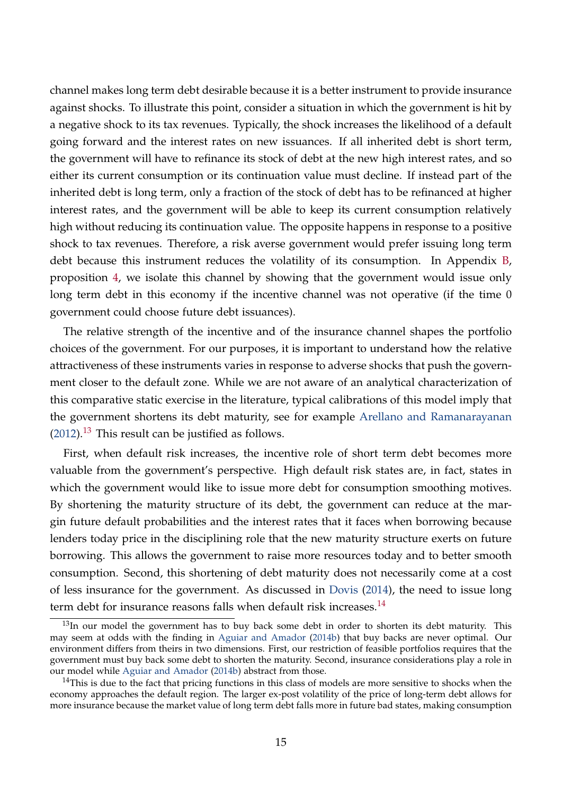channel makes long term debt desirable because it is a better instrument to provide insurance against shocks. To illustrate this point, consider a situation in which the government is hit by a negative shock to its tax revenues. Typically, the shock increases the likelihood of a default going forward and the interest rates on new issuances. If all inherited debt is short term, the government will have to refinance its stock of debt at the new high interest rates, and so either its current consumption or its continuation value must decline. If instead part of the inherited debt is long term, only a fraction of the stock of debt has to be refinanced at higher interest rates, and the government will be able to keep its current consumption relatively high without reducing its continuation value. The opposite happens in response to a positive shock to tax revenues. Therefore, a risk averse government would prefer issuing long term debt because this instrument reduces the volatility of its consumption. In Appendix [B,](#page-46-0) proposition [4,](#page-51-0) we isolate this channel by showing that the government would issue only long term debt in this economy if the incentive channel was not operative (if the time 0 government could choose future debt issuances).

The relative strength of the incentive and of the insurance channel shapes the portfolio choices of the government. For our purposes, it is important to understand how the relative attractiveness of these instruments varies in response to adverse shocks that push the government closer to the default zone. While we are not aware of an analytical characterization of this comparative static exercise in the literature, typical calibrations of this model imply that the government shortens its debt maturity, see for example [Arellano and Ramanarayanan](#page-40-2)  $(2012).$  $(2012).$ <sup>[13](#page-14-0)</sup> This result can be justified as follows.

First, when default risk increases, the incentive role of short term debt becomes more valuable from the government's perspective. High default risk states are, in fact, states in which the government would like to issue more debt for consumption smoothing motives. By shortening the maturity structure of its debt, the government can reduce at the margin future default probabilities and the interest rates that it faces when borrowing because lenders today price in the disciplining role that the new maturity structure exerts on future borrowing. This allows the government to raise more resources today and to better smooth consumption. Second, this shortening of debt maturity does not necessarily come at a cost of less insurance for the government. As discussed in [Dovis](#page-41-1) [\(2014\)](#page-41-1), the need to issue long term debt for insurance reasons falls when default risk increases. $^{14}$  $^{14}$  $^{14}$ 

<span id="page-14-0"></span> $13$ In our model the government has to buy back some debt in order to shorten its debt maturity. This may seem at odds with the finding in [Aguiar and Amador](#page-40-3) [\(2014b\)](#page-40-3) that buy backs are never optimal. Our environment differs from theirs in two dimensions. First, our restriction of feasible portfolios requires that the government must buy back some debt to shorten the maturity. Second, insurance considerations play a role in our model while [Aguiar and Amador](#page-40-3) [\(2014b\)](#page-40-3) abstract from those.

<span id="page-14-1"></span><sup>&</sup>lt;sup>14</sup>This is due to the fact that pricing functions in this class of models are more sensitive to shocks when the economy approaches the default region. The larger ex-post volatility of the price of long-term debt allows for more insurance because the market value of long term debt falls more in future bad states, making consumption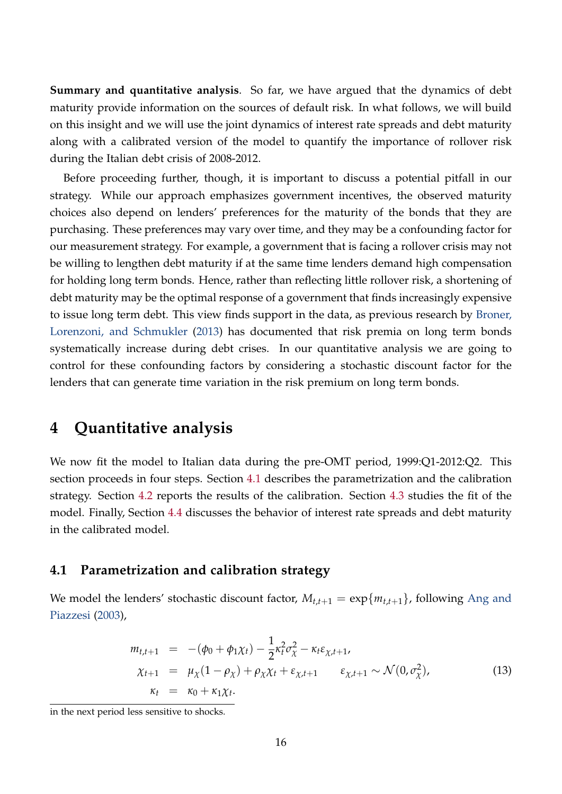**Summary and quantitative analysis**. So far, we have argued that the dynamics of debt maturity provide information on the sources of default risk. In what follows, we will build on this insight and we will use the joint dynamics of interest rate spreads and debt maturity along with a calibrated version of the model to quantify the importance of rollover risk during the Italian debt crisis of 2008-2012.

Before proceeding further, though, it is important to discuss a potential pitfall in our strategy. While our approach emphasizes government incentives, the observed maturity choices also depend on lenders' preferences for the maturity of the bonds that they are purchasing. These preferences may vary over time, and they may be a confounding factor for our measurement strategy. For example, a government that is facing a rollover crisis may not be willing to lengthen debt maturity if at the same time lenders demand high compensation for holding long term bonds. Hence, rather than reflecting little rollover risk, a shortening of debt maturity may be the optimal response of a government that finds increasingly expensive to issue long term debt. This view finds support in the data, as previous research by [Broner,](#page-41-2) [Lorenzoni, and Schmukler](#page-41-2) [\(2013\)](#page-41-2) has documented that risk premia on long term bonds systematically increase during debt crises. In our quantitative analysis we are going to control for these confounding factors by considering a stochastic discount factor for the lenders that can generate time variation in the risk premium on long term bonds.

### <span id="page-15-0"></span>**4 Quantitative analysis**

We now fit the model to Italian data during the pre-OMT period, 1999:Q1-2012:Q2. This section proceeds in four steps. Section [4.1](#page-15-1) describes the parametrization and the calibration strategy. Section [4.2](#page-17-0) reports the results of the calibration. Section [4.3](#page-21-0) studies the fit of the model. Finally, Section [4.4](#page-24-0) discusses the behavior of interest rate spreads and debt maturity in the calibrated model.

### <span id="page-15-1"></span>**4.1 Parametrization and calibration strategy**

We model the lenders' stochastic discount factor,  $M_{t,t+1} = \exp\{m_{t,t+1}\}$ , following [Ang and](#page-40-4) [Piazzesi](#page-40-4) [\(2003\)](#page-40-4),

<span id="page-15-2"></span>
$$
m_{t,t+1} = -(\phi_0 + \phi_1 \chi_t) - \frac{1}{2} \kappa_t^2 \sigma_{\chi}^2 - \kappa_t \varepsilon_{\chi,t+1},
$$
  
\n
$$
\chi_{t+1} = \mu_{\chi} (1 - \rho_{\chi}) + \rho_{\chi} \chi_t + \varepsilon_{\chi,t+1} \qquad \varepsilon_{\chi,t+1} \sim \mathcal{N}(0, \sigma_{\chi}^2),
$$
  
\n
$$
\kappa_t = \kappa_0 + \kappa_1 \chi_t.
$$
 (13)

in the next period less sensitive to shocks.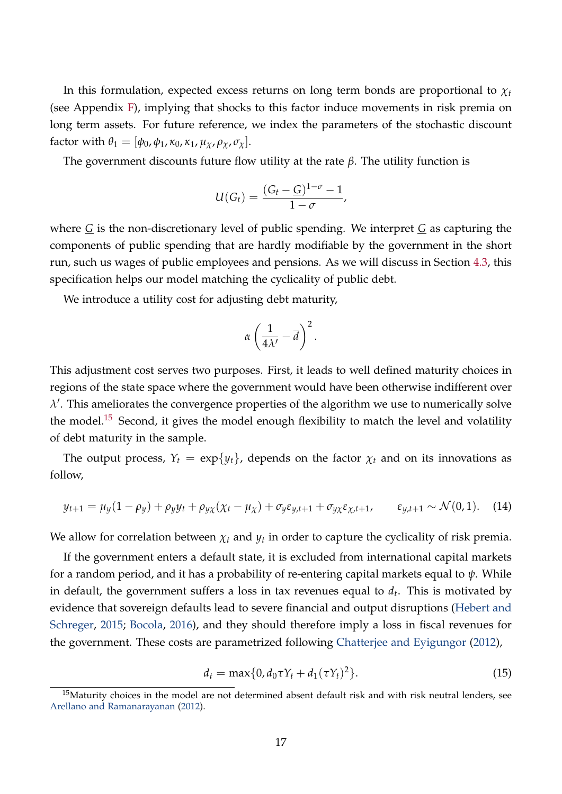In this formulation, expected excess returns on long term bonds are proportional to *χ<sup>t</sup>* (see Appendix [F\)](#page-57-0), implying that shocks to this factor induce movements in risk premia on long term assets. For future reference, we index the parameters of the stochastic discount factor with  $\theta_1 = [\phi_0, \phi_1, \kappa_0, \kappa_1, \mu_\chi, \rho_\chi, \sigma_\chi].$ 

The government discounts future flow utility at the rate *β*. The utility function is

$$
U(G_t)=\frac{(G_t-\underline{G})^{1-\sigma}-1}{1-\sigma},
$$

where *G* is the non-discretionary level of public spending. We interpret *G* as capturing the components of public spending that are hardly modifiable by the government in the short run, such us wages of public employees and pensions. As we will discuss in Section [4.3,](#page-21-0) this specification helps our model matching the cyclicality of public debt.

We introduce a utility cost for adjusting debt maturity,

$$
\alpha\left(\frac{1}{4\lambda'}-\overline{d}\right)^2.
$$

This adjustment cost serves two purposes. First, it leads to well defined maturity choices in regions of the state space where the government would have been otherwise indifferent over  $\lambda'$ . This ameliorates the convergence properties of the algorithm we use to numerically solve the model.<sup>[15](#page-16-0)</sup> Second, it gives the model enough flexibility to match the level and volatility of debt maturity in the sample.

<span id="page-16-1"></span>The output process,  $Y_t = \exp\{y_t\}$ , depends on the factor  $\chi_t$  and on its innovations as follow,

$$
y_{t+1} = \mu_y (1 - \rho_y) + \rho_y y_t + \rho_{y\chi} (\chi_t - \mu_\chi) + \sigma_y \varepsilon_{y,t+1} + \sigma_{y\chi} \varepsilon_{\chi,t+1}, \qquad \varepsilon_{y,t+1} \sim \mathcal{N}(0,1). \tag{14}
$$

We allow for correlation between  $\chi_t$  and  $y_t$  in order to capture the cyclicality of risk premia.

If the government enters a default state, it is excluded from international capital markets for a random period, and it has a probability of re-entering capital markets equal to *ψ*. While in default, the government suffers a loss in tax revenues equal to *d<sup>t</sup>* . This is motivated by evidence that sovereign defaults lead to severe financial and output disruptions [\(Hebert and](#page-42-8) [Schreger,](#page-42-8) [2015;](#page-42-8) [Bocola,](#page-41-10) [2016\)](#page-41-10), and they should therefore imply a loss in fiscal revenues for the government. These costs are parametrized following [Chatterjee and Eyigungor](#page-41-4) [\(2012\)](#page-41-4),

<span id="page-16-2"></span>
$$
d_t = \max\{0, d_0 \tau Y_t + d_1(\tau Y_t)^2\}.
$$
\n(15)

<span id="page-16-0"></span><sup>&</sup>lt;sup>15</sup>Maturity choices in the model are not determined absent default risk and with risk neutral lenders, see [Arellano and Ramanarayanan](#page-40-2) [\(2012\)](#page-40-2).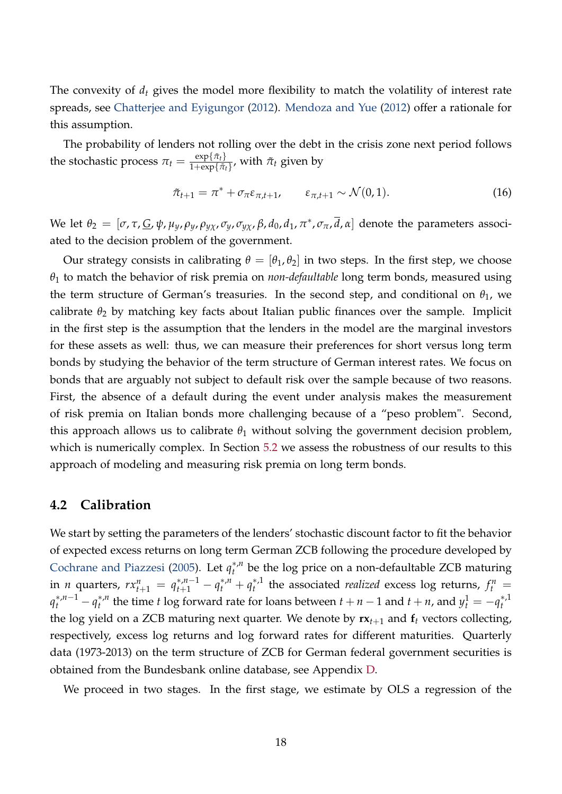The convexity of *d<sup>t</sup>* gives the model more flexibility to match the volatility of interest rate spreads, see [Chatterjee and Eyigungor](#page-41-4) [\(2012\)](#page-41-4). [Mendoza and Yue](#page-42-9) [\(2012\)](#page-42-9) offer a rationale for this assumption.

The probability of lenders not rolling over the debt in the crisis zone next period follows the stochastic process  $\pi_t = \frac{\exp\{\tilde{\pi}_t\}}{1 + \exp\{\tilde{\pi}_t\}}$  $\frac{\exp{\{\pi_t\}}}{1+\exp{\{\tilde{\pi}_t\}}}$ , with  $\tilde{\pi}_t$  given by

$$
\tilde{\pi}_{t+1} = \pi^* + \sigma_{\pi} \varepsilon_{\pi, t+1}, \qquad \varepsilon_{\pi, t+1} \sim \mathcal{N}(0, 1). \tag{16}
$$

We let  $\theta_2=[\sigma,\tau,\underline{G},\psi,\mu_y,\rho_y,\rho_{y\chi},\sigma_y,\sigma_{y\chi},\beta,d_0,d_1,\pi^*,\sigma_\pi,\overline{d},\alpha]$  denote the parameters associated to the decision problem of the government.

Our strategy consists in calibrating  $\theta = [\theta_1, \theta_2]$  in two steps. In the first step, we choose *θ*<sup>1</sup> to match the behavior of risk premia on *non-defaultable* long term bonds, measured using the term structure of German's treasuries. In the second step, and conditional on  $\theta_1$ , we calibrate  $\theta_2$  by matching key facts about Italian public finances over the sample. Implicit in the first step is the assumption that the lenders in the model are the marginal investors for these assets as well: thus, we can measure their preferences for short versus long term bonds by studying the behavior of the term structure of German interest rates. We focus on bonds that are arguably not subject to default risk over the sample because of two reasons. First, the absence of a default during the event under analysis makes the measurement of risk premia on Italian bonds more challenging because of a "peso problem". Second, this approach allows us to calibrate  $\theta_1$  without solving the government decision problem, which is numerically complex. In Section [5.2](#page-31-0) we assess the robustness of our results to this approach of modeling and measuring risk premia on long term bonds.

#### <span id="page-17-0"></span>**4.2 Calibration**

We start by setting the parameters of the lenders' stochastic discount factor to fit the behavior of expected excess returns on long term German ZCB following the procedure developed by [Cochrane and Piazzesi](#page-41-11) [\(2005\)](#page-41-11). Let *q* ∗,*n t* be the log price on a non-defaultable ZCB maturing in *n* quarters,  $rx_{t+1}^n = q_{t+1}^{*,n-1} - q_t^{*,n} + q_t^{*,n}$  $t_t^{*,1}$  the associated *realized* excess log returns,  $f_t^n = t_t^{*}$  $q_t^{*,n-1} - q_t^{*,n}$ <sup>\*,*n*</sup> the time *t* log forward rate for loans between *t* + *n* − 1 and *t* + *n*, and  $y_t^1 = -q_t^{*,1}$ *t* the log yield on a ZCB maturing next quarter. We denote by  $rx_{t+1}$  and  $f_t$  vectors collecting, respectively, excess log returns and log forward rates for different maturities. Quarterly data (1973-2013) on the term structure of ZCB for German federal government securities is obtained from the Bundesbank online database, see Appendix [D.](#page-54-0)

We proceed in two stages. In the first stage, we estimate by OLS a regression of the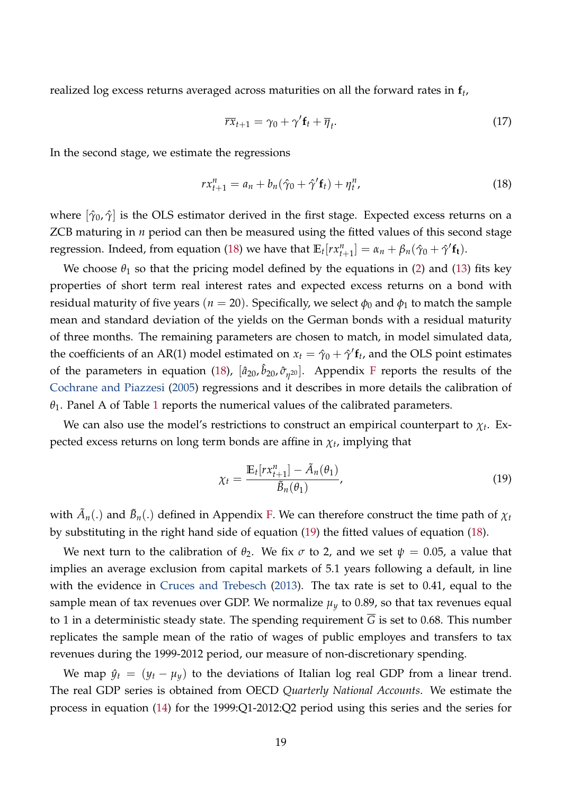realized log excess returns averaged across maturities on all the forward rates in **f***<sup>t</sup>* ,

<span id="page-18-2"></span><span id="page-18-0"></span>
$$
\overline{rx}_{t+1} = \gamma_0 + \gamma' \mathbf{f}_t + \overline{\eta}_t. \tag{17}
$$

In the second stage, we estimate the regressions

$$
rx_{t+1}^{n} = a_n + b_n(\hat{\gamma}_0 + \hat{\gamma}'_t_t) + \eta_t^n, \qquad (18)
$$

where  $[\hat{\gamma}_0, \hat{\gamma}]$  is the OLS estimator derived in the first stage. Expected excess returns on a ZCB maturing in *n* period can then be measured using the fitted values of this second stage regression. Indeed, from equation [\(18\)](#page-18-0) we have that  $\mathbb{E}_t[r x_{t+1}^n] = \alpha_n + \beta_n(\hat{\gamma}_0 + \hat{\gamma}' \mathbf{f_t})$ .

We choose  $\theta_1$  so that the pricing model defined by the equations in [\(2\)](#page-6-1) and [\(13\)](#page-15-2) fits key properties of short term real interest rates and expected excess returns on a bond with residual maturity of five years ( $n = 20$ ). Specifically, we select  $\phi_0$  and  $\phi_1$  to match the sample mean and standard deviation of the yields on the German bonds with a residual maturity of three months. The remaining parameters are chosen to match, in model simulated data, the coefficients of an AR(1) model estimated on  $x_t = \hat{\gamma}_0 + \hat{\gamma}' \mathbf{f}_t$ , and the OLS point estimates of the parameters in equation [\(18\)](#page-18-0),  $[\hat{a}_{20}, \hat{b}_{20}, \hat{\sigma}_{\eta^{20}}]$ . Appendix [F](#page-57-0) reports the results of the [Cochrane and Piazzesi](#page-41-11) [\(2005\)](#page-41-11) regressions and it describes in more details the calibration of  $\theta_1$  $\theta_1$ . Panel A of Table 1 reports the numerical values of the calibrated parameters.

We can also use the model's restrictions to construct an empirical counterpart to *χ<sup>t</sup>* . Expected excess returns on long term bonds are affine in *χ<sup>t</sup>* , implying that

<span id="page-18-1"></span>
$$
\chi_t = \frac{\mathbb{E}_t[r x_{t+1}^n] - \tilde{A}_n(\theta_1)}{\tilde{B}_n(\theta_1)},
$$
\n(19)

with  $\tilde{A}_n(.)$  and  $\tilde{B}_n(.)$  defined in Appendix [F.](#page-57-0) We can therefore construct the time path of  $\chi_t$ by substituting in the right hand side of equation [\(19\)](#page-18-1) the fitted values of equation [\(18\)](#page-18-0).

We next turn to the calibration of  $\theta_2$ . We fix  $\sigma$  to 2, and we set  $\psi = 0.05$ , a value that implies an average exclusion from capital markets of 5.1 years following a default, in line with the evidence in [Cruces and Trebesch](#page-41-12) [\(2013\)](#page-41-12). The tax rate is set to 0.41, equal to the sample mean of tax revenues over GDP. We normalize  $\mu<sub>y</sub>$  to 0.89, so that tax revenues equal to 1 in a deterministic steady state. The spending requirement  $\overline{G}$  is set to 0.68. This number replicates the sample mean of the ratio of wages of public employes and transfers to tax revenues during the 1999-2012 period, our measure of non-discretionary spending.

We map  $\hat{y}_t = (y_t - \mu_y)$  to the deviations of Italian log real GDP from a linear trend. The real GDP series is obtained from OECD *Quarterly National Accounts*. We estimate the process in equation [\(14\)](#page-16-1) for the 1999:Q1-2012:Q2 period using this series and the series for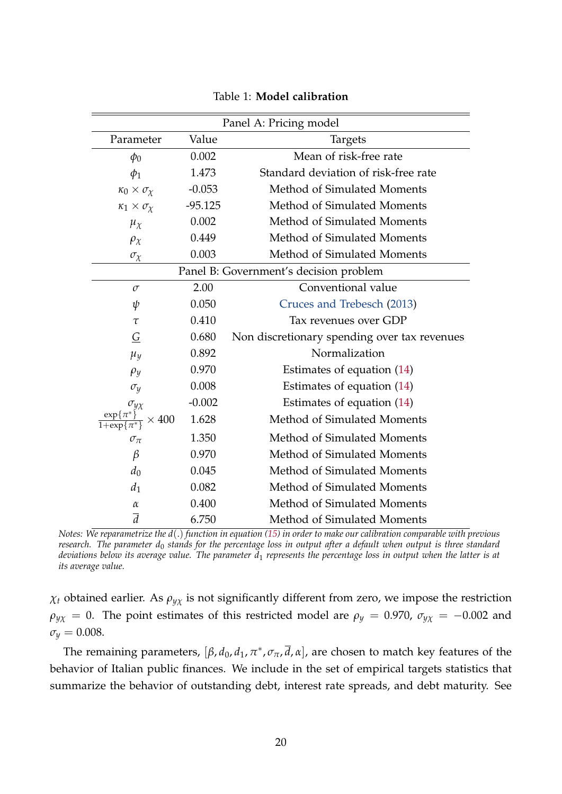| Panel A: Pricing model                 |                        |                                              |  |  |  |  |
|----------------------------------------|------------------------|----------------------------------------------|--|--|--|--|
| Parameter                              | Value                  | <b>Targets</b>                               |  |  |  |  |
| $\phi_0$                               | 0.002                  | Mean of risk-free rate                       |  |  |  |  |
| $\phi_1$                               | 1.473                  | Standard deviation of risk-free rate         |  |  |  |  |
| $\kappa_0 \times \sigma_\chi$          | $-0.053$               | Method of Simulated Moments                  |  |  |  |  |
| $\kappa_1 \times \sigma_\chi$          | $-95.125$              | Method of Simulated Moments                  |  |  |  |  |
| $\mu_{\chi}$                           | 0.002                  | Method of Simulated Moments                  |  |  |  |  |
| $\rho_{\chi}$                          | 0.449                  | Method of Simulated Moments                  |  |  |  |  |
| $\sigma_{\!\chi}$                      | 0.003                  | Method of Simulated Moments                  |  |  |  |  |
| Panel B: Government's decision problem |                        |                                              |  |  |  |  |
| $\sigma$                               | Conventional value     |                                              |  |  |  |  |
| ψ                                      | 0.050                  | Cruces and Trebesch (2013)                   |  |  |  |  |
| $\tau$                                 | 0.410                  | Tax revenues over GDP                        |  |  |  |  |
| G                                      | 0.680                  | Non discretionary spending over tax revenues |  |  |  |  |
| $\mu_y$                                | Normalization<br>0.892 |                                              |  |  |  |  |
| $\rho_y$                               | 0.970                  | Estimates of equation (14)                   |  |  |  |  |
| $\sigma_y$                             | 0.008                  | Estimates of equation (14)                   |  |  |  |  |
| $\sigma_{y\chi}$                       | $-0.002$               | Estimates of equation (14)                   |  |  |  |  |
| 400                                    | 1.628                  | Method of Simulated Moments                  |  |  |  |  |
| $\sigma_{\pi}$                         | 1.350                  | Method of Simulated Moments                  |  |  |  |  |
| $\beta$                                | 0.970                  | Method of Simulated Moments                  |  |  |  |  |
| $d_0$                                  | 0.045                  | Method of Simulated Moments                  |  |  |  |  |
| $d_1$                                  | 0.082                  | Method of Simulated Moments                  |  |  |  |  |
| $\alpha$                               | 0.400                  | Method of Simulated Moments                  |  |  |  |  |
| $\overline{d}$                         | 6.750                  | Method of Simulated Moments                  |  |  |  |  |

<span id="page-19-0"></span>

*Notes: We reparametrize the d*(.) *function in equation [\(15\)](#page-16-2) in order to make our calibration comparable with previous research. The parameter d*<sup>0</sup> *stands for the percentage loss in output after a default when output is three standard deviations below its average value. The parameter d*<sup>1</sup> *represents the percentage loss in output when the latter is at its average value.*

 $\chi_t$  obtained earlier. As  $\rho_{yx}$  is not significantly different from zero, we impose the restriction  $\rho$ <sub>*y*</sub>*χ* = 0. The point estimates of this restricted model are  $\rho$ <sub>*y*</sub> = 0.970,  $\sigma$ <sub>*y*</sub>*x* = −0.002 and  $\sigma_y = 0.008$ .

The remaining parameters,  $[\beta, d_0, d_1, \pi^*, \sigma_{\pi}, \overline{d}, \alpha]$ , are chosen to match key features of the behavior of Italian public finances. We include in the set of empirical targets statistics that summarize the behavior of outstanding debt, interest rate spreads, and debt maturity. See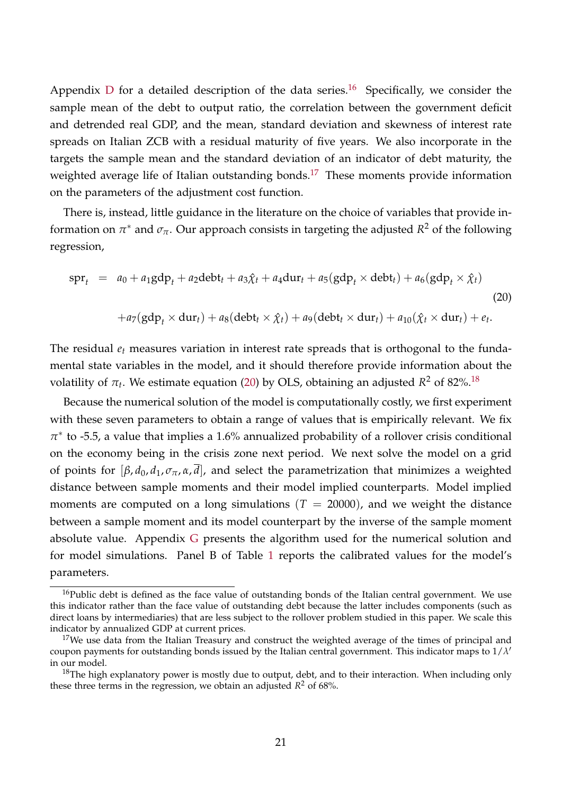Appendix [D](#page-54-0) for a detailed description of the data series.<sup>[16](#page-20-0)</sup> Specifically, we consider the sample mean of the debt to output ratio, the correlation between the government deficit and detrended real GDP, and the mean, standard deviation and skewness of interest rate spreads on Italian ZCB with a residual maturity of five years. We also incorporate in the targets the sample mean and the standard deviation of an indicator of debt maturity, the weighted average life of Italian outstanding bonds.<sup>[17](#page-20-1)</sup> These moments provide information on the parameters of the adjustment cost function.

There is, instead, little guidance in the literature on the choice of variables that provide information on  $\pi^*$  and  $\sigma_{\pi}$ . Our approach consists in targeting the adjusted  $R^2$  of the following regression,

<span id="page-20-2"></span>
$$
\text{spr}_{t} = a_{0} + a_{1}gdp_{t} + a_{2}debt_{t} + a_{3}\hat{\chi}_{t} + a_{4}dur_{t} + a_{5}(gdp_{t} \times debt_{t}) + a_{6}(gdp_{t} \times \hat{\chi}_{t})
$$
\n
$$
+ a_{7}(gdp_{t} \times dur_{t}) + a_{8}(debt_{t} \times \hat{\chi}_{t}) + a_{9}(debt_{t} \times dur_{t}) + a_{10}(\hat{\chi}_{t} \times dur_{t}) + e_{t}.
$$
\n(20)

The residual *e<sup>t</sup>* measures variation in interest rate spreads that is orthogonal to the fundamental state variables in the model, and it should therefore provide information about the volatility of  $\pi_t$ . We estimate equation [\(20\)](#page-20-2) by OLS, obtaining an adjusted  $R^2$  of 82%.<sup>[18](#page-20-3)</sup>

Because the numerical solution of the model is computationally costly, we first experiment with these seven parameters to obtain a range of values that is empirically relevant. We fix  $\pi^*$  to -5.5, a value that implies a 1.6% annualized probability of a rollover crisis conditional on the economy being in the crisis zone next period. We next solve the model on a grid of points for  $[\beta, d_0, d_1, \sigma_{\pi}, \alpha, \overline{d}]$ , and select the parametrization that minimizes a weighted distance between sample moments and their model implied counterparts. Model implied moments are computed on a long simulations  $(T = 20000)$ , and we weight the distance between a sample moment and its model counterpart by the inverse of the sample moment absolute value. Appendix [G](#page-60-0) presents the algorithm used for the numerical solution and for model simulations. Panel B of Table [1](#page-19-0) reports the calibrated values for the model's parameters.

<span id="page-20-0"></span><sup>&</sup>lt;sup>16</sup>Public debt is defined as the face value of outstanding bonds of the Italian central government. We use this indicator rather than the face value of outstanding debt because the latter includes components (such as direct loans by intermediaries) that are less subject to the rollover problem studied in this paper. We scale this indicator by annualized GDP at current prices.

<span id="page-20-1"></span> $17$ We use data from the Italian Treasury and construct the weighted average of the times of principal and coupon payments for outstanding bonds issued by the Italian central government. This indicator maps to 1/*λ* 0 in our model.

<span id="page-20-3"></span> $18$ The high explanatory power is mostly due to output, debt, and to their interaction. When including only these three terms in the regression, we obtain an adjusted  $R^2$  of 68%.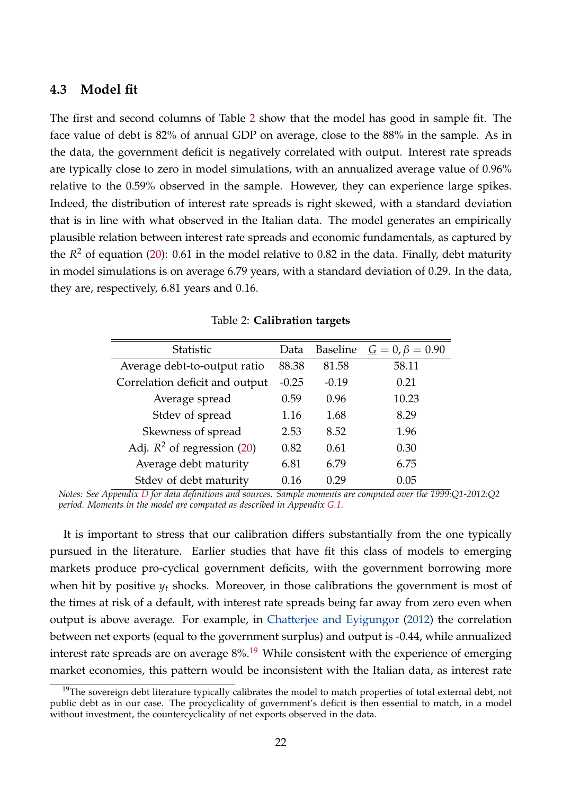### <span id="page-21-0"></span>**4.3 Model fit**

The first and second columns of Table [2](#page-21-1) show that the model has good in sample fit. The face value of debt is 82% of annual GDP on average, close to the 88% in the sample. As in the data, the government deficit is negatively correlated with output. Interest rate spreads are typically close to zero in model simulations, with an annualized average value of 0.96% relative to the 0.59% observed in the sample. However, they can experience large spikes. Indeed, the distribution of interest rate spreads is right skewed, with a standard deviation that is in line with what observed in the Italian data. The model generates an empirically plausible relation between interest rate spreads and economic fundamentals, as captured by the *R* <sup>2</sup> of equation [\(20\)](#page-20-2): 0.61 in the model relative to 0.82 in the data. Finally, debt maturity in model simulations is on average 6.79 years, with a standard deviation of 0.29. In the data, they are, respectively, 6.81 years and 0.16.

| <b>Statistic</b>               | Data    | <b>Baseline</b> | $\underline{G} = 0, \beta = 0.90$ |
|--------------------------------|---------|-----------------|-----------------------------------|
| Average debt-to-output ratio   | 88.38   | 81.58           | 58.11                             |
| Correlation deficit and output | $-0.25$ | $-0.19$         | 0.21                              |
| Average spread                 | 0.59    | 0.96            | 10.23                             |
| Stdev of spread                | 1.16    | 1.68            | 8.29                              |
| Skewness of spread             | 2.53    | 8.52            | 1.96                              |
| Adj. $R^2$ of regression (20)  | 0.82    | 0.61            | 0.30                              |
| Average debt maturity          | 6.81    | 6.79            | 6.75                              |
| Stdev of debt maturity         | 0.16    | በ 29            | 0.05                              |

<span id="page-21-1"></span>Table 2: **Calibration targets**

*Notes: See Appendix [D](#page-54-0) for data definitions and sources. Sample moments are computed over the 1999:Q1-2012:Q2 period. Moments in the model are computed as described in Appendix [G.1.](#page-64-0)*

It is important to stress that our calibration differs substantially from the one typically pursued in the literature. Earlier studies that have fit this class of models to emerging markets produce pro-cyclical government deficits, with the government borrowing more when hit by positive  $y_t$  shocks. Moreover, in those calibrations the government is most of the times at risk of a default, with interest rate spreads being far away from zero even when output is above average. For example, in [Chatterjee and Eyigungor](#page-41-4) [\(2012\)](#page-41-4) the correlation between net exports (equal to the government surplus) and output is -0.44, while annualized interest rate spreads are on average  $8\%$ .<sup>[19](#page-21-2)</sup> While consistent with the experience of emerging market economies, this pattern would be inconsistent with the Italian data, as interest rate

<span id="page-21-2"></span><sup>&</sup>lt;sup>19</sup>The sovereign debt literature typically calibrates the model to match properties of total external debt, not public debt as in our case. The procyclicality of government's deficit is then essential to match, in a model without investment, the countercyclicality of net exports observed in the data.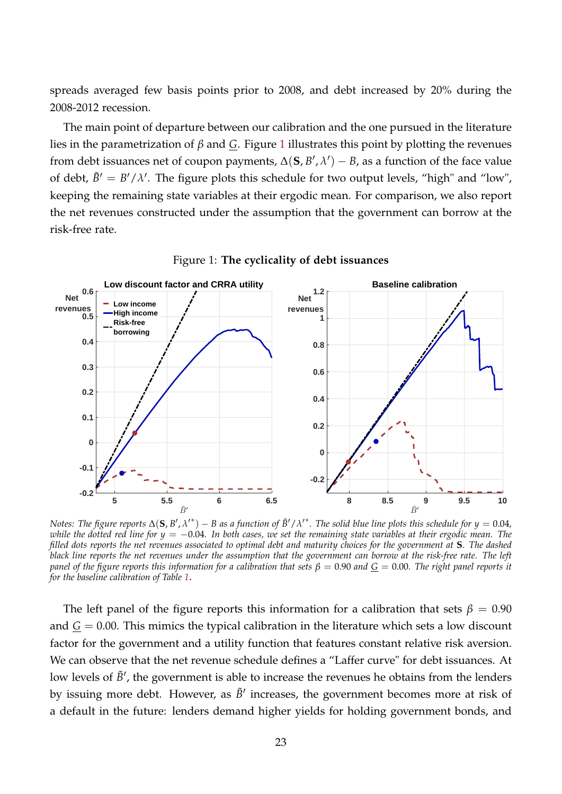spreads averaged few basis points prior to 2008, and debt increased by 20% during the 2008-2012 recession.

The main point of departure between our calibration and the one pursued in the literature lies in the parametrization of *β* and *G*. Figure [1](#page-22-0) illustrates this point by plotting the revenues from debt issuances net of coupon payments,  $\Delta(\mathbf{S}, B', \lambda') - B$ , as a function of the face value of debt,  $\tilde{B}' = B'/\lambda'$ . The figure plots this schedule for two output levels, "high" and "low", keeping the remaining state variables at their ergodic mean. For comparison, we also report the net revenues constructed under the assumption that the government can borrow at the risk-free rate.



<span id="page-22-0"></span>Figure 1: **The cyclicality of debt issuances**

*Notes: The figure reports*  $\Delta$ ( $S$ , $B'$ , $\lambda'$ \*)  $-$  *B as a function of*  $\tilde{B}'/\lambda'$ *\*. The solid blue line plots this schedule for y*  $=0.04$ *, while the dotted red line for y = -0.04. In both cases, we set the remaining state variables at their ergodic mean. The filled dots reports the net revenues associated to optimal debt and maturity choices for the government at* **S***. The dashed black line reports the net revenues under the assumption that the government can borrow at the risk-free rate. The left panel of the figure reports this information for a calibration that sets*  $\beta = 0.90$  *and*  $G = 0.00$ *. The right panel reports it for the baseline calibration of Table [1](#page-19-0)*.

The left panel of the figure reports this information for a calibration that sets  $\beta = 0.90$ and  $\overline{G} = 0.00$ . This mimics the typical calibration in the literature which sets a low discount factor for the government and a utility function that features constant relative risk aversion. We can observe that the net revenue schedule defines a "Laffer curve" for debt issuances. At low levels of  $\tilde{B}'$ , the government is able to increase the revenues he obtains from the lenders by issuing more debt. However, as  $\tilde{B}'$  increases, the government becomes more at risk of a default in the future: lenders demand higher yields for holding government bonds, and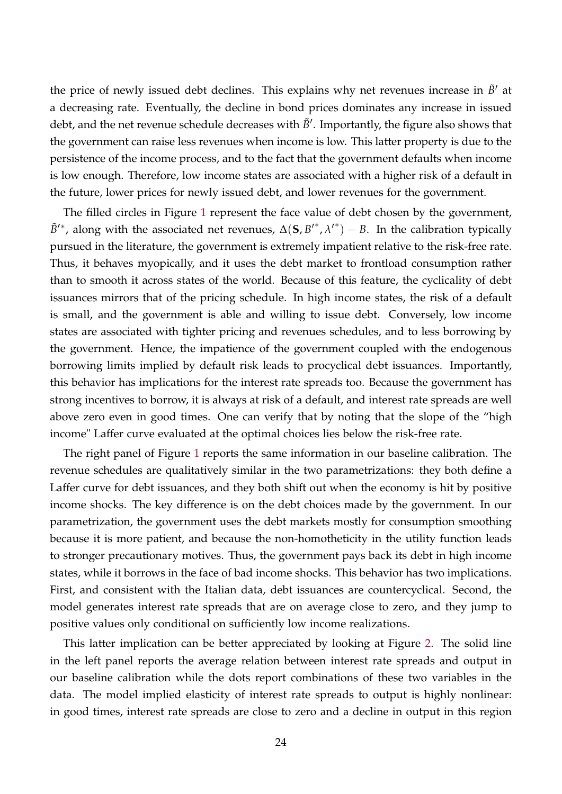the price of newly issued debt declines. This explains why net revenues increase in  $\tilde{B}'$  at a decreasing rate. Eventually, the decline in bond prices dominates any increase in issued debt, and the net revenue schedule decreases with  $\tilde{B}'$ . Importantly, the figure also shows that the government can raise less revenues when income is low. This latter property is due to the persistence of the income process, and to the fact that the government defaults when income is low enough. Therefore, low income states are associated with a higher risk of a default in the future, lower prices for newly issued debt, and lower revenues for the government.

The filled circles in Figure [1](#page-22-0) represent the face value of debt chosen by the government,  $\tilde{B}^{\prime*}$ , along with the associated net revenues,  $\Delta(\mathbf{S}, B^{\prime*}, \lambda^{\prime*}) - B$ . In the calibration typically pursued in the literature, the government is extremely impatient relative to the risk-free rate. Thus, it behaves myopically, and it uses the debt market to frontload consumption rather than to smooth it across states of the world. Because of this feature, the cyclicality of debt issuances mirrors that of the pricing schedule. In high income states, the risk of a default is small, and the government is able and willing to issue debt. Conversely, low income states are associated with tighter pricing and revenues schedules, and to less borrowing by the government. Hence, the impatience of the government coupled with the endogenous borrowing limits implied by default risk leads to procyclical debt issuances. Importantly, this behavior has implications for the interest rate spreads too. Because the government has strong incentives to borrow, it is always at risk of a default, and interest rate spreads are well above zero even in good times. One can verify that by noting that the slope of the "high income" Laffer curve evaluated at the optimal choices lies below the risk-free rate.

The right panel of Figure [1](#page-22-0) reports the same information in our baseline calibration. The revenue schedules are qualitatively similar in the two parametrizations: they both define a Laffer curve for debt issuances, and they both shift out when the economy is hit by positive income shocks. The key difference is on the debt choices made by the government. In our parametrization, the government uses the debt markets mostly for consumption smoothing because it is more patient, and because the non-homotheticity in the utility function leads to stronger precautionary motives. Thus, the government pays back its debt in high income states, while it borrows in the face of bad income shocks. This behavior has two implications. First, and consistent with the Italian data, debt issuances are countercyclical. Second, the model generates interest rate spreads that are on average close to zero, and they jump to positive values only conditional on sufficiently low income realizations.

This latter implication can be better appreciated by looking at Figure [2.](#page-24-1) The solid line in the left panel reports the average relation between interest rate spreads and output in our baseline calibration while the dots report combinations of these two variables in the data. The model implied elasticity of interest rate spreads to output is highly nonlinear: in good times, interest rate spreads are close to zero and a decline in output in this region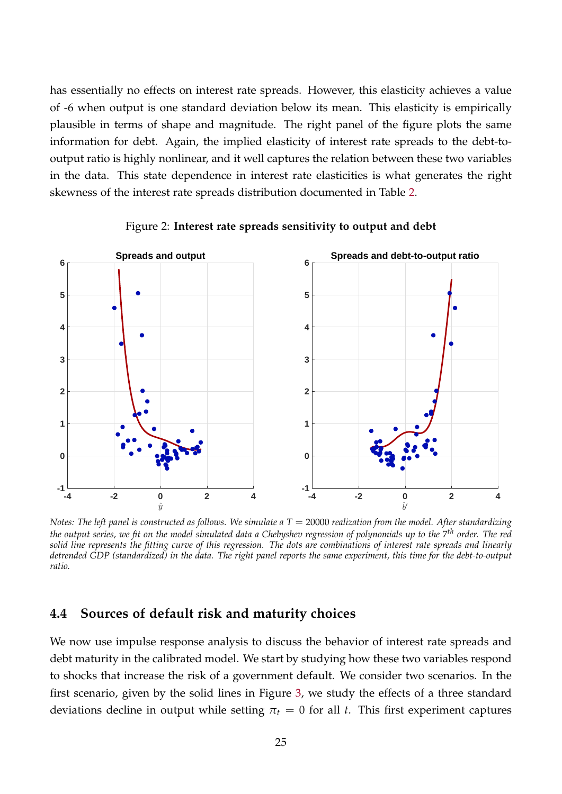has essentially no effects on interest rate spreads. However, this elasticity achieves a value of -6 when output is one standard deviation below its mean. This elasticity is empirically plausible in terms of shape and magnitude. The right panel of the figure plots the same information for debt. Again, the implied elasticity of interest rate spreads to the debt-tooutput ratio is highly nonlinear, and it well captures the relation between these two variables in the data. This state dependence in interest rate elasticities is what generates the right skewness of the interest rate spreads distribution documented in Table [2.](#page-21-1)



<span id="page-24-1"></span>Figure 2: **Interest rate spreads sensitivity to output and debt**

*Notes: The left panel is constructed as follows. We simulate a T = 20000 realization from the model. After standardizing the output series, we fit on the model simulated data a Chebyshev regression of polynomials up to the* 7 *th order. The red solid line represents the fitting curve of this regression. The dots are combinations of interest rate spreads and linearly detrended GDP (standardized) in the data. The right panel reports the same experiment, this time for the debt-to-output ratio.*

### <span id="page-24-0"></span>**4.4 Sources of default risk and maturity choices**

We now use impulse response analysis to discuss the behavior of interest rate spreads and debt maturity in the calibrated model. We start by studying how these two variables respond to shocks that increase the risk of a government default. We consider two scenarios. In the first scenario, given by the solid lines in Figure [3,](#page-25-0) we study the effects of a three standard deviations decline in output while setting  $\pi_t = 0$  for all *t*. This first experiment captures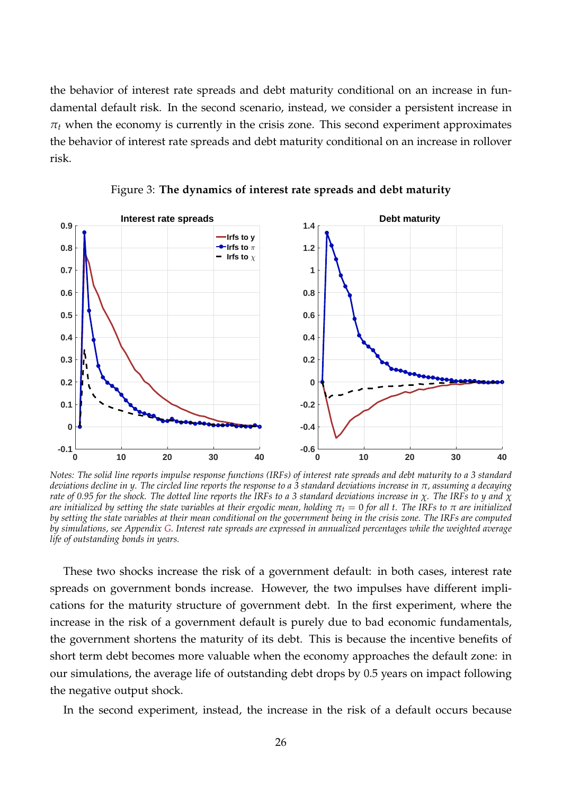the behavior of interest rate spreads and debt maturity conditional on an increase in fundamental default risk. In the second scenario, instead, we consider a persistent increase in  $\pi_t$  when the economy is currently in the crisis zone. This second experiment approximates the behavior of interest rate spreads and debt maturity conditional on an increase in rollover risk.



<span id="page-25-0"></span>Figure 3: **The dynamics of interest rate spreads and debt maturity**

*Notes: The solid line reports impulse response functions (IRFs) of interest rate spreads and debt maturity to a 3 standard deviations decline in y. The circled line reports the response to a 3 standard deviations increase in π, assuming a decaying rate of 0.95 for the shock. The dotted line reports the IRFs to a 3 standard deviations increase in χ. The IRFs to y and χ are initialized by setting the state variables at their ergodic mean, holding*  $π_t = 0$  *for all t. The IRFs to*  $π$  *are initialized by setting the state variables at their mean conditional on the government being in the crisis zone. The IRFs are computed by simulations, see Appendix [G.](#page-60-0) Interest rate spreads are expressed in annualized percentages while the weighted average life of outstanding bonds in years.*

These two shocks increase the risk of a government default: in both cases, interest rate spreads on government bonds increase. However, the two impulses have different implications for the maturity structure of government debt. In the first experiment, where the increase in the risk of a government default is purely due to bad economic fundamentals, the government shortens the maturity of its debt. This is because the incentive benefits of short term debt becomes more valuable when the economy approaches the default zone: in our simulations, the average life of outstanding debt drops by 0.5 years on impact following the negative output shock.

In the second experiment, instead, the increase in the risk of a default occurs because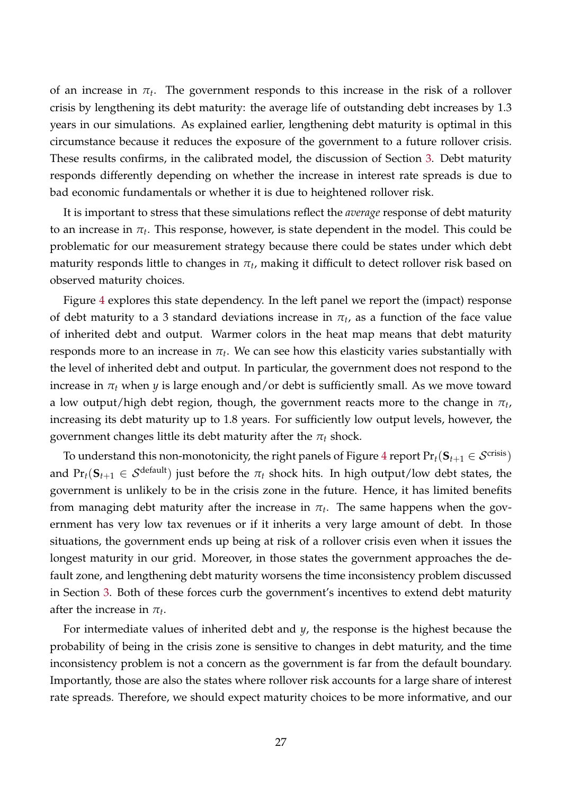of an increase in  $\pi_t$ . The government responds to this increase in the risk of a rollover crisis by lengthening its debt maturity: the average life of outstanding debt increases by 1.3 years in our simulations. As explained earlier, lengthening debt maturity is optimal in this circumstance because it reduces the exposure of the government to a future rollover crisis. These results confirms, in the calibrated model, the discussion of Section [3.](#page-11-0) Debt maturity responds differently depending on whether the increase in interest rate spreads is due to bad economic fundamentals or whether it is due to heightened rollover risk.

It is important to stress that these simulations reflect the *average* response of debt maturity to an increase in  $\pi_t.$  This response, however, is state dependent in the model. This could be problematic for our measurement strategy because there could be states under which debt maturity responds little to changes in  $\pi_t$ , making it difficult to detect rollover risk based on observed maturity choices.

Figure [4](#page-27-1) explores this state dependency. In the left panel we report the (impact) response of debt maturity to a 3 standard deviations increase in  $\pi_t$ , as a function of the face value of inherited debt and output. Warmer colors in the heat map means that debt maturity responds more to an increase in  $\pi_t.$  We can see how this elasticity varies substantially with the level of inherited debt and output. In particular, the government does not respond to the increase in  $\pi_t$  when *y* is large enough and/or debt is sufficiently small. As we move toward a low output/high debt region, though, the government reacts more to the change in  $\pi_t$ , increasing its debt maturity up to 1.8 years. For sufficiently low output levels, however, the government changes little its debt maturity after the *π<sup>t</sup>* shock.

To understand this non-monotonicity, the right panels of Figure [4](#page-27-1) report  $Pr_t(\mathbf{S}_{t+1} \in \mathcal{S}^{\text{crisis}})$ and  $Pr_t(\mathbf{S}_{t+1} \in \mathcal{S}^{\text{default}})$  just before the  $\pi_t$  shock hits. In high output/low debt states, the government is unlikely to be in the crisis zone in the future. Hence, it has limited benefits from managing debt maturity after the increase in  $\pi_t$ . The same happens when the government has very low tax revenues or if it inherits a very large amount of debt. In those situations, the government ends up being at risk of a rollover crisis even when it issues the longest maturity in our grid. Moreover, in those states the government approaches the default zone, and lengthening debt maturity worsens the time inconsistency problem discussed in Section [3.](#page-11-0) Both of these forces curb the government's incentives to extend debt maturity after the increase in  $\pi_t$ .

For intermediate values of inherited debt and *y*, the response is the highest because the probability of being in the crisis zone is sensitive to changes in debt maturity, and the time inconsistency problem is not a concern as the government is far from the default boundary. Importantly, those are also the states where rollover risk accounts for a large share of interest rate spreads. Therefore, we should expect maturity choices to be more informative, and our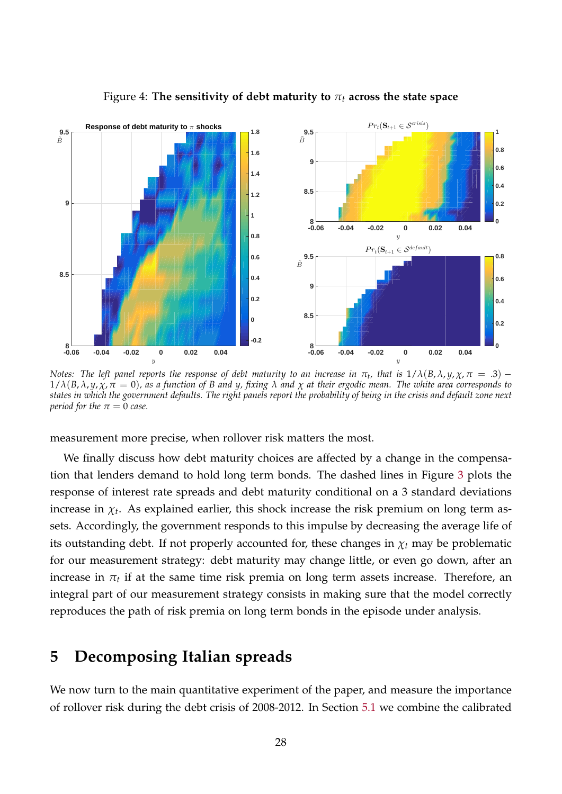

<span id="page-27-1"></span>Figure 4: **The sensitivity of debt maturity to** *π<sup>t</sup>* **across the state space**

*Notes: The left panel reports the response of debt maturity to an increase in*  $\pi_t$ *, that is*  $1/\lambda(B,\lambda,y,\chi,\pi~=~.3)$  $1/\lambda(B,\lambda,y,\chi,\pi=0)$ , as a function of B and y, fixing  $\lambda$  and  $\chi$  at their ergodic mean. The white area corresponds to *states in which the government defaults. The right panels report the probability of being in the crisis and default zone next period for the*  $\pi = 0$  *case.* 

measurement more precise, when rollover risk matters the most.

We finally discuss how debt maturity choices are affected by a change in the compensation that lenders demand to hold long term bonds. The dashed lines in Figure [3](#page-25-0) plots the response of interest rate spreads and debt maturity conditional on a 3 standard deviations increase in  $\chi_t$ . As explained earlier, this shock increase the risk premium on long term assets. Accordingly, the government responds to this impulse by decreasing the average life of its outstanding debt. If not properly accounted for, these changes in  $\chi_t$  may be problematic for our measurement strategy: debt maturity may change little, or even go down, after an increase in  $\pi_t$  if at the same time risk premia on long term assets increase. Therefore, an integral part of our measurement strategy consists in making sure that the model correctly reproduces the path of risk premia on long term bonds in the episode under analysis.

### <span id="page-27-0"></span>**5 Decomposing Italian spreads**

We now turn to the main quantitative experiment of the paper, and measure the importance of rollover risk during the debt crisis of 2008-2012. In Section [5.1](#page-28-0) we combine the calibrated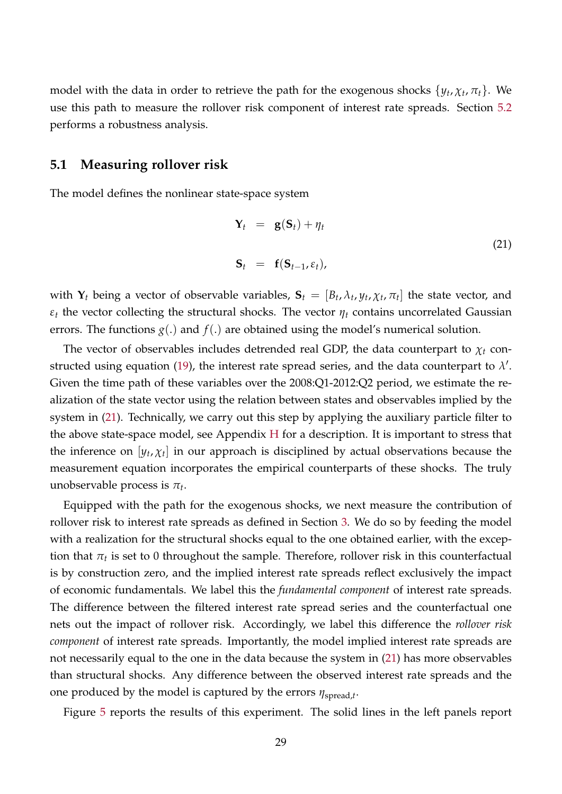model with the data in order to retrieve the path for the exogenous shocks  $\{y_t, \chi_t, \pi_t\}$ . We use this path to measure the rollover risk component of interest rate spreads. Section [5.2](#page-31-0) performs a robustness analysis.

#### <span id="page-28-0"></span>**5.1 Measuring rollover risk**

The model defines the nonlinear state-space system

<span id="page-28-1"></span>
$$
\mathbf{Y}_t = \mathbf{g}(\mathbf{S}_t) + \eta_t
$$
  

$$
\mathbf{S}_t = \mathbf{f}(\mathbf{S}_{t-1}, \varepsilon_t),
$$
 (21)

with  $\mathbf{Y}_t$  being a vector of observable variables,  $\mathbf{S}_t = [B_t, \lambda_t, y_t, \chi_t, \pi_t]$  the state vector, and  $\varepsilon_t$  the vector collecting the structural shocks. The vector  $\eta_t$  contains uncorrelated Gaussian errors. The functions  $g(.)$  and  $f(.)$  are obtained using the model's numerical solution.

The vector of observables includes detrended real GDP, the data counterpart to  $\chi_t$  con-structed using equation [\(19\)](#page-18-1), the interest rate spread series, and the data counterpart to  $\lambda'.$ Given the time path of these variables over the 2008:Q1-2012:Q2 period, we estimate the realization of the state vector using the relation between states and observables implied by the system in [\(21\)](#page-28-1). Technically, we carry out this step by applying the auxiliary particle filter to the above state-space model, see Appendix [H](#page-65-0) for a description. It is important to stress that the inference on  $[y_t, \chi_t]$  in our approach is disciplined by actual observations because the measurement equation incorporates the empirical counterparts of these shocks. The truly unobservable process is *π<sup>t</sup>* .

Equipped with the path for the exogenous shocks, we next measure the contribution of rollover risk to interest rate spreads as defined in Section [3.](#page-11-0) We do so by feeding the model with a realization for the structural shocks equal to the one obtained earlier, with the exception that  $\pi_t$  is set to 0 throughout the sample. Therefore, rollover risk in this counterfactual is by construction zero, and the implied interest rate spreads reflect exclusively the impact of economic fundamentals. We label this the *fundamental component* of interest rate spreads. The difference between the filtered interest rate spread series and the counterfactual one nets out the impact of rollover risk. Accordingly, we label this difference the *rollover risk component* of interest rate spreads. Importantly, the model implied interest rate spreads are not necessarily equal to the one in the data because the system in [\(21\)](#page-28-1) has more observables than structural shocks. Any difference between the observed interest rate spreads and the one produced by the model is captured by the errors *η*spread,*<sup>t</sup>* .

Figure [5](#page-29-0) reports the results of this experiment. The solid lines in the left panels report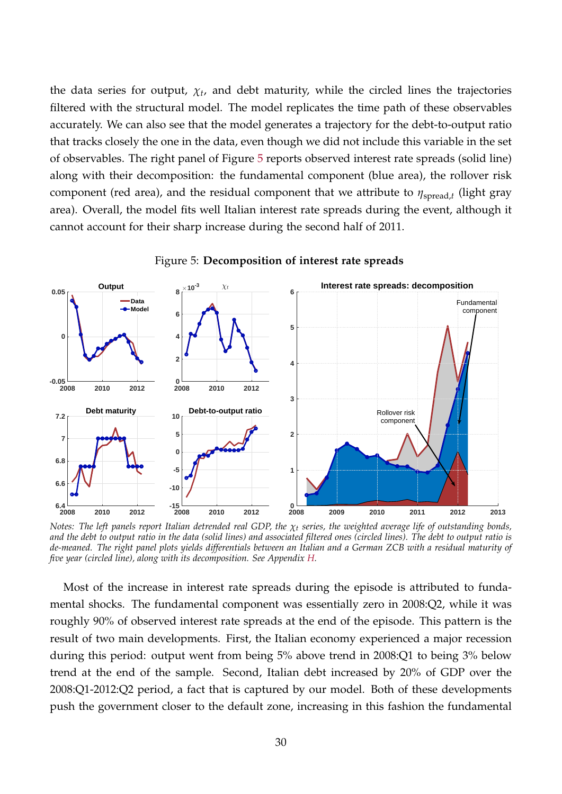the data series for output,  $\chi_t$ , and debt maturity, while the circled lines the trajectories filtered with the structural model. The model replicates the time path of these observables accurately. We can also see that the model generates a trajectory for the debt-to-output ratio that tracks closely the one in the data, even though we did not include this variable in the set of observables. The right panel of Figure [5](#page-29-0) reports observed interest rate spreads (solid line) along with their decomposition: the fundamental component (blue area), the rollover risk component (red area), and the residual component that we attribute to  $η<sub>spread,t</sub>$  (light gray area). Overall, the model fits well Italian interest rate spreads during the event, although it cannot account for their sharp increase during the second half of 2011.



<span id="page-29-0"></span>Figure 5: **Decomposition of interest rate spreads**

*Notes: The left panels report Italian detrended real GDP, the χ<sup>t</sup> series, the weighted average life of outstanding bonds, and the debt to output ratio in the data (solid lines) and associated filtered ones (circled lines). The debt to output ratio is de-meaned. The right panel plots yields differentials between an Italian and a German ZCB with a residual maturity of five year (circled line), along with its decomposition. See Appendix [H.](#page-65-0)*

Most of the increase in interest rate spreads during the episode is attributed to fundamental shocks. The fundamental component was essentially zero in 2008:Q2, while it was roughly 90% of observed interest rate spreads at the end of the episode. This pattern is the result of two main developments. First, the Italian economy experienced a major recession during this period: output went from being 5% above trend in 2008:Q1 to being 3% below trend at the end of the sample. Second, Italian debt increased by 20% of GDP over the 2008:Q1-2012:Q2 period, a fact that is captured by our model. Both of these developments push the government closer to the default zone, increasing in this fashion the fundamental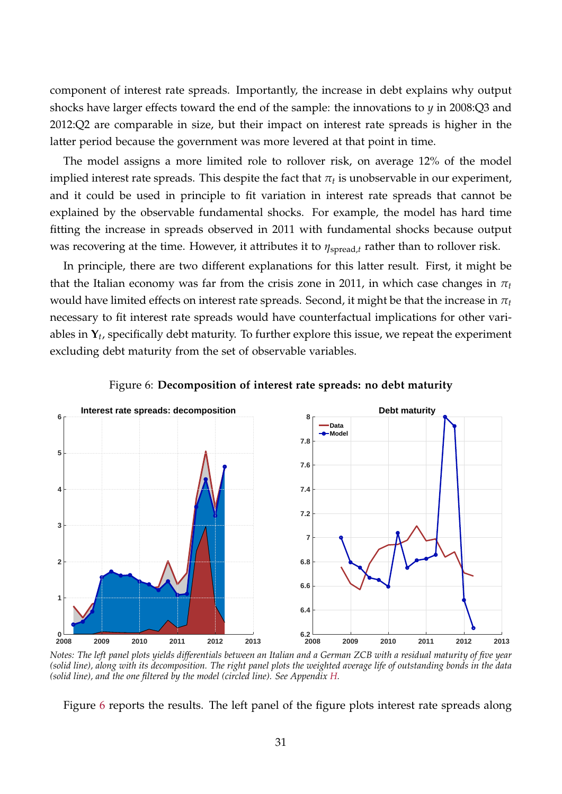component of interest rate spreads. Importantly, the increase in debt explains why output shocks have larger effects toward the end of the sample: the innovations to *y* in 2008:Q3 and 2012:Q2 are comparable in size, but their impact on interest rate spreads is higher in the latter period because the government was more levered at that point in time.

The model assigns a more limited role to rollover risk, on average 12% of the model implied interest rate spreads. This despite the fact that  $\pi_t$  is unobservable in our experiment, and it could be used in principle to fit variation in interest rate spreads that cannot be explained by the observable fundamental shocks. For example, the model has hard time fitting the increase in spreads observed in 2011 with fundamental shocks because output was recovering at the time. However, it attributes it to  $η<sub>spread,t</sub>$  rather than to rollover risk.

In principle, there are two different explanations for this latter result. First, it might be that the Italian economy was far from the crisis zone in 2011, in which case changes in  $\pi_t$ would have limited effects on interest rate spreads. Second, it might be that the increase in *π<sup>t</sup>* necessary to fit interest rate spreads would have counterfactual implications for other variables in **Y***<sup>t</sup>* , specifically debt maturity. To further explore this issue, we repeat the experiment excluding debt maturity from the set of observable variables.



<span id="page-30-0"></span>

*Notes: The left panel plots yields differentials between an Italian and a German ZCB with a residual maturity of five year (solid line), along with its decomposition. The right panel plots the weighted average life of outstanding bonds in the data (solid line), and the one filtered by the model (circled line). See Appendix [H.](#page-65-0)*

Figure [6](#page-30-0) reports the results. The left panel of the figure plots interest rate spreads along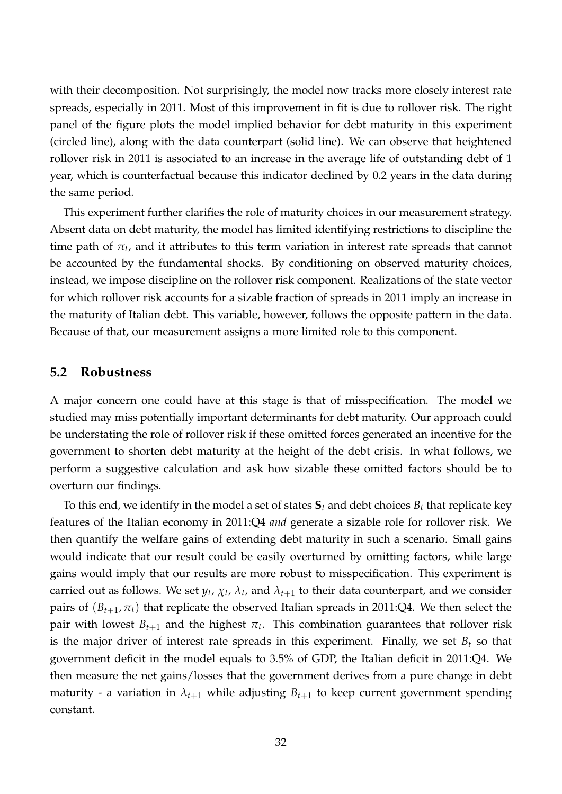with their decomposition. Not surprisingly, the model now tracks more closely interest rate spreads, especially in 2011. Most of this improvement in fit is due to rollover risk. The right panel of the figure plots the model implied behavior for debt maturity in this experiment (circled line), along with the data counterpart (solid line). We can observe that heightened rollover risk in 2011 is associated to an increase in the average life of outstanding debt of 1 year, which is counterfactual because this indicator declined by 0.2 years in the data during the same period.

This experiment further clarifies the role of maturity choices in our measurement strategy. Absent data on debt maturity, the model has limited identifying restrictions to discipline the time path of  $\pi_t$ , and it attributes to this term variation in interest rate spreads that cannot be accounted by the fundamental shocks. By conditioning on observed maturity choices, instead, we impose discipline on the rollover risk component. Realizations of the state vector for which rollover risk accounts for a sizable fraction of spreads in 2011 imply an increase in the maturity of Italian debt. This variable, however, follows the opposite pattern in the data. Because of that, our measurement assigns a more limited role to this component.

#### <span id="page-31-0"></span>**5.2 Robustness**

A major concern one could have at this stage is that of misspecification. The model we studied may miss potentially important determinants for debt maturity. Our approach could be understating the role of rollover risk if these omitted forces generated an incentive for the government to shorten debt maturity at the height of the debt crisis. In what follows, we perform a suggestive calculation and ask how sizable these omitted factors should be to overturn our findings.

To this end, we identify in the model a set of states  $S_t$  and debt choices  $B_t$  that replicate key features of the Italian economy in 2011:Q4 *and* generate a sizable role for rollover risk. We then quantify the welfare gains of extending debt maturity in such a scenario. Small gains would indicate that our result could be easily overturned by omitting factors, while large gains would imply that our results are more robust to misspecification. This experiment is carried out as follows. We set  $y_t$ ,  $\chi_t$ ,  $\lambda_t$ , and  $\lambda_{t+1}$  to their data counterpart, and we consider pairs of  $(B_{t+1}, \pi_t)$  that replicate the observed Italian spreads in 2011:Q4. We then select the pair with lowest  $B_{t+1}$  and the highest  $\pi_t$ . This combination guarantees that rollover risk is the major driver of interest rate spreads in this experiment. Finally, we set  $B_t$  so that government deficit in the model equals to 3.5% of GDP, the Italian deficit in 2011:Q4. We then measure the net gains/losses that the government derives from a pure change in debt maturity - a variation in  $\lambda_{t+1}$  while adjusting  $B_{t+1}$  to keep current government spending constant.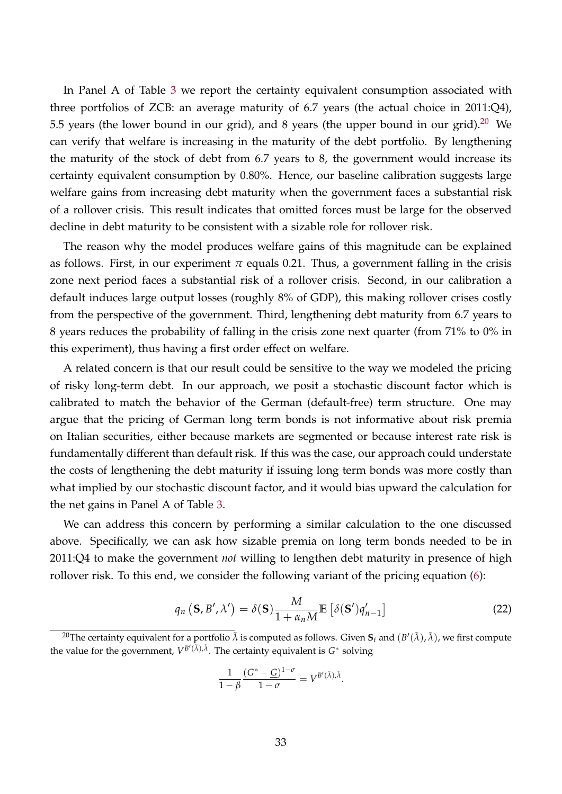In Panel A of Table [3](#page-33-0) we report the certainty equivalent consumption associated with three portfolios of ZCB: an average maturity of 6.7 years (the actual choice in 2011:Q4), 5.5 years (the lower bound in our grid), and 8 years (the upper bound in our grid).<sup>[20](#page-32-0)</sup> We can verify that welfare is increasing in the maturity of the debt portfolio. By lengthening the maturity of the stock of debt from 6.7 years to 8, the government would increase its certainty equivalent consumption by 0.80%. Hence, our baseline calibration suggests large welfare gains from increasing debt maturity when the government faces a substantial risk of a rollover crisis. This result indicates that omitted forces must be large for the observed decline in debt maturity to be consistent with a sizable role for rollover risk.

The reason why the model produces welfare gains of this magnitude can be explained as follows. First, in our experiment  $\pi$  equals 0.21. Thus, a government falling in the crisis zone next period faces a substantial risk of a rollover crisis. Second, in our calibration a default induces large output losses (roughly 8% of GDP), this making rollover crises costly from the perspective of the government. Third, lengthening debt maturity from 6.7 years to 8 years reduces the probability of falling in the crisis zone next quarter (from 71% to 0% in this experiment), thus having a first order effect on welfare.

A related concern is that our result could be sensitive to the way we modeled the pricing of risky long-term debt. In our approach, we posit a stochastic discount factor which is calibrated to match the behavior of the German (default-free) term structure. One may argue that the pricing of German long term bonds is not informative about risk premia on Italian securities, either because markets are segmented or because interest rate risk is fundamentally different than default risk. If this was the case, our approach could understate the costs of lengthening the debt maturity if issuing long term bonds was more costly than what implied by our stochastic discount factor, and it would bias upward the calculation for the net gains in Panel A of Table [3.](#page-33-0)

We can address this concern by performing a similar calculation to the one discussed above. Specifically, we can ask how sizable premia on long term bonds needed to be in 2011:Q4 to make the government *not* willing to lengthen debt maturity in presence of high rollover risk. To this end, we consider the following variant of the pricing equation [\(6\)](#page-8-0):

$$
q_n\left(\mathbf{S},B',\lambda'\right) = \delta(\mathbf{S})\frac{M}{1+\alpha_n M}\mathbb{E}\left[\delta(\mathbf{S}')q_{n-1}'\right]
$$
\n(22)

<span id="page-32-1"></span>
$$
\frac{1}{1-\beta} \frac{(G^* - \underline{G})^{1-\sigma}}{1-\sigma} = V^{B'(\tilde{\lambda}),\tilde{\lambda}}.
$$

<span id="page-32-0"></span> $^{20}$ The certainty equivalent for a portfolio  $\tilde\lambda$  is computed as follows. Given  $\bf S_t$  and  $(B'(\tilde\lambda),\tilde\lambda)$ , we first compute the value for the government,  $V^{B'(\tilde{\lambda}),\tilde{\lambda}}$ . The certainty equivalent is  $G^*$  solving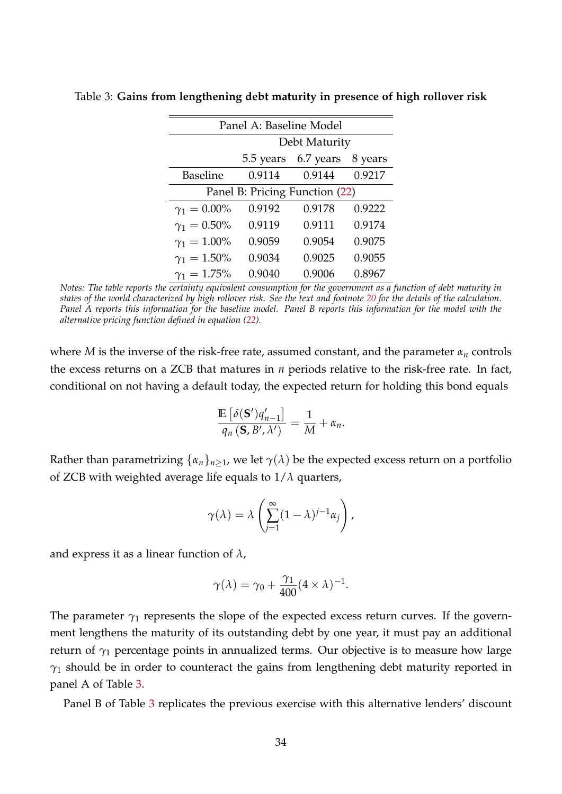| Panel A: Baseline Model        |               |           |         |  |  |  |
|--------------------------------|---------------|-----------|---------|--|--|--|
|                                | Debt Maturity |           |         |  |  |  |
|                                | 5.5 years     | 6.7 years | 8 years |  |  |  |
| <b>Baseline</b>                | 0.9114        | 0.9144    | 0.9217  |  |  |  |
| Panel B: Pricing Function (22) |               |           |         |  |  |  |
| $\gamma_1 = 0.00\%$            | 0.9192        | 0.9178    | 0.9222  |  |  |  |
| $\gamma_1 = 0.50\%$            | 0.9119        | 0.9111    | 0.9174  |  |  |  |
| $\gamma_1 = 1.00\%$            | 0.9059        | 0.9054    | 0.9075  |  |  |  |
| $\gamma_1 = 1.50\%$            | 0.9034        | 0.9025    | 0.9055  |  |  |  |
| $\gamma_1 = 1.75\%$            | 0.9040        | 0.9006    | 0.8967  |  |  |  |

<span id="page-33-0"></span>Table 3: **Gains from lengthening debt maturity in presence of high rollover risk**

*Notes: The table reports the certainty equivalent consumption for the government as a function of debt maturity in states of the world characterized by high rollover risk. See the text and footnote [20](#page-32-0) for the details of the calculation. Panel A reports this information for the baseline model. Panel B reports this information for the model with the alternative pricing function defined in equation [\(22\)](#page-32-1).*

where *M* is the inverse of the risk-free rate, assumed constant, and the parameter *α<sup>n</sup>* controls the excess returns on a ZCB that matures in *n* periods relative to the risk-free rate. In fact, conditional on not having a default today, the expected return for holding this bond equals

$$
\frac{\mathbb{E}\left[\delta(\mathbf{S}')q_{n-1}'\right]}{q_n\left(\mathbf{S},B',\lambda'\right)}=\frac{1}{M}+\alpha_n.
$$

Rather than parametrizing  $\{\alpha_n\}_{n\geq 1}$ , we let  $\gamma(\lambda)$  be the expected excess return on a portfolio of ZCB with weighted average life equals to 1/*λ* quarters,

$$
\gamma(\lambda) = \lambda \left( \sum_{j=1}^{\infty} (1 - \lambda)^{j-1} \alpha_j \right),
$$

and express it as a linear function of *λ*,

$$
\gamma(\lambda) = \gamma_0 + \frac{\gamma_1}{400} (4 \times \lambda)^{-1}.
$$

The parameter  $\gamma_1$  represents the slope of the expected excess return curves. If the government lengthens the maturity of its outstanding debt by one year, it must pay an additional return of *γ*<sup>1</sup> percentage points in annualized terms. Our objective is to measure how large *γ*<sup>1</sup> should be in order to counteract the gains from lengthening debt maturity reported in panel A of Table [3.](#page-33-0)

Panel B of Table [3](#page-33-0) replicates the previous exercise with this alternative lenders' discount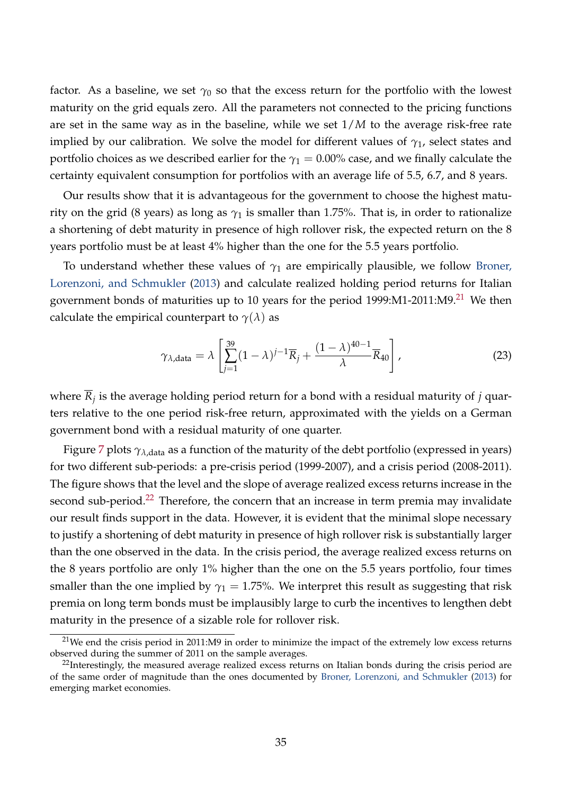factor. As a baseline, we set  $\gamma_0$  so that the excess return for the portfolio with the lowest maturity on the grid equals zero. All the parameters not connected to the pricing functions are set in the same way as in the baseline, while we set 1/*M* to the average risk-free rate implied by our calibration. We solve the model for different values of  $\gamma_1$ , select states and portfolio choices as we described earlier for the  $\gamma_1 = 0.00\%$  case, and we finally calculate the certainty equivalent consumption for portfolios with an average life of 5.5, 6.7, and 8 years.

Our results show that it is advantageous for the government to choose the highest maturity on the grid (8 years) as long as  $\gamma_1$  is smaller than 1.75%. That is, in order to rationalize a shortening of debt maturity in presence of high rollover risk, the expected return on the 8 years portfolio must be at least 4% higher than the one for the 5.5 years portfolio.

To understand whether these values of  $\gamma_1$  are empirically plausible, we follow [Broner,](#page-41-2) [Lorenzoni, and Schmukler](#page-41-2) [\(2013\)](#page-41-2) and calculate realized holding period returns for Italian government bonds of maturities up to 10 years for the period  $1999:M1-2011:M9.<sup>21</sup>$  $1999:M1-2011:M9.<sup>21</sup>$  $1999:M1-2011:M9.<sup>21</sup>$  We then calculate the empirical counterpart to  $\gamma(\lambda)$  as

<span id="page-34-2"></span>
$$
\gamma_{\lambda, \text{data}} = \lambda \left[ \sum_{j=1}^{39} (1 - \lambda)^{j-1} \overline{R}_j + \frac{(1 - \lambda)^{40 - 1}}{\lambda} \overline{R}_{40} \right],
$$
\n(23)

where *R<sup>j</sup>* is the average holding period return for a bond with a residual maturity of *j* quarters relative to the one period risk-free return, approximated with the yields on a German government bond with a residual maturity of one quarter.

Figure [7](#page-35-1) plots  $\gamma_{\lambda, \text{data}}$  as a function of the maturity of the debt portfolio (expressed in years) for two different sub-periods: a pre-crisis period (1999-2007), and a crisis period (2008-2011). The figure shows that the level and the slope of average realized excess returns increase in the second sub-period.<sup>[22](#page-34-1)</sup> Therefore, the concern that an increase in term premia may invalidate our result finds support in the data. However, it is evident that the minimal slope necessary to justify a shortening of debt maturity in presence of high rollover risk is substantially larger than the one observed in the data. In the crisis period, the average realized excess returns on the 8 years portfolio are only 1% higher than the one on the 5.5 years portfolio, four times smaller than the one implied by  $\gamma_1 = 1.75\%$ . We interpret this result as suggesting that risk premia on long term bonds must be implausibly large to curb the incentives to lengthen debt maturity in the presence of a sizable role for rollover risk.

<span id="page-34-0"></span> $21$ We end the crisis period in 2011:M9 in order to minimize the impact of the extremely low excess returns observed during the summer of 2011 on the sample averages.

<span id="page-34-1"></span><sup>&</sup>lt;sup>22</sup>Interestingly, the measured average realized excess returns on Italian bonds during the crisis period are of the same order of magnitude than the ones documented by [Broner, Lorenzoni, and Schmukler](#page-41-2) [\(2013\)](#page-41-2) for emerging market economies.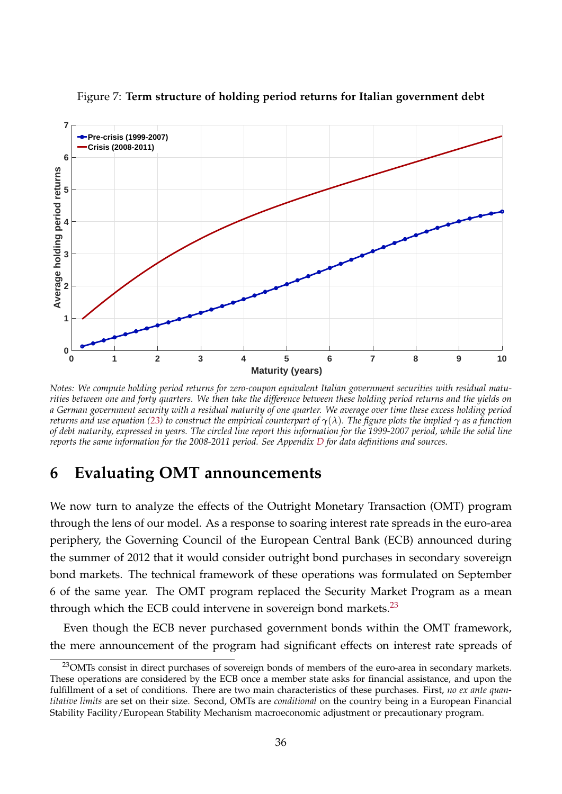

<span id="page-35-1"></span>Figure 7: **Term structure of holding period returns for Italian government debt**

*Notes: We compute holding period returns for zero-coupon equivalent Italian government securities with residual maturities between one and forty quarters. We then take the difference between these holding period returns and the yields on a German government security with a residual maturity of one quarter. We average over time these excess holding period returns and use equation [\(23\)](#page-34-2) to construct the empirical counterpart of γ*(*λ*)*. The figure plots the implied γ as a function of debt maturity, expressed in years. The circled line report this information for the 1999-2007 period, while the solid line reports the same information for the 2008-2011 period. See Appendix [D](#page-54-0) for data definitions and sources.*

# <span id="page-35-0"></span>**6 Evaluating OMT announcements**

We now turn to analyze the effects of the Outright Monetary Transaction (OMT) program through the lens of our model. As a response to soaring interest rate spreads in the euro-area periphery, the Governing Council of the European Central Bank (ECB) announced during the summer of 2012 that it would consider outright bond purchases in secondary sovereign bond markets. The technical framework of these operations was formulated on September 6 of the same year. The OMT program replaced the Security Market Program as a mean through which the ECB could intervene in sovereign bond markets. $^{23}$  $^{23}$  $^{23}$ 

Even though the ECB never purchased government bonds within the OMT framework, the mere announcement of the program had significant effects on interest rate spreads of

<span id="page-35-2"></span><sup>&</sup>lt;sup>23</sup>OMTs consist in direct purchases of sovereign bonds of members of the euro-area in secondary markets. These operations are considered by the ECB once a member state asks for financial assistance, and upon the fulfillment of a set of conditions. There are two main characteristics of these purchases. First, *no ex ante quantitative limits* are set on their size. Second, OMTs are *conditional* on the country being in a European Financial Stability Facility/European Stability Mechanism macroeconomic adjustment or precautionary program.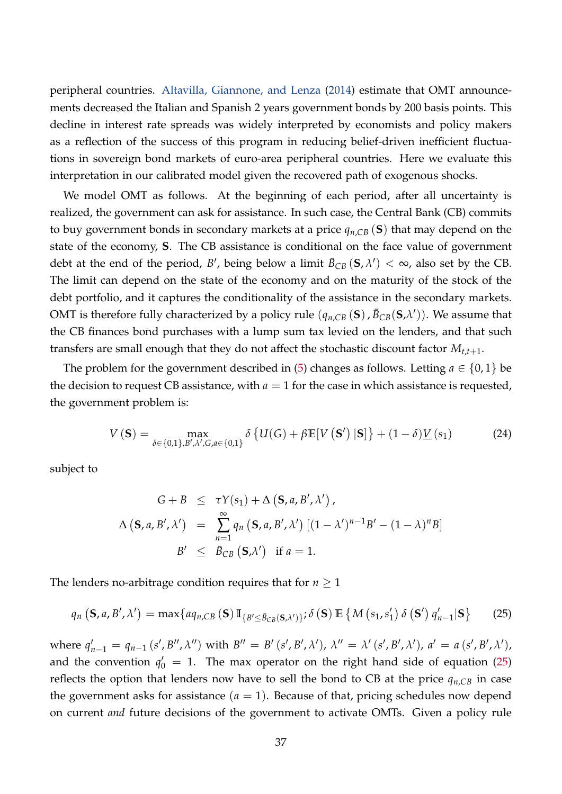peripheral countries. [Altavilla, Giannone, and Lenza](#page-40-14) [\(2014\)](#page-40-14) estimate that OMT announcements decreased the Italian and Spanish 2 years government bonds by 200 basis points. This decline in interest rate spreads was widely interpreted by economists and policy makers as a reflection of the success of this program in reducing belief-driven inefficient fluctuations in sovereign bond markets of euro-area peripheral countries. Here we evaluate this interpretation in our calibrated model given the recovered path of exogenous shocks.

We model OMT as follows. At the beginning of each period, after all uncertainty is realized, the government can ask for assistance. In such case, the Central Bank (CB) commits to buy government bonds in secondary markets at a price *qn*,*CB* (**S**) that may depend on the state of the economy, **S**. The CB assistance is conditional on the face value of government debt at the end of the period, *B'*, being below a limit  $\bar{B}_{CB}(\mathbf{S}, \lambda') < \infty$ , also set by the CB. The limit can depend on the state of the economy and on the maturity of the stock of the debt portfolio, and it captures the conditionality of the assistance in the secondary markets. OMT is therefore fully characterized by a policy rule  $(q_{n,CB}(\mathbf{S}), \bar{B}_{CB}(\mathbf{S}, \lambda'))$ . We assume that the CB finances bond purchases with a lump sum tax levied on the lenders, and that such transfers are small enough that they do not affect the stochastic discount factor *Mt*,*t*+1.

The problem for the government described in [\(5\)](#page-7-1) changes as follows. Letting  $a \in \{0,1\}$  be the decision to request CB assistance, with  $a = 1$  for the case in which assistance is requested, the government problem is:

$$
V\left(\mathbf{S}\right) = \max_{\delta \in \{0,1\}, B', \lambda', G, a \in \{0,1\}} \delta \left\{ U(G) + \beta \mathbb{E}[V\left(\mathbf{S'}\right)|\mathbf{S}]\right\} + (1-\delta)\underline{V}\left(s_1\right) \tag{24}
$$

subject to

<span id="page-36-0"></span>
$$
G + B \leq \tau Y(s_1) + \Delta (\mathbf{S}, a, B', \lambda')
$$
  

$$
\Delta (\mathbf{S}, a, B', \lambda') = \sum_{n=1}^{\infty} q_n (\mathbf{S}, a, B', \lambda') [(1 - \lambda')^{n-1} B' - (1 - \lambda)^n B]
$$
  

$$
B' \leq \overline{B}_{CB} (\mathbf{S}, \lambda') \text{ if } a = 1.
$$

The lenders no-arbitrage condition requires that for  $n \geq 1$ 

$$
q_n\left(\mathbf{S},a,B',\lambda'\right) = \max\{aq_{n,CB}(\mathbf{S})\,\mathbb{I}_{\{B'\leq \bar{B}_{CB}(\mathbf{S},\lambda')\}}; \delta\left(\mathbf{S}\right) \mathbb{E}\left\{M\left(s_1,s'_1\right)\delta\left(\mathbf{S}'\right)q'_{n-1}|\mathbf{S}\right\} \tag{25}
$$

where  $q'_{n-1} = q_{n-1} (s', B'', \lambda'')$  with  $B'' = B' (s', B', \lambda'), \lambda'' = \lambda' (s', B', \lambda'), a' = a (s', B', \lambda'),$ and the convention  $q'_0 = 1$ . The max operator on the right hand side of equation [\(25\)](#page-36-0) reflects the option that lenders now have to sell the bond to CB at the price  $q_{n,CB}$  in case the government asks for assistance  $(a = 1)$ . Because of that, pricing schedules now depend on current *and* future decisions of the government to activate OMTs. Given a policy rule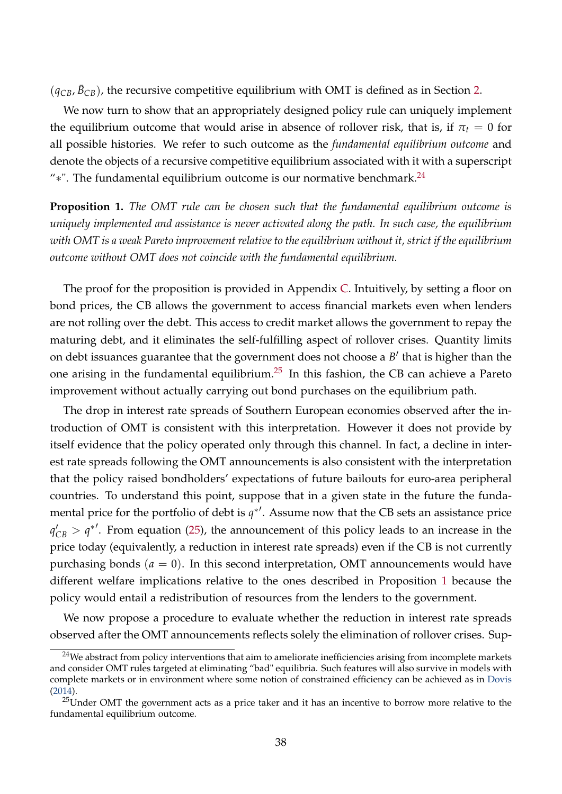$(q_{CB}, \bar{B}_{CB})$ , the recursive competitive equilibrium with OMT is defined as in Section [2.](#page-6-0)

We now turn to show that an appropriately designed policy rule can uniquely implement the equilibrium outcome that would arise in absence of rollover risk, that is, if  $\pi_t = 0$  for all possible histories. We refer to such outcome as the *fundamental equilibrium outcome* and denote the objects of a recursive competitive equilibrium associated with it with a superscript "\*". The fundamental equilibrium outcome is our normative benchmark.<sup>[24](#page-37-0)</sup>

<span id="page-37-2"></span>**Proposition 1.** *The OMT rule can be chosen such that the fundamental equilibrium outcome is uniquely implemented and assistance is never activated along the path. In such case, the equilibrium with OMT is a weak Pareto improvement relative to the equilibrium without it, strict if the equilibrium outcome without OMT does not coincide with the fundamental equilibrium.*

The proof for the proposition is provided in Appendix [C.](#page-53-0) Intuitively, by setting a floor on bond prices, the CB allows the government to access financial markets even when lenders are not rolling over the debt. This access to credit market allows the government to repay the maturing debt, and it eliminates the self-fulfilling aspect of rollover crises. Quantity limits on debt issuances guarantee that the government does not choose a  $B'$  that is higher than the one arising in the fundamental equilibrium.<sup>[25](#page-37-1)</sup> In this fashion, the CB can achieve a Pareto improvement without actually carrying out bond purchases on the equilibrium path.

The drop in interest rate spreads of Southern European economies observed after the introduction of OMT is consistent with this interpretation. However it does not provide by itself evidence that the policy operated only through this channel. In fact, a decline in interest rate spreads following the OMT announcements is also consistent with the interpretation that the policy raised bondholders' expectations of future bailouts for euro-area peripheral countries. To understand this point, suppose that in a given state in the future the fundamental price for the portfolio of debt is  $q^*$ <sup>'</sup>. Assume now that the CB sets an assistance price  $q'_{CB}$  >  $q^*$ <sup>'</sup>. From equation [\(25\)](#page-36-0), the announcement of this policy leads to an increase in the price today (equivalently, a reduction in interest rate spreads) even if the CB is not currently purchasing bonds  $(a = 0)$ . In this second interpretation, OMT announcements would have different welfare implications relative to the ones described in Proposition [1](#page-37-2) because the policy would entail a redistribution of resources from the lenders to the government.

We now propose a procedure to evaluate whether the reduction in interest rate spreads observed after the OMT announcements reflects solely the elimination of rollover crises. Sup-

<span id="page-37-0"></span><sup>&</sup>lt;sup>24</sup>We abstract from policy interventions that aim to ameliorate inefficiencies arising from incomplete markets and consider OMT rules targeted at eliminating "bad" equilibria. Such features will also survive in models with complete markets or in environment where some notion of constrained efficiency can be achieved as in [Dovis](#page-41-1) [\(2014\)](#page-41-1).

<span id="page-37-1"></span><sup>&</sup>lt;sup>25</sup>Under OMT the government acts as a price taker and it has an incentive to borrow more relative to the fundamental equilibrium outcome.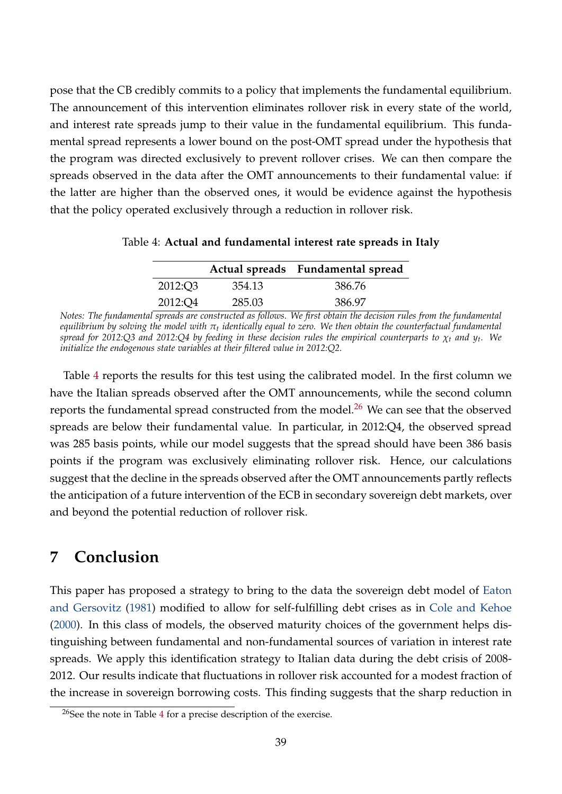pose that the CB credibly commits to a policy that implements the fundamental equilibrium. The announcement of this intervention eliminates rollover risk in every state of the world, and interest rate spreads jump to their value in the fundamental equilibrium. This fundamental spread represents a lower bound on the post-OMT spread under the hypothesis that the program was directed exclusively to prevent rollover crises. We can then compare the spreads observed in the data after the OMT announcements to their fundamental value: if the latter are higher than the observed ones, it would be evidence against the hypothesis that the policy operated exclusively through a reduction in rollover risk.

<span id="page-38-1"></span>

|         |        | Actual spreads Fundamental spread |
|---------|--------|-----------------------------------|
| 2012:Q3 | 354.13 | 386.76                            |
| 2012:Q4 | 285.03 | 386.97                            |

Table 4: **Actual and fundamental interest rate spreads in Italy**

*Notes: The fundamental spreads are constructed as follows. We first obtain the decision rules from the fundamental equilibrium by solving the model with π<sup>t</sup> identically equal to zero. We then obtain the counterfactual fundamental spread for 2012:Q3 and 2012:Q4 by feeding in these decision rules the empirical counterparts to χ<sup>t</sup> and y<sup>t</sup> . We initialize the endogenous state variables at their filtered value in 2012:Q2.*

Table [4](#page-38-1) reports the results for this test using the calibrated model. In the first column we have the Italian spreads observed after the OMT announcements, while the second column reports the fundamental spread constructed from the model.<sup>[26](#page-38-2)</sup> We can see that the observed spreads are below their fundamental value. In particular, in 2012:Q4, the observed spread was 285 basis points, while our model suggests that the spread should have been 386 basis points if the program was exclusively eliminating rollover risk. Hence, our calculations suggest that the decline in the spreads observed after the OMT announcements partly reflects the anticipation of a future intervention of the ECB in secondary sovereign debt markets, over and beyond the potential reduction of rollover risk.

# <span id="page-38-0"></span>**7 Conclusion**

This paper has proposed a strategy to bring to the data the sovereign debt model of [Eaton](#page-42-0) [and Gersovitz](#page-42-0) [\(1981\)](#page-42-0) modified to allow for self-fulfilling debt crises as in [Cole and Kehoe](#page-41-0) [\(2000\)](#page-41-0). In this class of models, the observed maturity choices of the government helps distinguishing between fundamental and non-fundamental sources of variation in interest rate spreads. We apply this identification strategy to Italian data during the debt crisis of 2008- 2012. Our results indicate that fluctuations in rollover risk accounted for a modest fraction of the increase in sovereign borrowing costs. This finding suggests that the sharp reduction in

<span id="page-38-2"></span><sup>&</sup>lt;sup>26</sup>See the note in Table [4](#page-38-1) for a precise description of the exercise.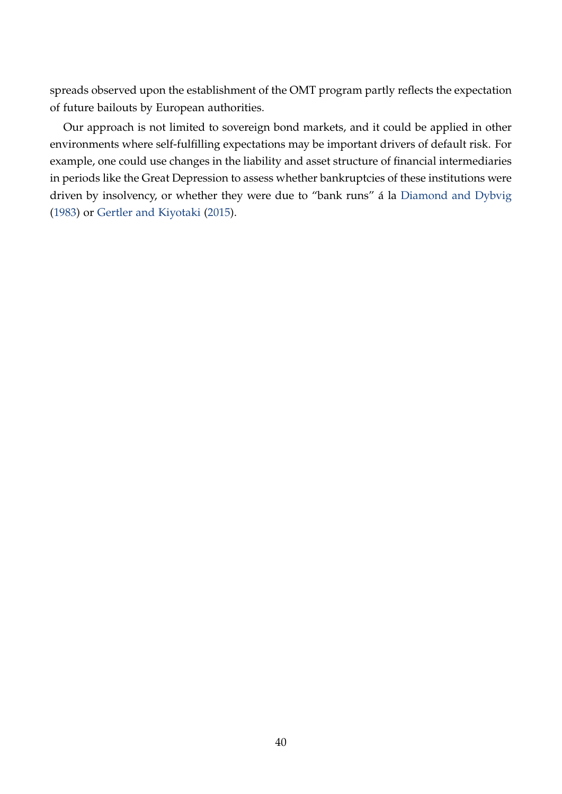spreads observed upon the establishment of the OMT program partly reflects the expectation of future bailouts by European authorities.

Our approach is not limited to sovereign bond markets, and it could be applied in other environments where self-fulfilling expectations may be important drivers of default risk. For example, one could use changes in the liability and asset structure of financial intermediaries in periods like the Great Depression to assess whether bankruptcies of these institutions were driven by insolvency, or whether they were due to "bank runs" á la [Diamond and Dybvig](#page-41-13) [\(1983\)](#page-41-13) or [Gertler and Kiyotaki](#page-42-10) [\(2015\)](#page-42-10).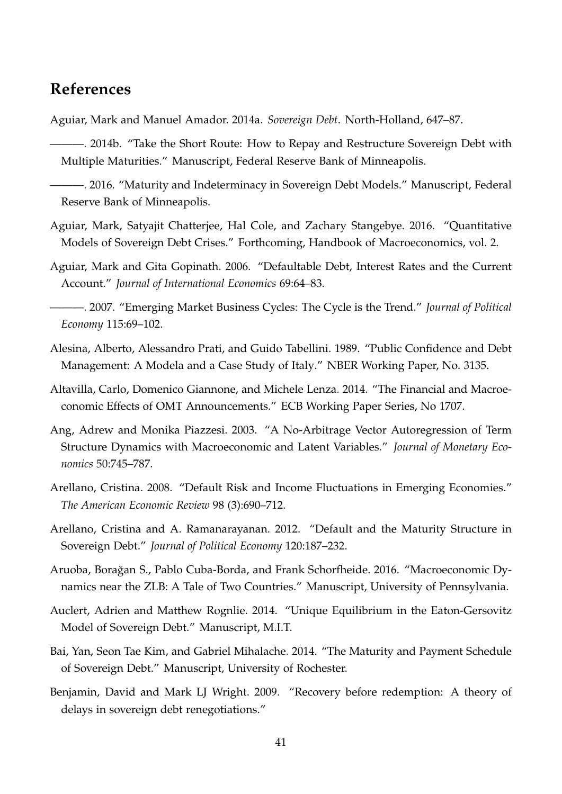# **References**

<span id="page-40-13"></span><span id="page-40-3"></span>Aguiar, Mark and Manuel Amador. 2014a. *Sovereign Debt*. North-Holland, 647–87.

———. 2014b. "Take the Short Route: How to Repay and Restructure Sovereign Debt with Multiple Maturities." Manuscript, Federal Reserve Bank of Minneapolis.

<span id="page-40-8"></span>———. 2016. "Maturity and Indeterminacy in Sovereign Debt Models." Manuscript, Federal Reserve Bank of Minneapolis.

- <span id="page-40-6"></span>Aguiar, Mark, Satyajit Chatterjee, Hal Cole, and Zachary Stangebye. 2016. "Quantitative Models of Sovereign Debt Crises." Forthcoming, Handbook of Macroeconomics, vol. 2.
- <span id="page-40-0"></span>Aguiar, Mark and Gita Gopinath. 2006. "Defaultable Debt, Interest Rates and the Current Account." *Journal of International Economics* 69:64–83.

<span id="page-40-9"></span>———. 2007. "Emerging Market Business Cycles: The Cycle is the Trend." *Journal of Political Economy* 115:69–102.

- <span id="page-40-5"></span>Alesina, Alberto, Alessandro Prati, and Guido Tabellini. 1989. "Public Confidence and Debt Management: A Modela and a Case Study of Italy." NBER Working Paper, No. 3135.
- <span id="page-40-14"></span>Altavilla, Carlo, Domenico Giannone, and Michele Lenza. 2014. "The Financial and Macroeconomic Effects of OMT Announcements." ECB Working Paper Series, No 1707.
- <span id="page-40-4"></span>Ang, Adrew and Monika Piazzesi. 2003. "A No-Arbitrage Vector Autoregression of Term Structure Dynamics with Macroeconomic and Latent Variables." *Journal of Monetary Economics* 50:745–787.
- <span id="page-40-1"></span>Arellano, Cristina. 2008. "Default Risk and Income Fluctuations in Emerging Economies." *The American Economic Review* 98 (3):690–712.
- <span id="page-40-2"></span>Arellano, Cristina and A. Ramanarayanan. 2012. "Default and the Maturity Structure in Sovereign Debt." *Journal of Political Economy* 120:187–232.
- <span id="page-40-11"></span>Aruoba, Borağan S., Pablo Cuba-Borda, and Frank Schorfheide. 2016. "Macroeconomic Dynamics near the ZLB: A Tale of Two Countries." Manuscript, University of Pennsylvania.
- <span id="page-40-7"></span>Auclert, Adrien and Matthew Rognlie. 2014. "Unique Equilibrium in the Eaton-Gersovitz Model of Sovereign Debt." Manuscript, M.I.T.
- <span id="page-40-10"></span>Bai, Yan, Seon Tae Kim, and Gabriel Mihalache. 2014. "The Maturity and Payment Schedule of Sovereign Debt." Manuscript, University of Rochester.
- <span id="page-40-12"></span>Benjamin, David and Mark LJ Wright. 2009. "Recovery before redemption: A theory of delays in sovereign debt renegotiations."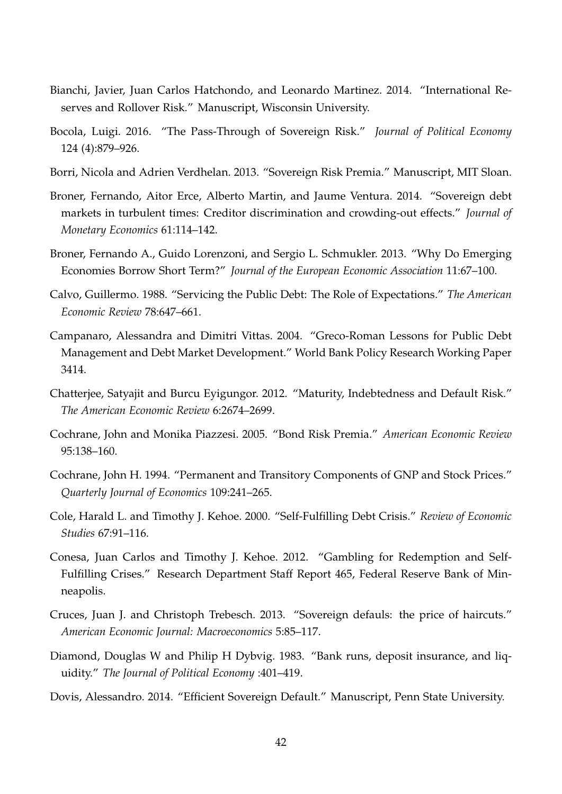- <span id="page-41-6"></span>Bianchi, Javier, Juan Carlos Hatchondo, and Leonardo Martinez. 2014. "International Reserves and Rollover Risk." Manuscript, Wisconsin University.
- <span id="page-41-10"></span>Bocola, Luigi. 2016. "The Pass-Through of Sovereign Risk." *Journal of Political Economy* 124 (4):879–926.
- <span id="page-41-7"></span>Borri, Nicola and Adrien Verdhelan. 2013. "Sovereign Risk Premia." Manuscript, MIT Sloan.
- <span id="page-41-9"></span>Broner, Fernando, Aitor Erce, Alberto Martin, and Jaume Ventura. 2014. "Sovereign debt markets in turbulent times: Creditor discrimination and crowding-out effects." *Journal of Monetary Economics* 61:114–142.
- <span id="page-41-2"></span>Broner, Fernando A., Guido Lorenzoni, and Sergio L. Schmukler. 2013. "Why Do Emerging Economies Borrow Short Term?" *Journal of the European Economic Association* 11:67–100.
- <span id="page-41-8"></span>Calvo, Guillermo. 1988. "Servicing the Public Debt: The Role of Expectations." *The American Economic Review* 78:647–661.
- <span id="page-41-14"></span>Campanaro, Alessandra and Dimitri Vittas. 2004. "Greco-Roman Lessons for Public Debt Management and Debt Market Development." World Bank Policy Research Working Paper 3414.
- <span id="page-41-4"></span>Chatterjee, Satyajit and Burcu Eyigungor. 2012. "Maturity, Indebtedness and Default Risk." *The American Economic Review* 6:2674–2699.
- <span id="page-41-11"></span>Cochrane, John and Monika Piazzesi. 2005. "Bond Risk Premia." *American Economic Review* 95:138–160.
- <span id="page-41-5"></span>Cochrane, John H. 1994. "Permanent and Transitory Components of GNP and Stock Prices." *Quarterly Journal of Economics* 109:241–265.
- <span id="page-41-0"></span>Cole, Harald L. and Timothy J. Kehoe. 2000. "Self-Fulfilling Debt Crisis." *Review of Economic Studies* 67:91–116.
- <span id="page-41-3"></span>Conesa, Juan Carlos and Timothy J. Kehoe. 2012. "Gambling for Redemption and Self-Fulfilling Crises." Research Department Staff Report 465, Federal Reserve Bank of Minneapolis.
- <span id="page-41-12"></span>Cruces, Juan J. and Christoph Trebesch. 2013. "Sovereign defauls: the price of haircuts." *American Economic Journal: Macroeconomics* 5:85–117.
- <span id="page-41-13"></span>Diamond, Douglas W and Philip H Dybvig. 1983. "Bank runs, deposit insurance, and liquidity." *The Journal of Political Economy* :401–419.
- <span id="page-41-1"></span>Dovis, Alessandro. 2014. "Efficient Sovereign Default." Manuscript, Penn State University.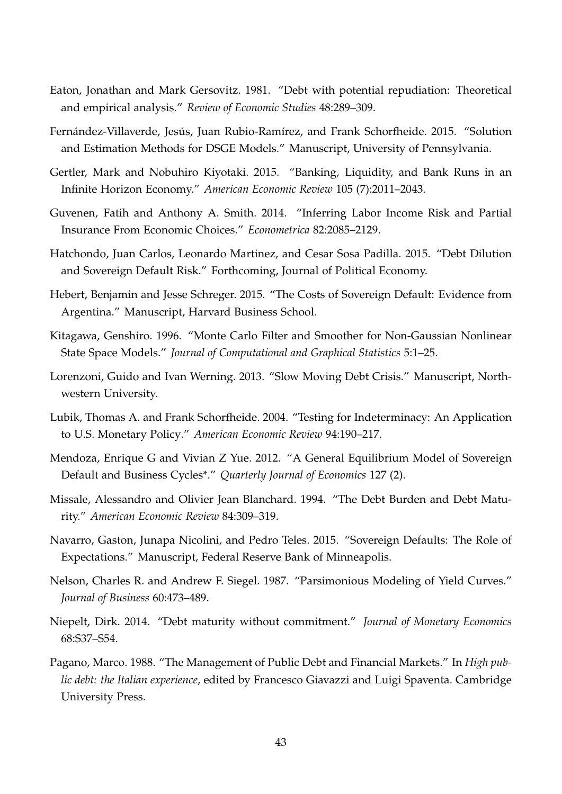- <span id="page-42-0"></span>Eaton, Jonathan and Mark Gersovitz. 1981. "Debt with potential repudiation: Theoretical and empirical analysis." *Review of Economic Studies* 48:289–309.
- <span id="page-42-3"></span>Fernández-Villaverde, Jesús, Juan Rubio-Ramírez, and Frank Schorfheide. 2015. "Solution and Estimation Methods for DSGE Models." Manuscript, University of Pennsylvania.
- <span id="page-42-10"></span>Gertler, Mark and Nobuhiro Kiyotaki. 2015. "Banking, Liquidity, and Bank Runs in an Infinite Horizon Economy." *American Economic Review* 105 (7):2011–2043.
- <span id="page-42-1"></span>Guvenen, Fatih and Anthony A. Smith. 2014. "Inferring Labor Income Risk and Partial Insurance From Economic Choices." *Econometrica* 82:2085–2129.
- <span id="page-42-2"></span>Hatchondo, Juan Carlos, Leonardo Martinez, and Cesar Sosa Padilla. 2015. "Debt Dilution and Sovereign Default Risk." Forthcoming, Journal of Political Economy.
- <span id="page-42-8"></span>Hebert, Benjamin and Jesse Schreger. 2015. "The Costs of Sovereign Default: Evidence from Argentina." Manuscript, Harvard Business School.
- <span id="page-42-14"></span>Kitagawa, Genshiro. 1996. "Monte Carlo Filter and Smoother for Non-Gaussian Nonlinear State Space Models." *Journal of Computational and Graphical Statistics* 5:1–25.
- <span id="page-42-4"></span>Lorenzoni, Guido and Ivan Werning. 2013. "Slow Moving Debt Crisis." Manuscript, Northwestern University.
- <span id="page-42-6"></span>Lubik, Thomas A. and Frank Schorfheide. 2004. "Testing for Indeterminacy: An Application to U.S. Monetary Policy." *American Economic Review* 94:190–217.
- <span id="page-42-9"></span>Mendoza, Enrique G and Vivian Z Yue. 2012. "A General Equilibrium Model of Sovereign Default and Business Cycles\*." *Quarterly Journal of Economics* 127 (2).
- <span id="page-42-13"></span>Missale, Alessandro and Olivier Jean Blanchard. 1994. "The Debt Burden and Debt Maturity." *American Economic Review* 84:309–319.
- <span id="page-42-5"></span>Navarro, Gaston, Junapa Nicolini, and Pedro Teles. 2015. "Sovereign Defaults: The Role of Expectations." Manuscript, Federal Reserve Bank of Minneapolis.
- <span id="page-42-11"></span>Nelson, Charles R. and Andrew F. Siegel. 1987. "Parsimonious Modeling of Yield Curves." *Journal of Business* 60:473–489.
- <span id="page-42-7"></span>Niepelt, Dirk. 2014. "Debt maturity without commitment." *Journal of Monetary Economics* 68:S37–S54.
- <span id="page-42-12"></span>Pagano, Marco. 1988. "The Management of Public Debt and Financial Markets." In *High public debt: the Italian experience*, edited by Francesco Giavazzi and Luigi Spaventa. Cambridge University Press.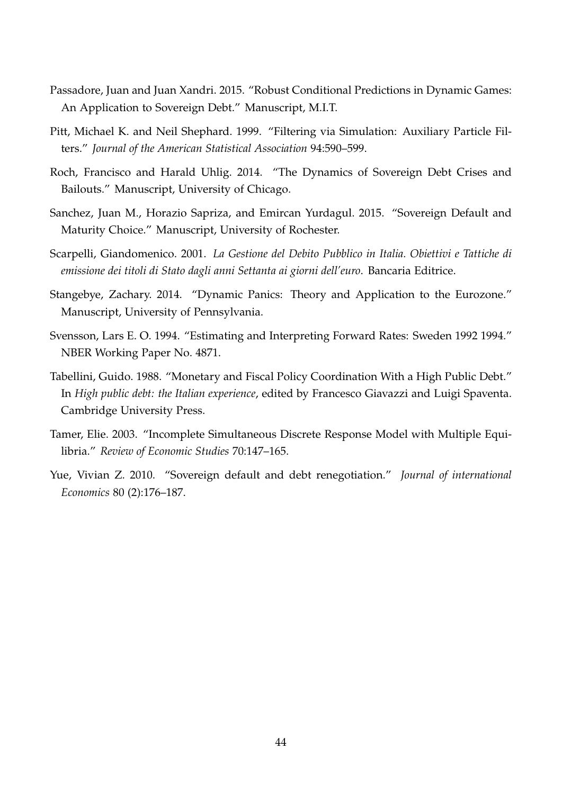- <span id="page-43-4"></span>Passadore, Juan and Juan Xandri. 2015. "Robust Conditional Predictions in Dynamic Games: An Application to Sovereign Debt." Manuscript, M.I.T.
- <span id="page-43-9"></span>Pitt, Michael K. and Neil Shephard. 1999. "Filtering via Simulation: Auxiliary Particle Filters." *Journal of the American Statistical Association* 94:590–599.
- <span id="page-43-0"></span>Roch, Francisco and Harald Uhlig. 2014. "The Dynamics of Sovereign Debt Crises and Bailouts." Manuscript, University of Chicago.
- <span id="page-43-2"></span>Sanchez, Juan M., Horazio Sapriza, and Emircan Yurdagul. 2015. "Sovereign Default and Maturity Choice." Manuscript, University of Rochester.
- <span id="page-43-7"></span>Scarpelli, Giandomenico. 2001. *La Gestione del Debito Pubblico in Italia. Obiettivi e Tattiche di emissione dei titoli di Stato dagli anni Settanta ai giorni dell'euro*. Bancaria Editrice.
- <span id="page-43-1"></span>Stangebye, Zachary. 2014. "Dynamic Panics: Theory and Application to the Eurozone." Manuscript, University of Pennsylvania.
- <span id="page-43-6"></span>Svensson, Lars E. O. 1994. "Estimating and Interpreting Forward Rates: Sweden 1992 1994." NBER Working Paper No. 4871.
- <span id="page-43-8"></span>Tabellini, Guido. 1988. "Monetary and Fiscal Policy Coordination With a High Public Debt." In *High public debt: the Italian experience*, edited by Francesco Giavazzi and Luigi Spaventa. Cambridge University Press.
- <span id="page-43-3"></span>Tamer, Elie. 2003. "Incomplete Simultaneous Discrete Response Model with Multiple Equilibria." *Review of Economic Studies* 70:147–165.
- <span id="page-43-5"></span>Yue, Vivian Z. 2010. "Sovereign default and debt renegotiation." *Journal of international Economics* 80 (2):176–187.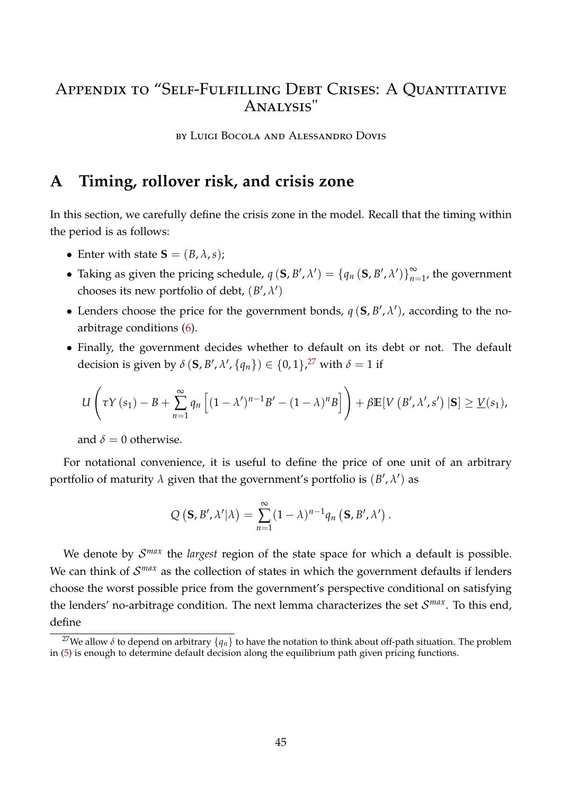# Appendix to "Self-Fulfilling Debt Crises: A Quantitative Analysis"

by Luigi Bocola and Alessandro Dovis

# <span id="page-44-0"></span>**A Timing, rollover risk, and crisis zone**

In this section, we carefully define the crisis zone in the model. Recall that the timing within the period is as follows:

- Enter with state  $S = (B, \lambda, s)$ ;
- Taking as given the pricing schedule,  $q(S, B', \lambda') = \{q_n(S, B', \lambda')\}_{n=1}^{\infty}$  $\sum_{n=1}^{\infty}$ , the government chooses its new portfolio of debt,  $(B', \lambda')$
- Lenders choose the price for the government bonds,  $q(S, B', \lambda')$ , according to the noarbitrage conditions [\(6\)](#page-8-0).
- Finally, the government decides whether to default on its debt or not. The default decision is given by  $\delta(\mathbf{S}, B', \lambda', \{q_n\}) \in \{0, 1\}^{\mathcal{Z}'}$  with  $\delta = 1$  if

$$
U\left(\tau Y(s_1)-B+\sum_{n=1}^{\infty} q_n \left[ (1-\lambda')^{n-1}B' - (1-\lambda)^n B \right] \right)+\beta \mathbb{E}[V\left(B',\lambda',s'\right)|\mathbf{S}] \geq \underline{V}(s_1),
$$

and  $\delta = 0$  otherwise.

For notational convenience, it is useful to define the price of one unit of an arbitrary portfolio of maturity  $\lambda$  given that the government's portfolio is  $(B', \lambda')$  as

$$
Q(\mathbf{S},B',\lambda'|\lambda)=\sum_{n=1}^{\infty}(1-\lambda)^{n-1}q_n(\mathbf{S},B',\lambda').
$$

We denote by  $\mathcal{S}^{max}$  the *largest* region of the state space for which a default is possible. We can think of  $\mathcal{S}^{max}$  as the collection of states in which the government defaults if lenders choose the worst possible price from the government's perspective conditional on satisfying the lenders' no-arbitrage condition. The next lemma characterizes the set S *max*. To this end, define

<span id="page-44-1"></span><sup>&</sup>lt;sup>27</sup>We allow  $\delta$  to depend on arbitrary  $\{q_n\}$  to have the notation to think about off-path situation. The problem in [\(5\)](#page-7-1) is enough to determine default decision along the equilibrium path given pricing functions.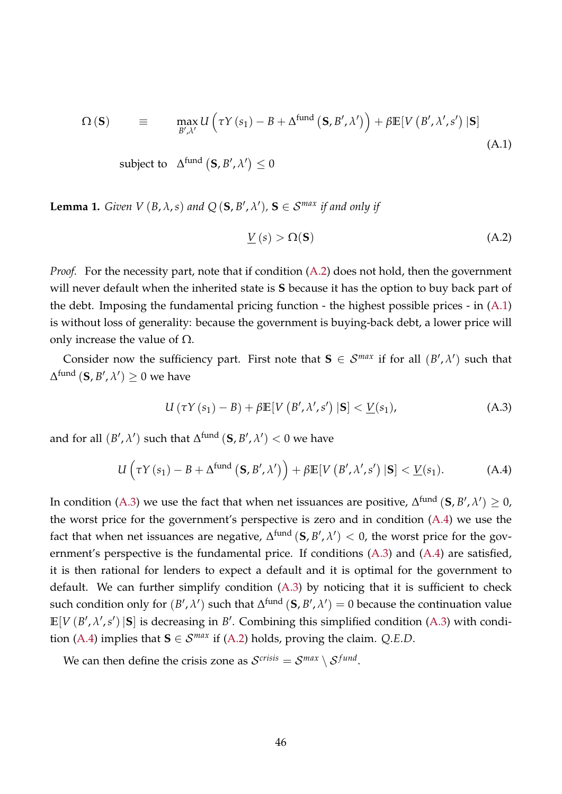<span id="page-45-1"></span>
$$
\Omega\left(\mathbf{S}\right) \equiv \max_{B',\lambda'} U\left(\tau Y\left(s_{1}\right)-B+\Delta^{\text{fund}}\left(\mathbf{S},B',\lambda'\right)\right)+\beta \mathbb{E}\left[V\left(B',\lambda',s'\right)\left|\mathbf{S}\right]\right]
$$
\n(A.1)

subject to  $\Delta^{\textrm{fund}}\left(\mathbf{S},B',\lambda'\right)\leq 0$ 

**Lemma 1.** *Given V* (*B*,  $\lambda$ , *s*) *and*  $Q$  (**S**,  $B'$ ,  $\lambda'$ ), **S**  $\in$  *S*<sup>*max*</sup> *if and only if* 

<span id="page-45-0"></span>
$$
\underline{V}(s) > \Omega(\mathbf{S}) \tag{A.2}
$$

*Proof.* For the necessity part, note that if condition [\(A.2\)](#page-45-0) does not hold, then the government will never default when the inherited state is **S** because it has the option to buy back part of the debt. Imposing the fundamental pricing function - the highest possible prices - in [\(A.1\)](#page-45-1) is without loss of generality: because the government is buying-back debt, a lower price will only increase the value of  $\Omega$ .

Consider now the sufficiency part. First note that  $S \in \mathcal{S}^{max}$  if for all  $(B', \lambda')$  such that  $\Delta^{\mathrm{fund}}\left(\mathbf{S},B',\lambda'\right)\geq0$  we have

<span id="page-45-3"></span><span id="page-45-2"></span>
$$
U(\tau Y(s_1) - B) + \beta \mathbb{E}[V(B', \lambda', s') | \mathbf{S}] < \underline{V}(s_1),
$$
\n(A.3)

and for all  $(B', \lambda')$  such that  $\Delta^{\textrm{fund}}\left(\mathbf{S}, B', \lambda'\right) < 0$  we have

$$
U\left(\tau Y\left(s_{1}\right)-B+\Delta^{\text{fund}}\left(\mathbf{S},B',\lambda'\right)\right)+\beta\mathbb{E}[V\left(B',\lambda',s'\right)|\mathbf{S}] < \underline{V}(s_{1}). \tag{A.4}
$$

In condition [\(A.3\)](#page-45-2) we use the fact that when net issuances are positive,  $\Delta^{\text{fund}}$   $(\mathbf{S}, B', \lambda') \geq 0$ , the worst price for the government's perspective is zero and in condition [\(A.4\)](#page-45-3) we use the fact that when net issuances are negative,  $\Delta^{\mathrm{fund}}\left(\mathbf{S},B',\lambda'\right)<0,$  the worst price for the government's perspective is the fundamental price. If conditions [\(A.3\)](#page-45-2) and [\(A.4\)](#page-45-3) are satisfied, it is then rational for lenders to expect a default and it is optimal for the government to default. We can further simplify condition [\(A.3\)](#page-45-2) by noticing that it is sufficient to check such condition only for  $(B', \lambda')$  such that  $\Delta^{\text{fund}}$   $(\mathbf{S}, B', \lambda') = 0$  because the continuation value  $\mathbb{E}[V(B', \lambda', s') | \mathbf{S}]$  is decreasing in *B*<sup> $\prime$ </sup>. Combining this simplified condition [\(A.3\)](#page-45-2) with condi-tion [\(A.4\)](#page-45-3) implies that  $S \in \mathcal{S}^{max}$  if [\(A.2\)](#page-45-0) holds, proving the claim. *Q.E.D.* 

We can then define the crisis zone as  $\mathcal{S}^{crisis} = \mathcal{S}^{max} \setminus \mathcal{S}^{fund}$ .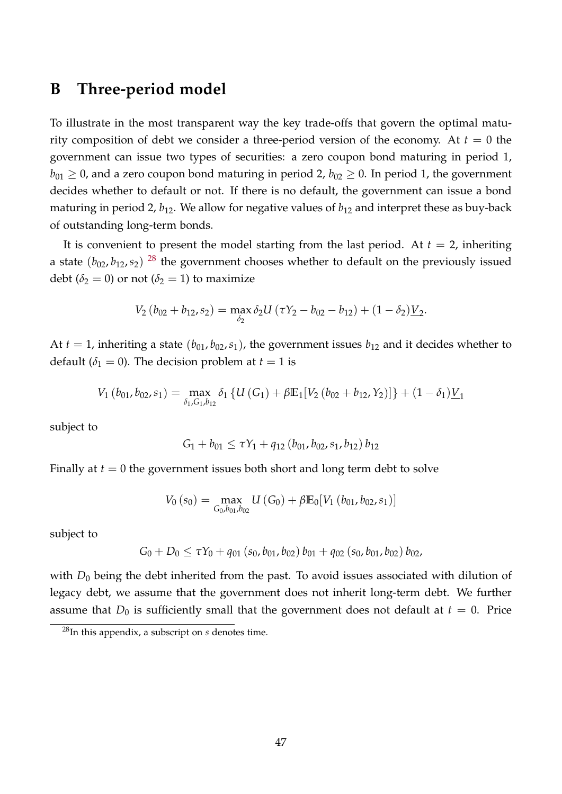### <span id="page-46-0"></span>**B Three-period model**

To illustrate in the most transparent way the key trade-offs that govern the optimal maturity composition of debt we consider a three-period version of the economy. At  $t = 0$  the government can issue two types of securities: a zero coupon bond maturing in period 1,  $b_{01} \ge 0$ , and a zero coupon bond maturing in period 2,  $b_{02} \ge 0$ . In period 1, the government decides whether to default or not. If there is no default, the government can issue a bond maturing in period 2,  $b_{12}$ . We allow for negative values of  $b_{12}$  and interpret these as buy-back of outstanding long-term bonds.

It is convenient to present the model starting from the last period. At  $t = 2$ , inheriting a state  $(b_{02}, b_{12}, s_2)$   $^{28}$  $^{28}$  $^{28}$  the government chooses whether to default on the previously issued debt ( $\delta_2 = 0$ ) or not ( $\delta_2 = 1$ ) to maximize

$$
V_2(b_{02}+b_{12},s_2)=\max_{\delta_2}\delta_2U(\tau Y_2-b_{02}-b_{12})+(1-\delta_2)\underline{V}_2.
$$

At  $t = 1$ , inheriting a state  $(b_{01}, b_{02}, s_1)$ , the government issues  $b_{12}$  and it decides whether to default ( $\delta_1 = 0$ ). The decision problem at  $t = 1$  is

$$
V_1(b_{01}, b_{02}, s_1) = \max_{\delta_1, G_1, b_{12}} \delta_1 \left\{ U\left(G_1\right) + \beta \mathbb{E}_1[V_2\left(b_{02} + b_{12}, Y_2\right)] \right\} + (1 - \delta_1) \underline{V}_1
$$

subject to

$$
G_1 + b_{01} \leq \tau Y_1 + q_{12} (b_{01}, b_{02}, s_1, b_{12}) b_{12}
$$

Finally at  $t = 0$  the government issues both short and long term debt to solve

$$
V_0(s_0) = \max_{G_0, b_{01}, b_{02}} U(G_0) + \beta \mathbb{E}_0[V_1(b_{01}, b_{02}, s_1)]
$$

subject to

$$
G_0 + D_0 \leq \tau Y_0 + q_{01} (s_0, b_{01}, b_{02}) b_{01} + q_{02} (s_0, b_{01}, b_{02}) b_{02},
$$

with  $D_0$  being the debt inherited from the past. To avoid issues associated with dilution of legacy debt, we assume that the government does not inherit long-term debt. We further assume that  $D_0$  is sufficiently small that the government does not default at  $t = 0$ . Price

<span id="page-46-1"></span><sup>28</sup>In this appendix, a subscript on *s* denotes time.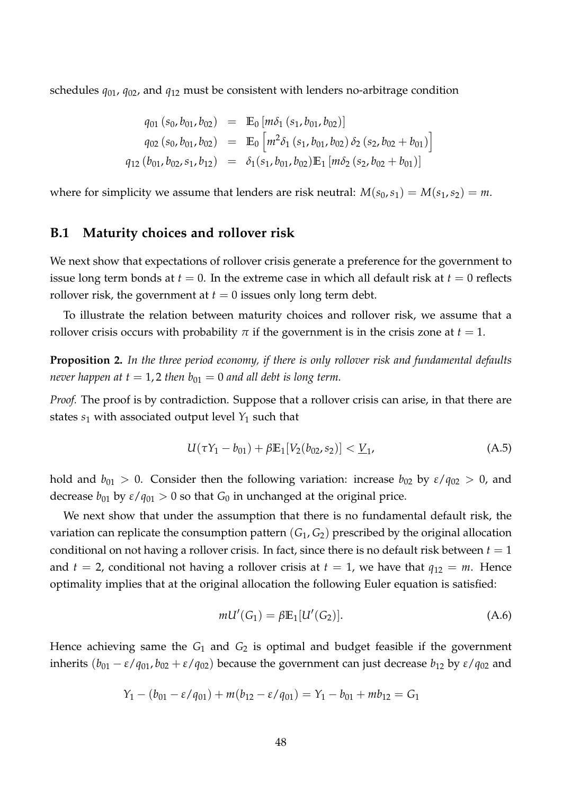schedules *q*01, *q*02, and *q*<sup>12</sup> must be consistent with lenders no-arbitrage condition

$$
q_{01}(s_0, b_{01}, b_{02}) = \mathbb{E}_0 [m\delta_1 (s_1, b_{01}, b_{02})]
$$
  
\n
$$
q_{02}(s_0, b_{01}, b_{02}) = \mathbb{E}_0 [m^2\delta_1 (s_1, b_{01}, b_{02}) \delta_2 (s_2, b_{02} + b_{01})]
$$
  
\n
$$
q_{12}(b_{01}, b_{02}, s_1, b_{12}) = \delta_1(s_1, b_{01}, b_{02}) \mathbb{E}_1 [m\delta_2 (s_2, b_{02} + b_{01})]
$$

where for simplicity we assume that lenders are risk neutral:  $M(s_0, s_1) = M(s_1, s_2) = m$ .

#### **B.1 Maturity choices and rollover risk**

We next show that expectations of rollover crisis generate a preference for the government to issue long term bonds at  $t = 0$ . In the extreme case in which all default risk at  $t = 0$  reflects rollover risk, the government at  $t = 0$  issues only long term debt.

To illustrate the relation between maturity choices and rollover risk, we assume that a rollover crisis occurs with probability  $\pi$  if the government is in the crisis zone at  $t = 1$ .

<span id="page-47-0"></span>**Proposition 2.** *In the three period economy, if there is only rollover risk and fundamental defaults never happen at t* = 1, 2 *then*  $b_{01} = 0$  *and all debt is long term.* 

*Proof.* The proof is by contradiction. Suppose that a rollover crisis can arise, in that there are states  $s_1$  with associated output level  $Y_1$  such that

<span id="page-47-1"></span>
$$
U(\tau Y_1 - b_{01}) + \beta \mathbb{E}_1[V_2(b_{02}, s_2)] < \underline{V}_1,\tag{A.5}
$$

hold and  $b_{01} > 0$ . Consider then the following variation: increase  $b_{02}$  by  $\varepsilon / q_{02} > 0$ , and decrease  $b_{01}$  by  $\varepsilon/q_{01} > 0$  so that  $G_0$  in unchanged at the original price.

We next show that under the assumption that there is no fundamental default risk, the variation can replicate the consumption pattern  $(G_1, G_2)$  prescribed by the original allocation conditional on not having a rollover crisis. In fact, since there is no default risk between  $t = 1$ and  $t = 2$ , conditional not having a rollover crisis at  $t = 1$ , we have that  $q_{12} = m$ . Hence optimality implies that at the original allocation the following Euler equation is satisfied:

<span id="page-47-2"></span>
$$
mU'(G_1) = \beta \mathbb{E}_1[U'(G_2)].
$$
\n(A.6)

Hence achieving same the  $G_1$  and  $G_2$  is optimal and budget feasible if the government inherits  $(b_{01} - \varepsilon/q_{01}, b_{02} + \varepsilon/q_{02})$  because the government can just decrease  $b_{12}$  by  $\varepsilon/q_{02}$  and

$$
Y_1 - (b_{01} - \varepsilon / q_{01}) + m(b_{12} - \varepsilon / q_{01}) = Y_1 - b_{01} + mb_{12} = G_1
$$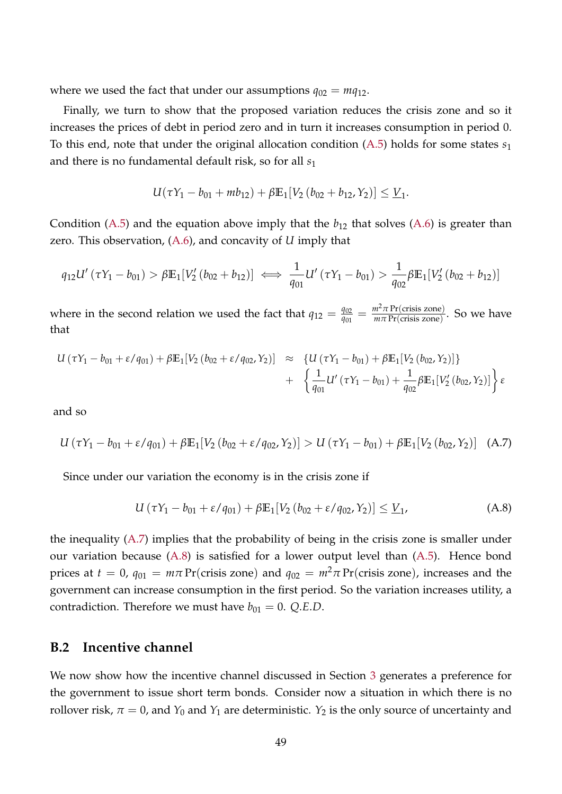where we used the fact that under our assumptions  $q_{02} = mq_{12}$ .

Finally, we turn to show that the proposed variation reduces the crisis zone and so it increases the prices of debt in period zero and in turn it increases consumption in period 0. To this end, note that under the original allocation condition [\(A.5\)](#page-47-1) holds for some states *s*<sup>1</sup> and there is no fundamental default risk, so for all *s*<sup>1</sup>

$$
U(\tau Y_1 - b_{01} + mb_{12}) + \beta \mathbb{E}_1[V_2(b_{02} + b_{12}, Y_2)] \leq \underline{V}_1.
$$

Condition [\(A.5\)](#page-47-1) and the equation above imply that the  $b_{12}$  that solves [\(A.6\)](#page-47-2) is greater than zero. This observation, [\(A.6\)](#page-47-2), and concavity of *U* imply that

$$
q_{12}U'(\tau Y_1 - b_{01}) > \beta \mathbb{E}_1[V_2'(b_{02} + b_{12})] \iff \frac{1}{q_{01}}U'(\tau Y_1 - b_{01}) > \frac{1}{q_{02}}\beta \mathbb{E}_1[V_2'(b_{02} + b_{12})]
$$

where in the second relation we used the fact that  $q_{12} = \frac{q_{02}}{q_{01}}$  $\frac{q_{02}}{q_{01}} = \frac{m^2 \pi \text{Pr(crisis zone)}}{m \pi \text{Pr(crisis zone)}}$  $\frac{m}{m\pi}$  Pr(crisis zone). So we have that

$$
U(\tau Y_1 - b_{01} + \varepsilon / q_{01}) + \beta \mathbb{E}_1[V_2(b_{02} + \varepsilon / q_{02}, Y_2)] \approx \{U(\tau Y_1 - b_{01}) + \beta \mathbb{E}_1[V_2(b_{02}, Y_2)]\} + \left\{\frac{1}{q_{01}}U'(\tau Y_1 - b_{01}) + \frac{1}{q_{02}}\beta \mathbb{E}_1[V_2'(b_{02}, Y_2)]\right\}\varepsilon
$$

<span id="page-48-0"></span>and so

$$
U(\tau Y_1 - b_{01} + \varepsilon / q_{01}) + \beta \mathbb{E}_1[V_2(b_{02} + \varepsilon / q_{02}, Y_2)] > U(\tau Y_1 - b_{01}) + \beta \mathbb{E}_1[V_2(b_{02}, Y_2)] \quad (A.7)
$$

Since under our variation the economy is in the crisis zone if

<span id="page-48-1"></span>
$$
U(\tau Y_1 - b_{01} + \varepsilon / q_{01}) + \beta \mathbb{E}_1[V_2(b_{02} + \varepsilon / q_{02}, Y_2)] \leq \underline{V}_1, \tag{A.8}
$$

the inequality [\(A.7\)](#page-48-0) implies that the probability of being in the crisis zone is smaller under our variation because [\(A.8\)](#page-48-1) is satisfied for a lower output level than [\(A.5\)](#page-47-1). Hence bond prices at  $t = 0$ ,  $q_{01} = m\pi$  Pr(crisis zone) and  $q_{02} = m^2\pi$  Pr(crisis zone), increases and the government can increase consumption in the first period. So the variation increases utility, a contradiction. Therefore we must have  $b_{01} = 0$ . *Q.E.D.* 

### **B.2 Incentive channel**

We now show how the incentive channel discussed in Section [3](#page-11-0) generates a preference for the government to issue short term bonds. Consider now a situation in which there is no rollover risk,  $\pi = 0$ , and  $Y_0$  and  $Y_1$  are deterministic.  $Y_2$  is the only source of uncertainty and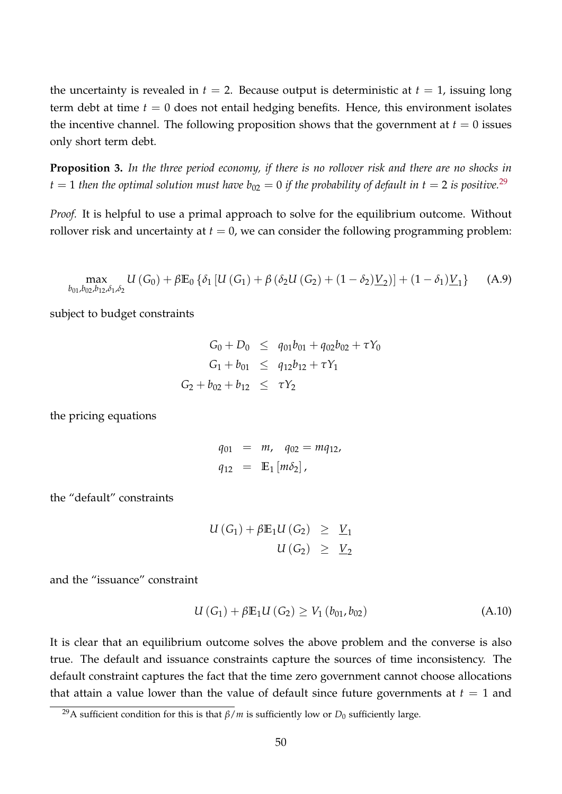the uncertainty is revealed in  $t = 2$ . Because output is deterministic at  $t = 1$ , issuing long term debt at time  $t = 0$  does not entail hedging benefits. Hence, this environment isolates the incentive channel. The following proposition shows that the government at  $t = 0$  issues only short term debt.

<span id="page-49-0"></span>**Proposition 3.** *In the three period economy, if there is no rollover risk and there are no shocks in*  $t = 1$  *then the optimal solution must have*  $b_{02} = 0$  *if the probability of default in t* = 2 *is positive.*<sup>[29](#page-49-1)</sup>

<span id="page-49-3"></span>*Proof.* It is helpful to use a primal approach to solve for the equilibrium outcome. Without rollover risk and uncertainty at  $t = 0$ , we can consider the following programming problem:

$$
\max_{b_{01},b_{02},b_{12},\delta_1,\delta_2} U(G_0) + \beta \mathbb{E}_0 \left\{ \delta_1 \left[ U(G_1) + \beta \left( \delta_2 U(G_2) + (1 - \delta_2) \underline{V}_2 \right) \right] + (1 - \delta_1) \underline{V}_1 \right\} \tag{A.9}
$$

subject to budget constraints

 $G_0 + D_0 \leq q_{01}b_{01} + q_{02}b_{02} + \tau Y_0$  $G_1 + b_{01} \leq q_{12}b_{12} + \tau Y_1$  $G_2 + b_{02} + b_{12} \leq \tau Y_2$ 

the pricing equations

$$
q_{01} = m, \quad q_{02} = mq_{12},
$$
  
 $q_{12} = \mathbb{E}_1 [m\delta_2],$ 

the "default" constraints

<span id="page-49-2"></span>
$$
U(G_1) + \beta \mathbb{E}_1 U(G_2) \geq \underline{V}_1
$$
  

$$
U(G_2) \geq \underline{V}_2
$$

and the "issuance" constraint

$$
U(G_1) + \beta E_1 U(G_2) \ge V_1(b_{01}, b_{02})
$$
 (A.10)

It is clear that an equilibrium outcome solves the above problem and the converse is also true. The default and issuance constraints capture the sources of time inconsistency. The default constraint captures the fact that the time zero government cannot choose allocations that attain a value lower than the value of default since future governments at  $t = 1$  and

<span id="page-49-1"></span><sup>&</sup>lt;sup>29</sup>A sufficient condition for this is that  $\beta/m$  is sufficiently low or *D*<sub>0</sub> sufficiently large.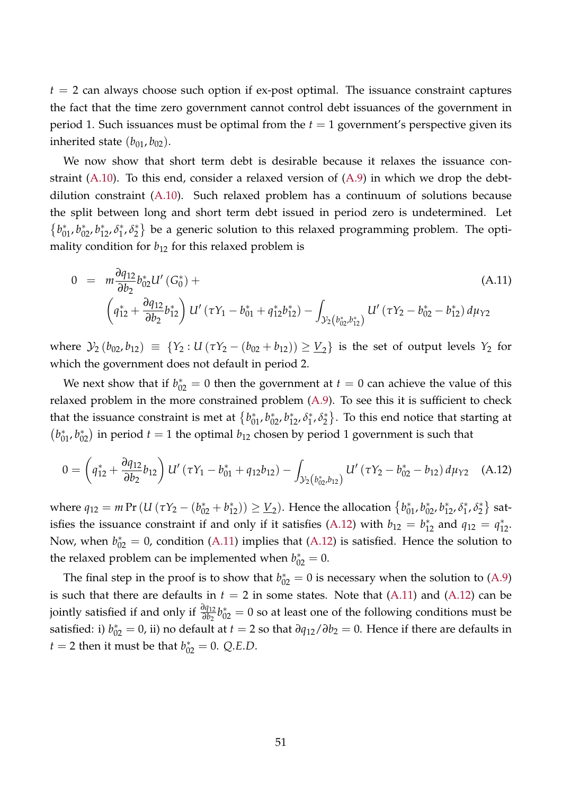$t = 2$  can always choose such option if ex-post optimal. The issuance constraint captures the fact that the time zero government cannot control debt issuances of the government in period 1. Such issuances must be optimal from the  $t = 1$  government's perspective given its inherited state  $(b_{01}, b_{02})$ .

We now show that short term debt is desirable because it relaxes the issuance constraint [\(A.10\)](#page-49-2). To this end, consider a relaxed version of [\(A.9\)](#page-49-3) in which we drop the debtdilution constraint [\(A.10\)](#page-49-2). Such relaxed problem has a continuum of solutions because the split between long and short term debt issued in period zero is undetermined. Let  $\{b_{01}^*, b_{02}^*, b_{12}^*, \delta_1^*$  $j^*$ ,  $\delta_2^*$  $\binom{*}{2}$  be a generic solution to this relaxed programming problem. The optimality condition for  $b_{12}$  for this relaxed problem is

<span id="page-50-1"></span>
$$
0 = m \frac{\partial q_{12}}{\partial b_2} b_{02}^* U'(G_0^*) +
$$
\n
$$
\left(q_{12}^* + \frac{\partial q_{12}}{\partial b_2} b_{12}^*\right) U'(7Y_1 - b_{01}^* + q_{12}^* b_{12}^*) - \int_{\mathcal{Y}_2\left(b_{02}^*, b_{12}^*\right)} U'(7Y_2 - b_{02}^* - b_{12}^*) d\mu_{Y2}
$$
\n(A.11)

where  $\mathcal{Y}_2(b_{02}, b_{12}) \equiv \{Y_2 : U(\tau Y_2 - (b_{02} + b_{12})) \geq V_2\}$  is the set of output levels  $Y_2$  for which the government does not default in period 2.

We next show that if  $b_{02}^* = 0$  then the government at  $t = 0$  can achieve the value of this relaxed problem in the more constrained problem [\(A.9\)](#page-49-3). To see this it is sufficient to check that the issuance constraint is met at  ${b_{01}^*, b_{02}^*, b_{12}^*, \delta_1^*}$  $j^*$ ,  $\delta_2^*$  $\binom{*}{2}$ . To this end notice that starting at  $(b_{01}^*, b_{02}^*)$  in period  $t = 1$  the optimal  $b_{12}$  chosen by period 1 government is such that

<span id="page-50-0"></span>
$$
0 = \left(q_{12}^* + \frac{\partial q_{12}}{\partial b_2} b_{12}\right) U'\left(\tau Y_1 - b_{01}^* + q_{12} b_{12}\right) - \int_{\mathcal{Y}_2\left(b_{02}^*, b_{12}\right)} U'\left(\tau Y_2 - b_{02}^* - b_{12}\right) d\mu_{Y2} \quad (A.12)
$$

where  $q_{12} = m \Pr (U ( \tau Y_2 - (b_{02}^* + b_{12}^*)) \geq \underline{V}_2 )$ . Hence the allocation  ${b_{01}^*, b_{02}^*, b_{12}^*, \delta_1^*}$  $j_1^*, \delta_2^*$  $\binom{*}{2}$  sat-isfies the issuance constraint if and only if it satisfies [\(A.12\)](#page-50-0) with  $b_{12} = b_{12}^*$  and  $q_{12} = q_{12}^*$ . Now, when  $b_{02}^* = 0$ , condition [\(A.11\)](#page-50-1) implies that [\(A.12\)](#page-50-0) is satisfied. Hence the solution to the relaxed problem can be implemented when  $b_{02}^* = 0$ .

The final step in the proof is to show that  $b_{02}^* = 0$  is necessary when the solution to [\(A.9\)](#page-49-3) is such that there are defaults in  $t = 2$  in some states. Note that  $(A.11)$  and  $(A.12)$  can be jointly satisfied if and only if  $\frac{\partial q_{12}}{\partial b_2}b_{02}^*=0$  so at least one of the following conditions must be satisfied: i)  $b_{02}^* = 0$ , ii) no default at  $t = 2$  so that  $\partial q_{12}/\partial b_2 = 0$ . Hence if there are defaults in  $t = 2$  then it must be that  $b_{02}^* = 0$ . *Q.E.D.*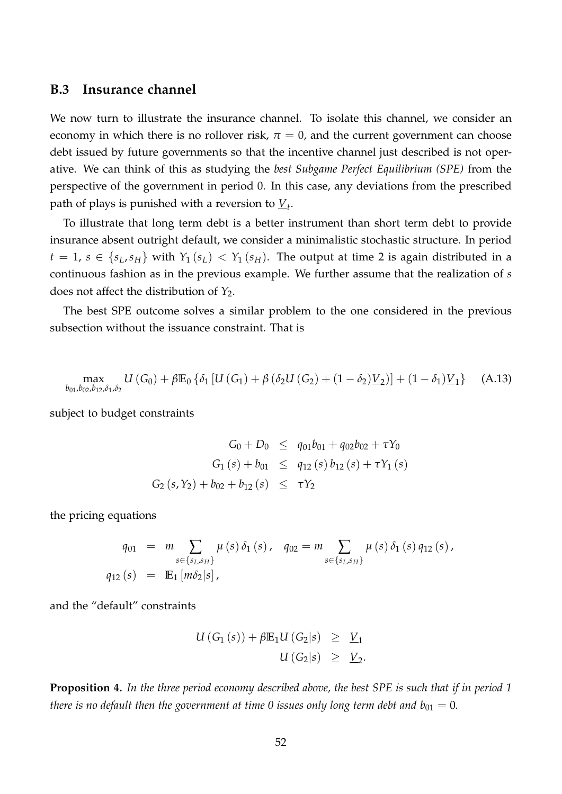### **B.3 Insurance channel**

We now turn to illustrate the insurance channel. To isolate this channel, we consider an economy in which there is no rollover risk,  $\pi = 0$ , and the current government can choose debt issued by future governments so that the incentive channel just described is not operative. We can think of this as studying the *best Subgame Perfect Equilibrium (SPE)* from the perspective of the government in period 0. In this case, any deviations from the prescribed path of plays is punished with a reversion to *V<sup>t</sup>* .

To illustrate that long term debt is a better instrument than short term debt to provide insurance absent outright default, we consider a minimalistic stochastic structure. In period  $t = 1$ ,  $s \in \{s_L, s_H\}$  with  $Y_1(s_L) < Y_1(s_H)$ . The output at time 2 is again distributed in a continuous fashion as in the previous example. We further assume that the realization of *s* does not affect the distribution of *Y*2.

<span id="page-51-1"></span>The best SPE outcome solves a similar problem to the one considered in the previous subsection without the issuance constraint. That is

$$
\max_{b_{01},b_{02},b_{12},\delta_1,\delta_2} U(G_0) + \beta \mathbb{E}_0 \left\{ \delta_1 \left[ U(G_1) + \beta \left( \delta_2 U(G_2) + (1 - \delta_2) \underline{V}_2 \right) \right] + (1 - \delta_1) \underline{V}_1 \right\} \tag{A.13}
$$

subject to budget constraints

$$
G_0 + D_0 \leq q_{01}b_{01} + q_{02}b_{02} + \tau Y_0
$$
  
\n
$$
G_1(s) + b_{01} \leq q_{12}(s) b_{12}(s) + \tau Y_1(s)
$$
  
\n
$$
G_2(s, Y_2) + b_{02} + b_{12}(s) \leq \tau Y_2
$$

the pricing equations

$$
q_{01} = m \sum_{s \in \{s_L, s_H\}} \mu(s) \, \delta_1(s), \quad q_{02} = m \sum_{s \in \{s_L, s_H\}} \mu(s) \, \delta_1(s) \, q_{12}(s),
$$
  

$$
q_{12}(s) = \mathbb{E}_1 \left[ m \delta_2 |s \right],
$$

and the "default" constraints

<span id="page-51-2"></span>
$$
U(G_1(s)) + \beta \mathbb{E}_1 U(G_2|s) \geq \underline{V}_1
$$
  

$$
U(G_2|s) \geq \underline{V}_2.
$$

<span id="page-51-0"></span>**Proposition 4.** *In the three period economy described above, the best SPE is such that if in period 1 there is no default then the government at time 0 issues only long term debt and*  $b_{01} = 0$ *.*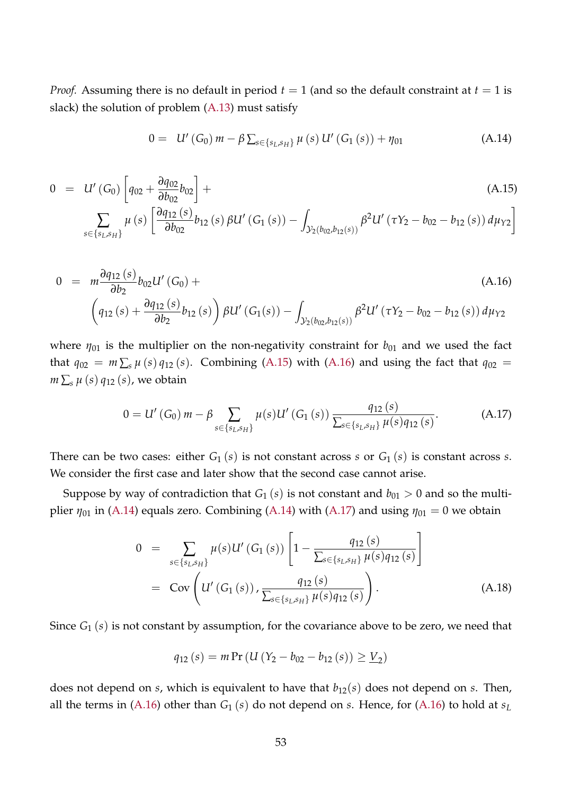*Proof.* Assuming there is no default in period  $t = 1$  (and so the default constraint at  $t = 1$  is slack) the solution of problem [\(A.13\)](#page-51-1) must satisfy

$$
0 = U'(G_0) m - \beta \sum_{s \in \{s_L, s_H\}} \mu(s) U'(G_1(s)) + \eta_{01}
$$
 (A.14)

<span id="page-52-0"></span>
$$
0 = U'(G_0) \left[ q_{02} + \frac{\partial q_{02}}{\partial b_{02}} b_{02} \right] +
$$
\n
$$
\sum_{s \in \{s_L, s_H\}} \mu(s) \left[ \frac{\partial q_{12}(s)}{\partial b_{02}} b_{12}(s) \beta U'(G_1(s)) - \int_{\mathcal{Y}_2(b_{02}, b_{12}(s))} \beta^2 U'(r\gamma_2 - b_{02} - b_{12}(s)) d\mu_{\gamma_2} \right]
$$
\n(A.15)

<span id="page-52-1"></span>
$$
0 = m \frac{\partial q_{12}(s)}{\partial b_2} b_{02} U'(G_0) +
$$
\n
$$
\left(q_{12}(s) + \frac{\partial q_{12}(s)}{\partial b_2} b_{12}(s)\right) \beta U'(G_1(s)) - \int_{\mathcal{Y}_2(b_{02}, b_{12}(s))} \beta^2 U'(TY_2 - b_{02} - b_{12}(s)) d\mu_{Y2}
$$
\n(A.16)

where  $\eta_{01}$  is the multiplier on the non-negativity constraint for  $b_{01}$  and we used the fact that  $q_{02} = m \sum_s \mu(s) q_{12}(s)$ . Combining [\(A.15\)](#page-52-0) with [\(A.16\)](#page-52-1) and using the fact that  $q_{02} =$  $m \sum_s \mu(s) q_{12}(s)$ , we obtain

<span id="page-52-2"></span>
$$
0 = U'(G_0) m - \beta \sum_{s \in \{s_L, s_H\}} \mu(s) U'(G_1(s)) \frac{q_{12}(s)}{\sum_{s \in \{s_L, s_H\}} \mu(s) q_{12}(s)}.
$$
 (A.17)

There can be two cases: either  $G_1(s)$  is not constant across *s* or  $G_1(s)$  is constant across *s*. We consider the first case and later show that the second case cannot arise.

Suppose by way of contradiction that  $G_1$  (*s*) is not constant and  $b_{01} > 0$  and so the multiplier  $\eta_{01}$  in [\(A.14\)](#page-51-2) equals zero. Combining (A.14) with [\(A.17\)](#page-52-2) and using  $\eta_{01} = 0$  we obtain

$$
0 = \sum_{s \in \{s_L, s_H\}} \mu(s) U'(G_1(s)) \left[ 1 - \frac{q_{12}(s)}{\sum_{s \in \{s_L, s_H\}} \mu(s) q_{12}(s)} \right]
$$
  
= Cov $\left( U'(G_1(s)) , \frac{q_{12}(s)}{\sum_{s \in \{s_L, s_H\}} \mu(s) q_{12}(s)} \right)$ . (A.18)

Since *G*<sup>1</sup> (*s*) is not constant by assumption, for the covariance above to be zero, we need that

$$
q_{12}(s) = m \Pr \left( U \left( Y_2 - b_{02} - b_{12}(s) \right) \geq \underline{V}_2 \right)
$$

does not depend on *s*, which is equivalent to have that *b*12(*s*) does not depend on *s*. Then, all the terms in [\(A.16\)](#page-52-1) other than  $G_1(s)$  do not depend on *s*. Hence, for (A.16) to hold at  $s_L$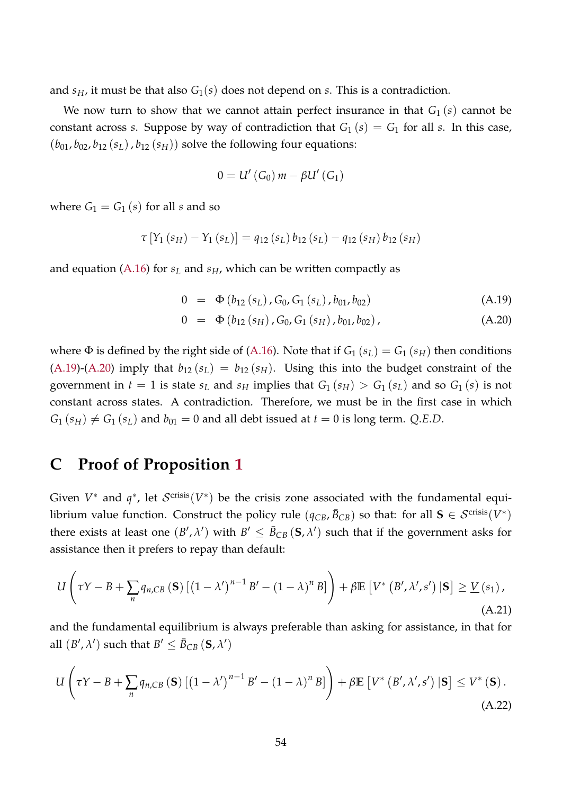and  $s_H$ , it must be that also  $G_1(s)$  does not depend on *s*. This is a contradiction.

We now turn to show that we cannot attain perfect insurance in that  $G_1(s)$  cannot be constant across *s*. Suppose by way of contradiction that  $G_1(s) = G_1$  for all *s*. In this case,  $(b_{01}, b_{02}, b_{12}(s_L), b_{12}(s_H))$  solve the following four equations:

$$
0=U'\left(G_0\right)m-\beta U'\left(G_1\right)
$$

where  $G_1 = G_1(s)$  for all *s* and so

$$
\tau[Y_1(s_H) - Y_1(s_L)] = q_{12}(s_L) b_{12}(s_L) - q_{12}(s_H) b_{12}(s_H)
$$

and equation [\(A.16\)](#page-52-1) for *s<sup>L</sup>* and *sH*, which can be written compactly as

<span id="page-53-1"></span>
$$
0 = \Phi(b_{12}(s_L), G_0, G_1(s_L), b_{01}, b_{02})
$$
 (A.19)

$$
0 = \Phi(b_{12}(s_H), G_0, G_1(s_H), b_{01}, b_{02}), \qquad (A.20)
$$

where  $\Phi$  is defined by the right side of [\(A.16\)](#page-52-1). Note that if  $G_1(s_L) = G_1(s_H)$  then conditions  $(A.19)-(A.20)$  $(A.19)-(A.20)$  $(A.19)-(A.20)$  imply that  $b_{12}(s_L) = b_{12}(s_H)$ . Using this into the budget constraint of the government in  $t = 1$  is state  $s_L$  and  $s_H$  implies that  $G_1(s_H) > G_1(s_L)$  and so  $G_1(s)$  is not constant across states. A contradiction. Therefore, we must be in the first case in which  $G_1$  ( $s_H$ )  $\neq G_1$  ( $s_L$ ) and  $b_{01} = 0$  and all debt issued at  $t = 0$  is long term. *Q.E.D.* 

# <span id="page-53-0"></span>**C Proof of Proposition [1](#page-37-2)**

Given  $V^*$  and  $q^*$ , let  $\mathcal{S}^{\text{crisis}}(V^*)$  be the crisis zone associated with the fundamental equilibrium value function. Construct the policy rule  $(q_{CB}, \bar{B}_{CB})$  so that: for all  $\mathbf{S} \in \mathcal{S}^{\text{crisis}}(V^*)$ there exists at least one  $(B', \lambda')$  with  $B' \le \bar{B}_{CB} (S, \lambda')$  such that if the government asks for assistance then it prefers to repay than default:

<span id="page-53-2"></span>
$$
U\left(\tau Y - B + \sum_{n} q_{n, CB} \left(\mathbf{S}\right) \left[\left(1 - \lambda'\right)^{n-1} B' - \left(1 - \lambda\right)^n B\right]\right) + \beta \mathbb{E}\left[V^* \left(B', \lambda', s'\right) \left|\mathbf{S}\right]\geq \underline{V}\left(s_1\right),\tag{A.21}
$$

and the fundamental equilibrium is always preferable than asking for assistance, in that for all  $(B', \lambda')$  such that  $B' \leq \bar{B}_{CB} (\mathbf{S}, \lambda')$ 

<span id="page-53-3"></span>
$$
U\left(\tau Y - B + \sum_{n} q_{n, CB} \left(\mathbf{S}\right) \left[\left(1 - \lambda'\right)^{n-1} B' - \left(1 - \lambda\right)^{n} B\right]\right) + \beta \mathbb{E}\left[V^{*}\left(B', \lambda', s'\right) \left|\mathbf{S}\right]\leq V^{*}\left(\mathbf{S}\right). \tag{A.22}
$$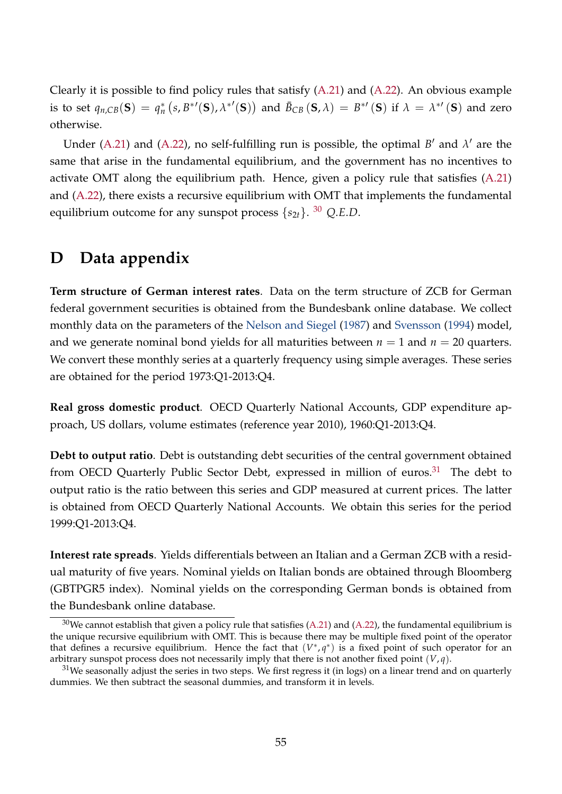Clearly it is possible to find policy rules that satisfy [\(A.21\)](#page-53-2) and [\(A.22\)](#page-53-3). An obvious example is to set  $q_{n, CB}(S) = q_n^* (s, B^{*'}(S), \lambda^{*'}(S))$  and  $\bar{B}_{CB}(S, \lambda) = B^{*'}(S)$  if  $\lambda = \lambda^{*'}(S)$  and zero otherwise.

Under [\(A.21\)](#page-53-2) and [\(A.22\)](#page-53-3), no self-fulfilling run is possible, the optimal  $B'$  and  $\lambda'$  are the same that arise in the fundamental equilibrium, and the government has no incentives to activate OMT along the equilibrium path. Hence, given a policy rule that satisfies [\(A.21\)](#page-53-2) and [\(A.22\)](#page-53-3), there exists a recursive equilibrium with OMT that implements the fundamental equilibrium outcome for any sunspot process {*s*2*t*}. [30](#page-54-1) *Q*.*E*.*D*.

### <span id="page-54-0"></span>**D Data appendix**

**Term structure of German interest rates**. Data on the term structure of ZCB for German federal government securities is obtained from the Bundesbank online database. We collect monthly data on the parameters of the [Nelson and Siegel](#page-42-11) [\(1987\)](#page-42-11) and [Svensson](#page-43-6) [\(1994\)](#page-43-6) model, and we generate nominal bond yields for all maturities between  $n = 1$  and  $n = 20$  quarters. We convert these monthly series at a quarterly frequency using simple averages. These series are obtained for the period 1973:Q1-2013:Q4.

**Real gross domestic product**. OECD Quarterly National Accounts, GDP expenditure approach, US dollars, volume estimates (reference year 2010), 1960:Q1-2013:Q4.

**Debt to output ratio**. Debt is outstanding debt securities of the central government obtained from OECD Quarterly Public Sector Debt, expressed in million of euros.<sup>[31](#page-54-2)</sup> The debt to output ratio is the ratio between this series and GDP measured at current prices. The latter is obtained from OECD Quarterly National Accounts. We obtain this series for the period 1999:Q1-2013:Q4.

**Interest rate spreads**. Yields differentials between an Italian and a German ZCB with a residual maturity of five years. Nominal yields on Italian bonds are obtained through Bloomberg (GBTPGR5 index). Nominal yields on the corresponding German bonds is obtained from the Bundesbank online database.

<span id="page-54-1"></span> $30$ We cannot establish that given a policy rule that satisfies [\(A.21\)](#page-53-2) and [\(A.22\)](#page-53-3), the fundamental equilibrium is the unique recursive equilibrium with OMT. This is because there may be multiple fixed point of the operator that defines a recursive equilibrium. Hence the fact that  $(V^*,q^*)$  is a fixed point of such operator for an arbitrary sunspot process does not necessarily imply that there is not another fixed point (*V*, *q*).

<span id="page-54-2"></span> $31$ We seasonally adjust the series in two steps. We first regress it (in logs) on a linear trend and on quarterly dummies. We then subtract the seasonal dummies, and transform it in levels.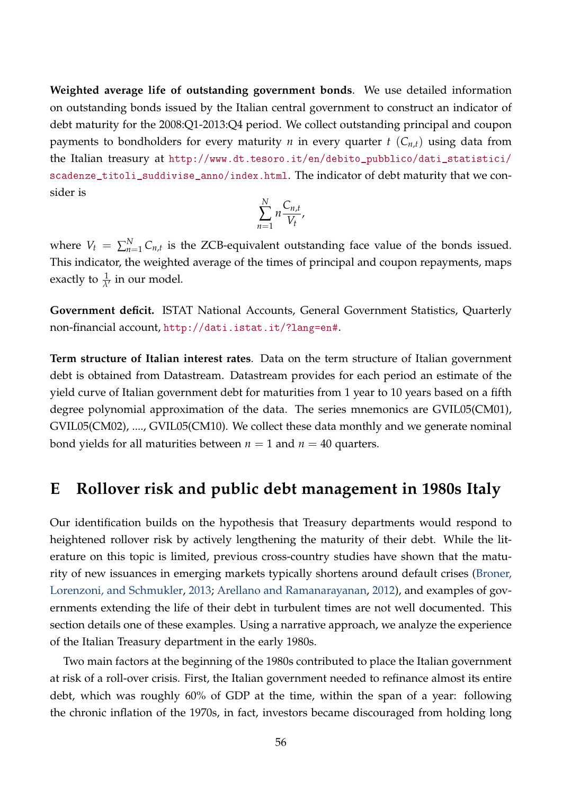**Weighted average life of outstanding government bonds**. We use detailed information on outstanding bonds issued by the Italian central government to construct an indicator of debt maturity for the 2008:Q1-2013:Q4 period. We collect outstanding principal and coupon payments to bondholders for every maturity *n* in every quarter  $t$  ( $C_{n,t}$ ) using data from the Italian treasury at [http://www.dt.tesoro.it/en/debito\\_pubblico/dati\\_statistici/](http://www.dt.tesoro.it/en/debito_pubblico/dati_statistici/scadenze_titoli_suddivise_anno/index.html) [scadenze\\_titoli\\_suddivise\\_anno/index.html](http://www.dt.tesoro.it/en/debito_pubblico/dati_statistici/scadenze_titoli_suddivise_anno/index.html). The indicator of debt maturity that we consider is

$$
\sum_{n=1}^N n \frac{C_{n,t}}{V_t},
$$

where  $V_t = \sum_{n=1}^{N} C_{n,t}$  is the ZCB-equivalent outstanding face value of the bonds issued. This indicator, the weighted average of the times of principal and coupon repayments, maps exactly to  $\frac{1}{\lambda'}$  in our model.

**Government deficit.** ISTAT National Accounts, General Government Statistics, Quarterly non-financial account, <http://dati.istat.it/?lang=en#>.

**Term structure of Italian interest rates**. Data on the term structure of Italian government debt is obtained from Datastream. Datastream provides for each period an estimate of the yield curve of Italian government debt for maturities from 1 year to 10 years based on a fifth degree polynomial approximation of the data. The series mnemonics are GVIL05(CM01), GVIL05(CM02), ...., GVIL05(CM10). We collect these data monthly and we generate nominal bond yields for all maturities between  $n = 1$  and  $n = 40$  quarters.

### <span id="page-55-0"></span>**E Rollover risk and public debt management in 1980s Italy**

Our identification builds on the hypothesis that Treasury departments would respond to heightened rollover risk by actively lengthening the maturity of their debt. While the literature on this topic is limited, previous cross-country studies have shown that the maturity of new issuances in emerging markets typically shortens around default crises [\(Broner,](#page-41-2) [Lorenzoni, and Schmukler,](#page-41-2) [2013;](#page-41-2) [Arellano and Ramanarayanan,](#page-40-2) [2012\)](#page-40-2), and examples of governments extending the life of their debt in turbulent times are not well documented. This section details one of these examples. Using a narrative approach, we analyze the experience of the Italian Treasury department in the early 1980s.

Two main factors at the beginning of the 1980s contributed to place the Italian government at risk of a roll-over crisis. First, the Italian government needed to refinance almost its entire debt, which was roughly 60% of GDP at the time, within the span of a year: following the chronic inflation of the 1970s, in fact, investors became discouraged from holding long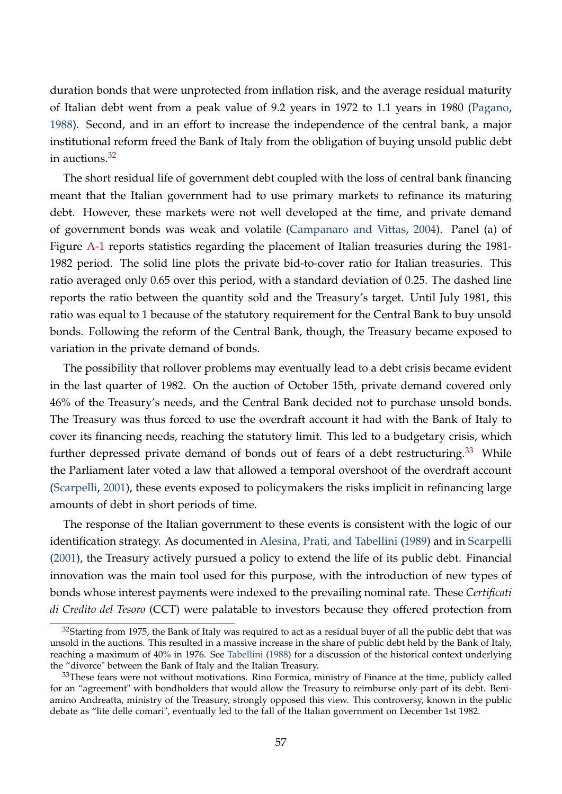duration bonds that were unprotected from inflation risk, and the average residual maturity of Italian debt went from a peak value of 9.2 years in 1972 to 1.1 years in 1980 [\(Pagano,](#page-42-12) [1988\)](#page-42-12). Second, and in an effort to increase the independence of the central bank, a major institutional reform freed the Bank of Italy from the obligation of buying unsold public debt in auctions.<sup>[32](#page-56-0)</sup>

The short residual life of government debt coupled with the loss of central bank financing meant that the Italian government had to use primary markets to refinance its maturing debt. However, these markets were not well developed at the time, and private demand of government bonds was weak and volatile [\(Campanaro and Vittas,](#page-41-14) [2004\)](#page-41-14). Panel (a) of Figure [A-1](#page-22-0) reports statistics regarding the placement of Italian treasuries during the 1981- 1982 period. The solid line plots the private bid-to-cover ratio for Italian treasuries. This ratio averaged only 0.65 over this period, with a standard deviation of 0.25. The dashed line reports the ratio between the quantity sold and the Treasury's target. Until July 1981, this ratio was equal to 1 because of the statutory requirement for the Central Bank to buy unsold bonds. Following the reform of the Central Bank, though, the Treasury became exposed to variation in the private demand of bonds.

The possibility that rollover problems may eventually lead to a debt crisis became evident in the last quarter of 1982. On the auction of October 15th, private demand covered only 46% of the Treasury's needs, and the Central Bank decided not to purchase unsold bonds. The Treasury was thus forced to use the overdraft account it had with the Bank of Italy to cover its financing needs, reaching the statutory limit. This led to a budgetary crisis, which further depressed private demand of bonds out of fears of a debt restructuring.<sup>[33](#page-56-1)</sup> While the Parliament later voted a law that allowed a temporal overshoot of the overdraft account [\(Scarpelli,](#page-43-7) [2001\)](#page-43-7), these events exposed to policymakers the risks implicit in refinancing large amounts of debt in short periods of time.

The response of the Italian government to these events is consistent with the logic of our identification strategy. As documented in [Alesina, Prati, and Tabellini](#page-40-5) [\(1989\)](#page-40-5) and in [Scarpelli](#page-43-7) [\(2001\)](#page-43-7), the Treasury actively pursued a policy to extend the life of its public debt. Financial innovation was the main tool used for this purpose, with the introduction of new types of bonds whose interest payments were indexed to the prevailing nominal rate. These *Certificati di Credito del Tesoro* (CCT) were palatable to investors because they offered protection from

<span id="page-56-0"></span><sup>&</sup>lt;sup>32</sup>Starting from 1975, the Bank of Italy was required to act as a residual buyer of all the public debt that was unsold in the auctions. This resulted in a massive increase in the share of public debt held by the Bank of Italy, reaching a maximum of 40% in 1976. See [Tabellini](#page-43-8) [\(1988\)](#page-43-8) for a discussion of the historical context underlying the "divorce" between the Bank of Italy and the Italian Treasury.

<span id="page-56-1"></span><sup>&</sup>lt;sup>33</sup>These fears were not without motivations. Rino Formica, ministry of Finance at the time, publicly called for an "agreement" with bondholders that would allow the Treasury to reimburse only part of its debt. Beniamino Andreatta, ministry of the Treasury, strongly opposed this view. This controversy, known in the public debate as "lite delle comari", eventually led to the fall of the Italian government on December 1st 1982.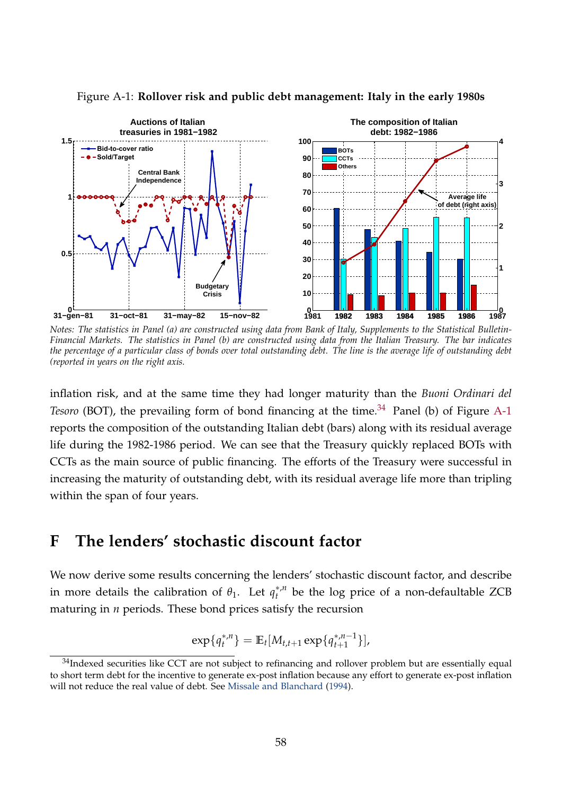

Figure A-1: **Rollover risk and public debt management: Italy in the early 1980s**

*Notes: The statistics in Panel (a) are constructed using data from Bank of Italy, Supplements to the Statistical Bulletin-Financial Markets. The statistics in Panel (b) are constructed using data from the Italian Treasury. The bar indicates the percentage of a particular class of bonds over total outstanding debt. The line is the average life of outstanding debt (reported in years on the right axis.*

inflation risk, and at the same time they had longer maturity than the *Buoni Ordinari del Tesoro* (BOT), the prevailing form of bond financing at the time.<sup>[34](#page-57-1)</sup> Panel (b) of Figure [A-1](#page-22-0) reports the composition of the outstanding Italian debt (bars) along with its residual average life during the 1982-1986 period. We can see that the Treasury quickly replaced BOTs with CCTs as the main source of public financing. The efforts of the Treasury were successful in increasing the maturity of outstanding debt, with its residual average life more than tripling within the span of four years.

### <span id="page-57-0"></span>**F The lenders' stochastic discount factor**

We now derive some results concerning the lenders' stochastic discount factor, and describe in more details the calibration of  $\theta_1$ . Let  $q_t^{*,n}$ *t* be the log price of a non-defaultable ZCB maturing in *n* periods. These bond prices satisfy the recursion

$$
\exp\{q_t^{*,n}\} = \mathbb{E}_t[M_{t,t+1}\exp\{q_{t+1}^{*,n-1}\}],
$$

<span id="page-57-1"></span> $34$ Indexed securities like CCT are not subject to refinancing and rollover problem but are essentially equal to short term debt for the incentive to generate ex-post inflation because any effort to generate ex-post inflation will not reduce the real value of debt. See [Missale and Blanchard](#page-42-13) [\(1994\)](#page-42-13).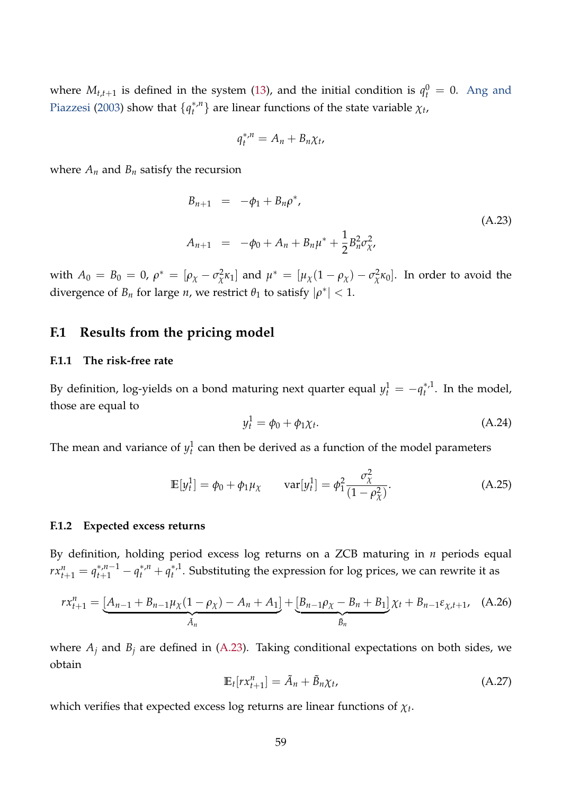where  $M_{t,t+1}$  is defined in the system [\(13\)](#page-15-2), and the initial condition is  $q_t^0 = 0$ . [Ang and](#page-40-4) [Piazzesi](#page-40-4) [\(2003\)](#page-40-4) show that  $\{q_t^{*,n}\}$  $\{f^{*,n}\}$  are linear functions of the state variable  $\chi_t$ ,

$$
q_t^{*,n} = A_n + B_n \chi_t,
$$

where  $A_n$  and  $B_n$  satisfy the recursion

<span id="page-58-0"></span>
$$
B_{n+1} = -\phi_1 + B_n \rho^*,
$$
  
\n
$$
A_{n+1} = -\phi_0 + A_n + B_n \mu^* + \frac{1}{2} B_n^2 \sigma_{\chi'}^2,
$$
\n(A.23)

with  $A_0 = B_0 = 0$ ,  $\rho^* = [\rho_\chi - \sigma_\chi^2]$ *z*<sup>2</sup> $\kappa_1$ ] and  $\mu^* = [\mu_\chi(1 - \rho_\chi) - \sigma_\chi^2]$  $\chi^2$ κ<sub>0</sub>]. In order to avoid the divergence of  $B_n$  for large *n*, we restrict  $\theta_1$  to satisfy  $|\rho^*| < 1$ .

### **F.1 Results from the pricing model**

#### **F.1.1 The risk-free rate**

By definition, log-yields on a bond maturing next quarter equal  $y_t^1 = -q_t^{*,1}$  $t^{*}$ . In the model, those are equal to

<span id="page-58-1"></span>
$$
y_t^1 = \phi_0 + \phi_1 \chi_t. \tag{A.24}
$$

The mean and variance of  $y_t^1$  can then be derived as a function of the model parameters

$$
\mathbb{E}[y_t^1] = \phi_0 + \phi_1 \mu_\chi \qquad \text{var}[y_t^1] = \phi_1^2 \frac{\sigma_\chi^2}{(1 - \rho_\chi^2)}.
$$
 (A.25)

#### **F.1.2 Expected excess returns**

By definition, holding period excess log returns on a ZCB maturing in *n* periods equal  $rx_{t+1}^n = q_{t+1}^{*,n-1} - q_t^{*,n} + q_t^{*,n}$  $t^{*,1}_{t}$ . Substituting the expression for log prices, we can rewrite it as

$$
rx_{t+1}^{n} = \underbrace{[A_{n-1} + B_{n-1} \mu_{\chi}(1 - \rho_{\chi}) - A_n + A_1]}_{\tilde{A}_n} + \underbrace{[B_{n-1} \rho_{\chi} - B_n + B_1]}_{\tilde{B}_n} \chi_t + B_{n-1} \varepsilon_{\chi, t+1}, \quad (A.26)
$$

where  $A_j$  and  $B_j$  are defined in [\(A.23\)](#page-58-0). Taking conditional expectations on both sides, we obtain

$$
\mathbb{E}_t[r x_{t+1}^n] = \tilde{A}_n + \tilde{B}_n \chi_t, \tag{A.27}
$$

which verifies that expected excess log returns are linear functions of *χ<sup>t</sup>* .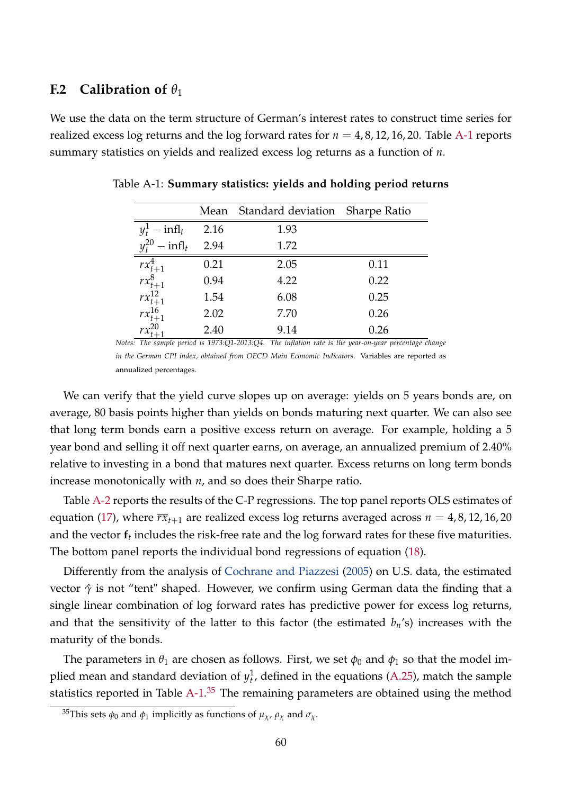### **F.2** Calibration of  $\theta_1$

We use the data on the term structure of German's interest rates to construct time series for realized excess log returns and the log forward rates for  $n = 4, 8, 12, 16, 20$ . Table [A-1](#page-19-0) reports summary statistics on yields and realized excess log returns as a function of *n*.

|                                |      | Mean Standard deviation Sharpe Ratio                                                                  |      |
|--------------------------------|------|-------------------------------------------------------------------------------------------------------|------|
| $y_t^1$ – infl <sub>t</sub>    | 2.16 | 1.93                                                                                                  |      |
| $y_t^{20}$ – infl <sub>t</sub> | 2.94 | 1.72                                                                                                  |      |
| $rx_{t+1}^4$                   | 0.21 | 2.05                                                                                                  | 0.11 |
| $rx_{t+1}^8$                   | 0.94 | 4.22                                                                                                  | 0.22 |
| $rx_{t+1}^{12}$                | 1.54 | 6.08                                                                                                  | 0.25 |
| $rx_{t+1}^{16}$                | 2.02 | 7.70                                                                                                  | 0.26 |
| $rx^{20}_{1}$                  | 2.40 | 9.14                                                                                                  | 0.26 |
|                                |      | Notes: The sample period is 1973:Q1-2013:Q4. The inflation rate is the year-on-year percentage change |      |

Table A-1: **Summary statistics: yields and holding period returns**

*in the German CPI index, obtained from OECD Main Economic Indicators*. Variables are reported as annualized percentages.

We can verify that the yield curve slopes up on average: yields on 5 years bonds are, on average, 80 basis points higher than yields on bonds maturing next quarter. We can also see that long term bonds earn a positive excess return on average. For example, holding a 5 year bond and selling it off next quarter earns, on average, an annualized premium of 2.40% relative to investing in a bond that matures next quarter. Excess returns on long term bonds increase monotonically with *n*, and so does their Sharpe ratio.

Table [A-2](#page-21-1) reports the results of the C-P regressions. The top panel reports OLS estimates of equation [\(17\)](#page-18-2), where  $\overline{rx}_{t+1}$  are realized excess log returns averaged across  $n = 4, 8, 12, 16, 20$ and the vector  $\mathbf{f}_t$  includes the risk-free rate and the log forward rates for these five maturities. The bottom panel reports the individual bond regressions of equation [\(18\)](#page-18-0).

Differently from the analysis of [Cochrane and Piazzesi](#page-41-11) [\(2005\)](#page-41-11) on U.S. data, the estimated vector *γ*ˆ is not "tent" shaped. However, we confirm using German data the finding that a single linear combination of log forward rates has predictive power for excess log returns, and that the sensitivity of the latter to this factor (the estimated *bn*'s) increases with the maturity of the bonds.

The parameters in  $\theta_1$  are chosen as follows. First, we set  $\phi_0$  and  $\phi_1$  so that the model implied mean and standard deviation of  $y_t^1$ , defined in the equations [\(A.25\)](#page-58-1), match the sample statistics reported in Table [A-1.](#page-19-0)<sup>[35](#page-59-0)</sup> The remaining parameters are obtained using the method

<span id="page-59-0"></span><sup>&</sup>lt;sup>35</sup>This sets  $\phi_0$  and  $\phi_1$  implicitly as functions of  $\mu_\chi$ ,  $\rho_\chi$  and  $\sigma_\chi$ .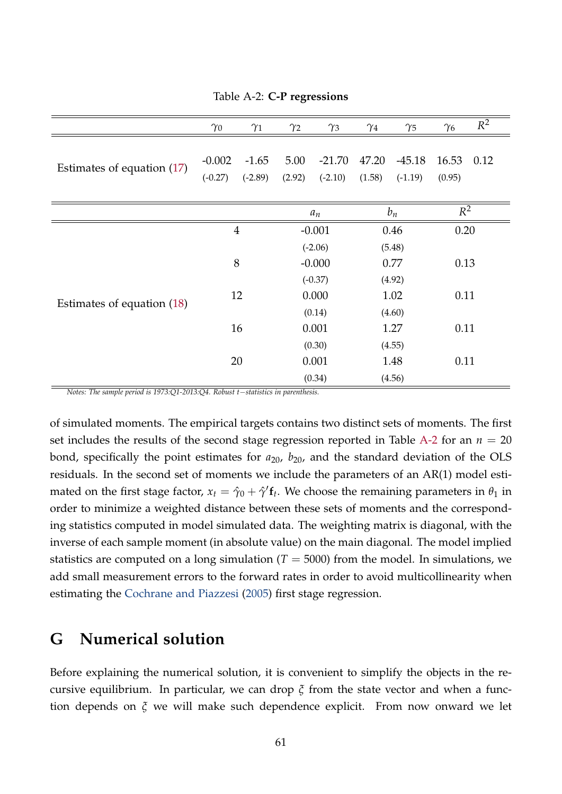|                            | $\gamma_0$     | $\gamma_1$ | $\gamma_2$ | $\gamma_3$ | $\gamma_4$ | $\gamma_5$ | $\gamma_6$ | $R^2$ |  |
|----------------------------|----------------|------------|------------|------------|------------|------------|------------|-------|--|
|                            | $-0.002$       | $-1.65$    | 5.00       | $-21.70$   | 47.20      | $-45.18$   | 16.53      | 0.12  |  |
| Estimates of equation (17) | $(-0.27)$      | $(-2.89)$  | (2.92)     | $(-2.10)$  | (1.58)     | $(-1.19)$  | (0.95)     |       |  |
|                            |                |            |            |            |            |            |            |       |  |
|                            |                |            |            | $a_n$      |            | $b_n$      |            | $R^2$ |  |
|                            | $\overline{4}$ |            |            | $-0.001$   |            | 0.46       |            | 0.20  |  |
|                            |                |            |            | $(-2.06)$  |            | (5.48)     |            |       |  |
|                            | 8              |            | $-0.000$   |            | 0.77       |            | 0.13       |       |  |
|                            |                |            | $(-0.37)$  |            | (4.92)     |            |            |       |  |
| Estimates of equation (18) | 12             |            | 0.000      |            | 1.02       |            | 0.11       |       |  |
|                            |                |            | (0.14)     |            | (4.60)     |            |            |       |  |
|                            | 16             |            | 0.001      |            | 1.27       |            | 0.11       |       |  |
|                            |                |            | (0.30)     |            | (4.55)     |            |            |       |  |
|                            | 20             |            |            | 0.001      | 1.48       |            | 0.11       |       |  |
|                            |                |            | (0.34)     |            | (4.56)     |            |            |       |  |

Table A-2: **C-P regressions**

*Notes: The sample period is 1973:Q1-2013:Q4. Robust t*−*statistics in parenthesis.*

of simulated moments. The empirical targets contains two distinct sets of moments. The first set includes the results of the second stage regression reported in Table [A-2](#page-21-1) for an  $n = 20$ bond, specifically the point estimates for  $a_{20}$ ,  $b_{20}$ , and the standard deviation of the OLS residuals. In the second set of moments we include the parameters of an AR(1) model estimated on the first stage factor,  $x_t = \hat{\gamma}_0 + \hat{\gamma}' \mathbf{f}_t$ . We choose the remaining parameters in  $\theta_1$  in order to minimize a weighted distance between these sets of moments and the corresponding statistics computed in model simulated data. The weighting matrix is diagonal, with the inverse of each sample moment (in absolute value) on the main diagonal. The model implied statistics are computed on a long simulation  $(T = 5000)$  from the model. In simulations, we add small measurement errors to the forward rates in order to avoid multicollinearity when estimating the [Cochrane and Piazzesi](#page-41-11) [\(2005\)](#page-41-11) first stage regression.

### <span id="page-60-0"></span>**G Numerical solution**

Before explaining the numerical solution, it is convenient to simplify the objects in the recursive equilibrium. In particular, we can drop *ξ* from the state vector and when a function depends on *ξ* we will make such dependence explicit. From now onward we let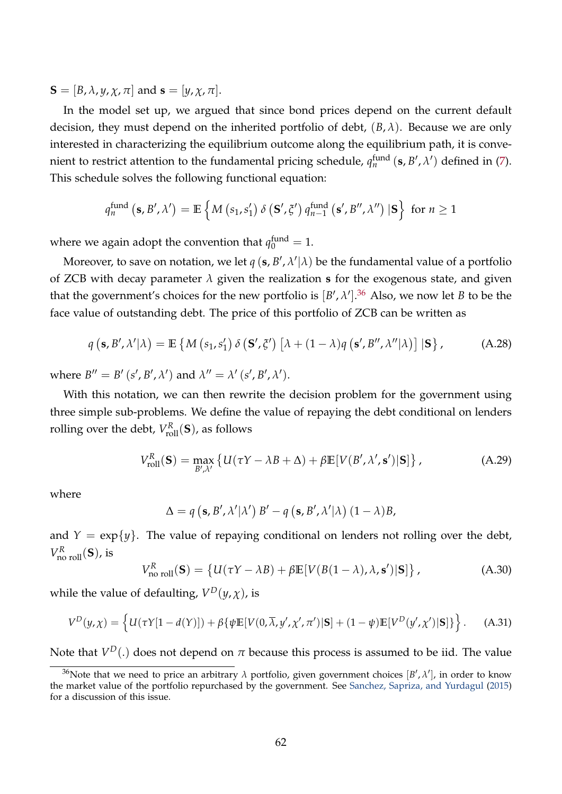$S = [B, \lambda, \gamma, \chi, \pi]$  and  $s = [\gamma, \chi, \pi]$ .

In the model set up, we argued that since bond prices depend on the current default decision, they must depend on the inherited portfolio of debt, (*B*, *λ*). Because we are only interested in characterizing the equilibrium outcome along the equilibrium path, it is convenient to restrict attention to the fundamental pricing schedule,  $q_n^{\text{fund}}(s, B', \lambda')$  defined in [\(7\)](#page-8-1). This schedule solves the following functional equation:

$$
q_n^{\text{fund}}\left(\mathbf{s},B',\lambda'\right)=\mathbb{E}\left\{M\left(s_1,s_1'\right)\delta\left(\mathbf{S'},\xi'\right)q_{n-1}^{\text{fund}}\left(\mathbf{s'},B'',\lambda''\right)|\mathbf{S}\right\} \text{ for } n\geq 1
$$

where we again adopt the convention that  $q_0^{\text{fund}} = 1$ .

Moreover, to save on notation, we let  $q$  (s,  $B', \lambda'|\lambda)$  be the fundamental value of a portfolio of ZCB with decay parameter *λ* given the realization **s** for the exogenous state, and given that the government's choices for the new portfolio is  $[B', \lambda']$ .<sup>[36](#page-61-0)</sup> Also, we now let *B* to be the face value of outstanding debt. The price of this portfolio of ZCB can be written as

$$
q\left(\mathbf{s},\mathbf{B}',\lambda'|\lambda\right) = \mathbb{E}\left\{M\left(s_1,s_1'\right)\delta\left(\mathbf{S}',\xi'\right)\left[\lambda+(1-\lambda)q\left(\mathbf{s}',\mathbf{B}'',\lambda''|\lambda\right)\right]|\mathbf{S}\right\},\tag{A.28}
$$

where  $B'' = B'$  (*s'*, *B'*,  $\lambda'$ ) and  $\lambda'' = \lambda'$  (*s'*,  $B'$ ,  $\lambda'$ ).

With this notation, we can then rewrite the decision problem for the government using three simple sub-problems. We define the value of repaying the debt conditional on lenders rolling over the debt,  $V_{\text{roll}}^R(\mathbf{S})$ , as follows

<span id="page-61-2"></span>
$$
V_{\text{roll}}^{R}(\mathbf{S}) = \max_{B',\lambda'} \left\{ U(\tau Y - \lambda B + \Delta) + \beta \mathbb{E}[V(B',\lambda',\mathbf{s}')|\mathbf{S}] \right\},\tag{A.29}
$$

where

<span id="page-61-1"></span>
$$
\Delta = q\left(\mathbf{s}, B', \lambda'|\lambda'\right)B' - q\left(\mathbf{s}, B', \lambda'|\lambda\right)(1-\lambda)B,
$$

and  $Y = \exp\{y\}$ . The value of repaying conditional on lenders not rolling over the debt,  $V_{\text{no roll}}^R(\mathbf{S})$ , is

<span id="page-61-3"></span>
$$
V_{\text{no roll}}^{R}(\mathbf{S}) = \left\{ U(\tau Y - \lambda B) + \beta \mathbb{E}[V(B(1 - \lambda), \lambda, \mathbf{s}')] \mathbf{S} \right\},\tag{A.30}
$$

while the value of defaulting,  $V^D(y, \chi)$ , is

$$
V^D(y,\chi) = \left\{ U(\tau Y[1-d(Y)]) + \beta \{ \psi \mathbb{E}[V(0,\overline{\lambda},y',\chi',\pi')]|\mathbf{S}] + (1-\psi)\mathbb{E}[V^D(y',\chi')|\mathbf{S}] \} \right\}.
$$
 (A.31)

Note that  $V^D(.)$  does not depend on  $\pi$  because this process is assumed to be iid. The value

<span id="page-61-0"></span><sup>&</sup>lt;sup>36</sup>Note that we need to price an arbitrary  $\lambda$  portfolio, given government choices  $[B',\lambda']$ , in order to know the market value of the portfolio repurchased by the government. See [Sanchez, Sapriza, and Yurdagul](#page-43-2) [\(2015\)](#page-43-2) for a discussion of this issue.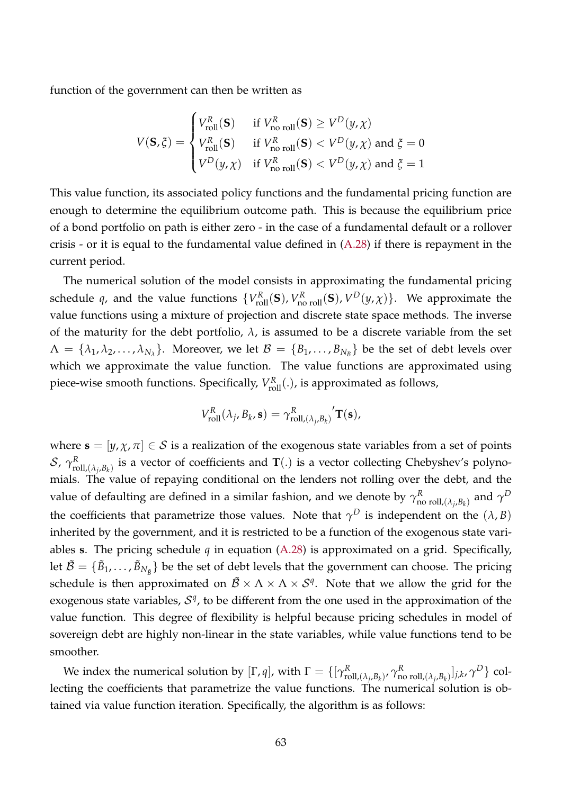function of the government can then be written as

$$
V(\mathbf{S}, \xi) = \begin{cases} V_{\text{roll}}^R(\mathbf{S}) & \text{if } V_{\text{no roll}}^R(\mathbf{S}) \ge V^D(y, \chi) \\ V_{\text{roll}}^R(\mathbf{S}) & \text{if } V_{\text{no roll}}^R(\mathbf{S}) < V^D(y, \chi) \text{ and } \xi = 0 \\ V^D(y, \chi) & \text{if } V_{\text{no roll}}^R(\mathbf{S}) < V^D(y, \chi) \text{ and } \xi = 1 \end{cases}
$$

This value function, its associated policy functions and the fundamental pricing function are enough to determine the equilibrium outcome path. This is because the equilibrium price of a bond portfolio on path is either zero - in the case of a fundamental default or a rollover crisis - or it is equal to the fundamental value defined in  $(A.28)$  if there is repayment in the current period.

The numerical solution of the model consists in approximating the fundamental pricing schedule *q*, and the value functions  $\{V_{\text{roll}}^R(\mathbf{S}), V_{\text{no roll}}^R(\mathbf{S}), V^D(y, \chi)\}$ . We approximate the value functions using a mixture of projection and discrete state space methods. The inverse of the maturity for the debt portfolio,  $\lambda$ , is assumed to be a discrete variable from the set  $\Lambda = \{\lambda_1, \lambda_2, ..., \lambda_{N_\lambda}\}.$  Moreover, we let  $\mathcal{B} = \{B_1, ..., B_{N_B}\}\)$  be the set of debt levels over which we approximate the value function. The value functions are approximated using piece-wise smooth functions. Specifically,  $V_{\text{roll}}^R(.)$ , is approximated as follows,

$$
V_{\text{roll}}^R(\lambda_j, B_k, \mathbf{s}) = \gamma_{\text{roll},(\lambda_j, B_k)}^R \mathbf{T}(\mathbf{s}),
$$

where  $\mathbf{s} = [y, \chi, \pi] \in \mathcal{S}$  is a realization of the exogenous state variables from a set of points  $\mathcal{S}$ ,  $\gamma_{\text{rc}}^R$  $R_{\text{roll},(\lambda_j,B_k)}$  is a vector of coefficients and  $\mathbf{T}(.)$  is a vector collecting Chebyshev's polynomials. The value of repaying conditional on the lenders not rolling over the debt, and the value of defaulting are defined in a similar fashion, and we denote by  $\gamma^R_{\mathsf{n}}$  $_{\rm no\ roll, (\lambda_j, B_k)}^R$  and  $\gamma^D$ the coefficients that parametrize those values. Note that  $\gamma^D$  is independent on the  $(\lambda, B)$ inherited by the government, and it is restricted to be a function of the exogenous state variables **s**. The pricing schedule *q* in equation [\(A.28\)](#page-61-1) is approximated on a grid. Specifically, let  $\tilde{\cal B} = \{\tilde{B}_1,\ldots,\tilde{B}_{N_{\tilde{B}}}\}$  be the set of debt levels that the government can choose. The pricing schedule is then approximated on  $\tilde{\cal B} \times \Lambda \times \Lambda \times {\cal S}^q$ . Note that we allow the grid for the exogenous state variables,  $S<sup>q</sup>$ , to be different from the one used in the approximation of the value function. This degree of flexibility is helpful because pricing schedules in model of sovereign debt are highly non-linear in the state variables, while value functions tend to be smoother.

We index the numerical solution by  $[\Gamma, q]$ , with  $\Gamma = \{[\gamma_{\text{rc}}^R \rangle]$  $_{\text{roll},(\lambda_j,B_k)}^R$ ,  $\gamma_\mathbf{n}^R$  $\{\begin{bmatrix}R\text{ non }-\text{roll},(\lambda_j,B_k)\end{bmatrix}$ *j,k*,  $\gamma^D\}$  collecting the coefficients that parametrize the value functions. The numerical solution is obtained via value function iteration. Specifically, the algorithm is as follows: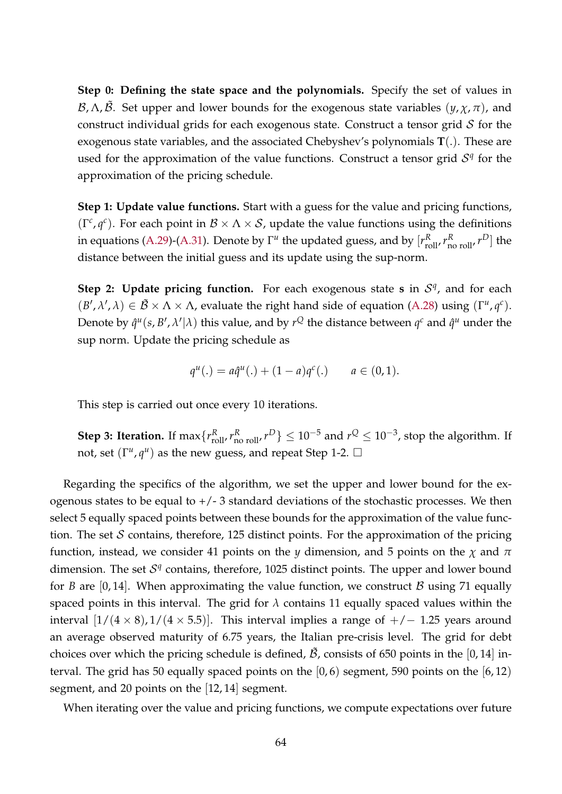**Step 0: Defining the state space and the polynomials.** Specify the set of values in B,  $Λ$ ,  $\tilde{B}$ . Set upper and lower bounds for the exogenous state variables  $(γ, χ, π)$ , and construct individual grids for each exogenous state. Construct a tensor grid  $S$  for the exogenous state variables, and the associated Chebyshev's polynomials **T**(.). These are used for the approximation of the value functions. Construct a tensor grid  $S<sup>q</sup>$  for the approximation of the pricing schedule.

**Step 1: Update value functions.** Start with a guess for the value and pricing functions, ( $\Gamma^c$ ,  $q^c$ ). For each point in  $\mathcal{B} \times \Lambda \times \mathcal{S}$ , update the value functions using the definitions in equations [\(A.29\)](#page-61-2)-[\(A.31\)](#page-61-3). Denote by  $\Gamma^u$  the updated guess, and by  $[r_{\text{roll}}^R, r_{\text{no roll}}^R, r^D]$  the distance between the initial guess and its update using the sup-norm.

**Step 2: Update pricing function.** For each exogenous state **s** in  $S<sup>q</sup>$ , and for each  $(B', \lambda', \lambda) \in \mathcal{B} \times \Lambda \times \Lambda$ , evaluate the right hand side of equation [\(A.28\)](#page-61-1) using ( $\Gamma^u$ ,  $q^c$ ). Denote by  $\hat{q}^u(s, B', \lambda'|\lambda)$  this value, and by  $r^\mathcal{Q}$  the distance between  $q^c$  and  $\hat{q}^u$  under the sup norm. Update the pricing schedule as

$$
q^{u}(.) = a\hat{q}^{u}(.) + (1-a)q^{c}(.) \qquad a \in (0,1).
$$

This step is carried out once every 10 iterations.

**Step 3: Iteration.** If  $\max\{r_{\text{roll}}^R, r_{\text{no roll}}^R, r^D\} \le 10^{-5}$  and  $r^Q \le 10^{-3}$ , stop the algorithm. If not, set  $(\Gamma^u, q^u)$  as the new guess, and repeat Step 1-2.  $\Box$ 

Regarding the specifics of the algorithm, we set the upper and lower bound for the exogenous states to be equal to  $+/-3$  standard deviations of the stochastic processes. We then select 5 equally spaced points between these bounds for the approximation of the value function. The set  $S$  contains, therefore, 125 distinct points. For the approximation of the pricing function, instead, we consider 41 points on the *y* dimension, and 5 points on the *χ* and *π* dimension. The set  $S<sup>q</sup>$  contains, therefore, 1025 distinct points. The upper and lower bound for *B* are [0, 14]. When approximating the value function, we construct *B* using 71 equally spaced points in this interval. The grid for  $\lambda$  contains 11 equally spaced values within the interval  $[1/(4 \times 8), 1/(4 \times 5.5)]$ . This interval implies a range of  $+/- 1.25$  years around an average observed maturity of 6.75 years, the Italian pre-crisis level. The grid for debt choices over which the pricing schedule is defined,  $\tilde{\beta}$ , consists of 650 points in the [0,14] interval. The grid has 50 equally spaced points on the  $[0, 6)$  segment, 590 points on the  $[6, 12)$ segment, and 20 points on the [12, 14] segment.

When iterating over the value and pricing functions, we compute expectations over future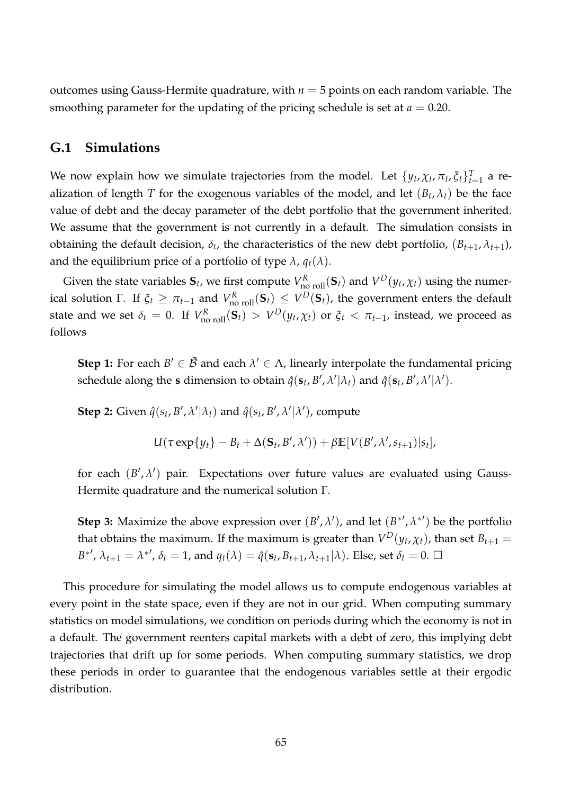outcomes using Gauss-Hermite quadrature, with  $n = 5$  points on each random variable. The smoothing parameter for the updating of the pricing schedule is set at  $a = 0.20$ .

### <span id="page-64-0"></span>**G.1 Simulations**

We now explain how we simulate trajectories from the model. Let  $\{y_t, \chi_t, \pi_t, \xi_t\}_{t=1}^T$  a realization of length *T* for the exogenous variables of the model, and let  $(B_t, \lambda_t)$  be the face value of debt and the decay parameter of the debt portfolio that the government inherited. We assume that the government is not currently in a default. The simulation consists in obtaining the default decision,  $\delta_t$ , the characteristics of the new debt portfolio,  $(B_{t+1}, \lambda_{t+1})$ , and the equilibrium price of a portfolio of type  $\lambda$ ,  $q_t(\lambda)$ .

Given the state variables  $S_t$ , we first compute  $V_{\text{no roll}}^R(S_t)$  and  $V^D(y_t, \chi_t)$  using the numerical solution Γ. If  $ξ_t ≥ π_{t-1}$  and  $V^R_{\text{no roll}}(S_t) ≤ V^D(S_t)$ , the government enters the default state and we set  $\delta_t = 0$ . If  $V_{\text{no roll}}^R(\mathbf{S}_t) > V^D(y_t, \chi_t)$  or  $\xi_t < \pi_{t-1}$ , instead, we proceed as follows

**Step 1:** For each  $B' \in \tilde{B}$  and each  $\lambda' \in \Lambda$ , linearly interpolate the fundamental pricing schedule along the **s** dimension to obtain  $\hat{q}(s_t, B', \lambda' | \lambda_t)$  and  $\hat{q}(s_t, B', \lambda' | \lambda')$ .

**Step 2:** Given  $\hat{q}(s_t, B', \lambda' | \lambda_t)$  and  $\hat{q}(s_t, B', \lambda' | \lambda')$ , compute

$$
U(\tau \exp\{y_t\} - B_t + \Delta(\mathbf{S}_t, B', \lambda')) + \beta \mathbb{E}[V(B', \lambda', s_{t+1})|s_t],
$$

for each  $(B', \lambda')$  pair. Expectations over future values are evaluated using Gauss-Hermite quadrature and the numerical solution Γ.

**Step 3:** Maximize the above expression over  $(B', \lambda')$ , and let  $(B^{*'} , \lambda^{*'} )$  be the portfolio that obtains the maximum. If the maximum is greater than  $V^D(y_t, \chi_t)$ , than set  $B_{t+1} =$  $B^*{}', \lambda_{t+1} = \lambda^*{}', \delta_t = 1$ , and  $q_t(\lambda) = \hat{q}(\mathbf{s}_t, B_{t+1}, \lambda_{t+1} | \lambda)$ . Else, set  $\delta_t = 0$ .  $\Box$ 

This procedure for simulating the model allows us to compute endogenous variables at every point in the state space, even if they are not in our grid. When computing summary statistics on model simulations, we condition on periods during which the economy is not in a default. The government reenters capital markets with a debt of zero, this implying debt trajectories that drift up for some periods. When computing summary statistics, we drop these periods in order to guarantee that the endogenous variables settle at their ergodic distribution.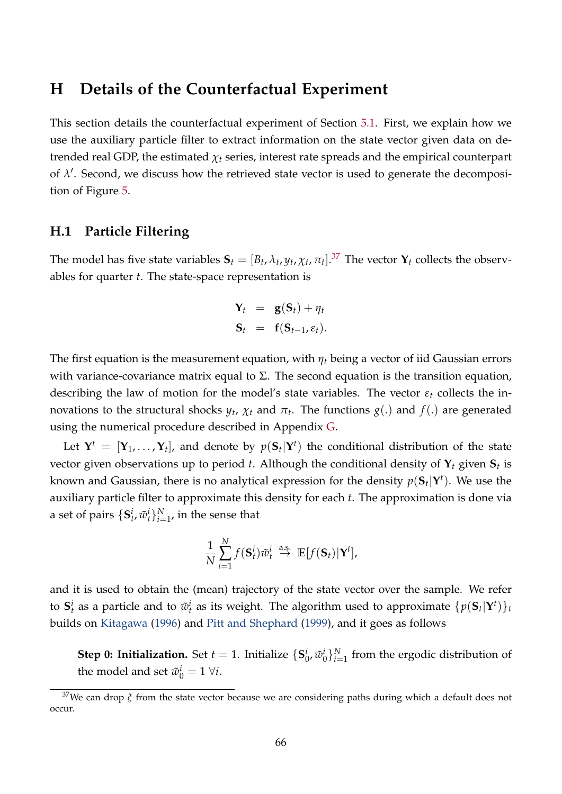### <span id="page-65-0"></span>**H Details of the Counterfactual Experiment**

This section details the counterfactual experiment of Section [5.1.](#page-28-0) First, we explain how we use the auxiliary particle filter to extract information on the state vector given data on detrended real GDP, the estimated  $\chi_t$  series, interest rate spreads and the empirical counterpart of  $\lambda'$ . Second, we discuss how the retrieved state vector is used to generate the decomposition of Figure [5.](#page-29-0)

### **H.1 Particle Filtering**

The model has five state variables  $S_t = [B_t, \lambda_t, y_t, \chi_t, \pi_t]$ .<sup>[37](#page-65-1)</sup> The vector  $\mathbf{Y}_t$  collects the observables for quarter *t*. The state-space representation is

$$
\mathbf{Y}_t = \mathbf{g}(\mathbf{S}_t) + \eta_t
$$
  

$$
\mathbf{S}_t = \mathbf{f}(\mathbf{S}_{t-1}, \varepsilon_t).
$$

The first equation is the measurement equation, with *η<sup>t</sup>* being a vector of iid Gaussian errors with variance-covariance matrix equal to  $\Sigma$ . The second equation is the transition equation, describing the law of motion for the model's state variables. The vector *ε<sup>t</sup>* collects the innovations to the structural shocks  $y_t$ ,  $\chi_t$  and  $\pi_t$ . The functions  $g(.)$  and  $f(.)$  are generated using the numerical procedure described in Appendix [G.](#page-60-0)

Let  $\mathbf{Y}^t = [\mathbf{Y}_1, \dots, \mathbf{Y}_t]$ , and denote by  $p(\mathbf{S}_t | \mathbf{Y}^t)$  the conditional distribution of the state vector given observations up to period *t*. Although the conditional density of **Y***<sup>t</sup>* given **S***<sup>t</sup>* is known and Gaussian, there is no analytical expression for the density  $p(\mathbf{S}_t|\mathbf{Y}^t).$  We use the auxiliary particle filter to approximate this density for each *t*. The approximation is done via a set of pairs  $\{\mathbf{S}_t^i, \tilde{w}_t^i\}_{i=1}^N$ , in the sense that

$$
\frac{1}{N}\sum_{i=1}^N f(\mathbf{S}_t^i)\tilde{w}_t^i \stackrel{\text{a.s.}}{\to} \mathbb{E}[f(\mathbf{S}_t)|\mathbf{Y}^t],
$$

and it is used to obtain the (mean) trajectory of the state vector over the sample. We refer to  $\mathbf{S}_t^i$  as a particle and to  $\tilde{w}_t^i$  as its weight. The algorithm used to approximate  $\{p(\mathbf{S}_t|\mathbf{Y}^t)\}_t$ builds on [Kitagawa](#page-42-14) [\(1996\)](#page-42-14) and [Pitt and Shephard](#page-43-9) [\(1999\)](#page-43-9), and it goes as follows

**Step 0: Initialization.** Set  $t = 1$ . Initialize  $\{S_i^i\}$  $_{0}^{i}$ ,  $\tilde{w}_{0}^{i}$  $\binom{i}{0}\}_{i=1}^N$  from the ergodic distribution of the model and set  $\tilde{w}_0^i = 1 \ \forall i$ .

<span id="page-65-1"></span><sup>37</sup>We can drop *ξ* from the state vector because we are considering paths during which a default does not occur.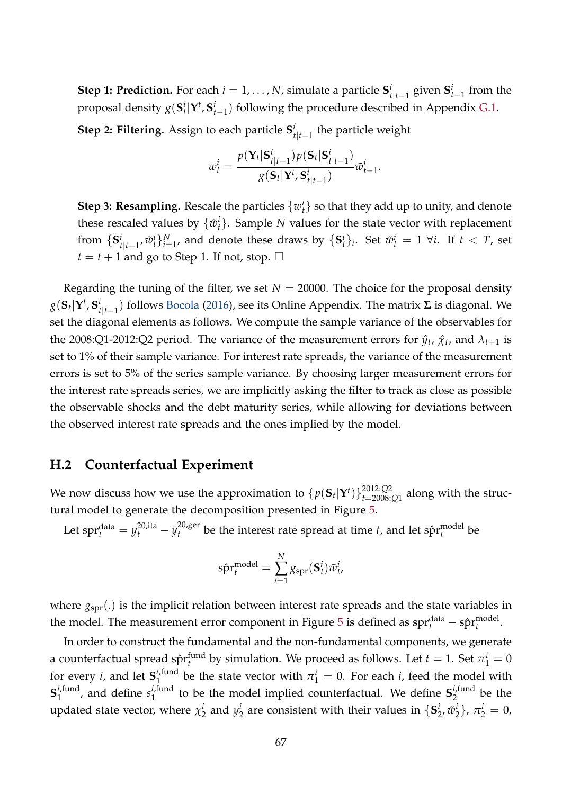**Step 1: Prediction.** For each  $i = 1, ..., N$ , simulate a particle  $S_i^i$  $\frac{i}{t|t-1}$  given  $\mathbf{S}_{t-1}^i$  from the proposal density  $g(\mathbf{S}_t^i|\mathbf{Y}^t,\mathbf{S}_{t-1}^i)$  following the procedure described in Appendix [G.1.](#page-64-0)

**Step 2: Filtering.** Assign to each particle **S** *i t*|*t*−1 the particle weight

$$
w_t^i = \frac{p(\mathbf{Y}_t|\mathbf{S}_{t|t-1}^i)p(\mathbf{S}_t|\mathbf{S}_{t|t-1}^i)}{g(\mathbf{S}_t|\mathbf{Y}^t,\mathbf{S}_{t|t-1}^i)}\tilde{w}_{t-1}^i.
$$

**Step 3: Resampling.** Rescale the particles  $\{w_t^i\}$  so that they add up to unity, and denote these rescaled values by  $\{\tilde{w}_t^i\}$ . Sample *N* values for the state vector with replacement from  $\{S_i^i\}$ *i*<sub>t|t−1</sub>,  $\tilde{w}_t^i$ } $_{i=1}^N$ , and denote these draws by  $\{{\bf S}_t^i\}_i$ . Set  $\tilde{w}_t^i = 1 \ \forall i.$  If  $t < T$ , set  $t = t + 1$  and go to Step 1. If not, stop.  $\Box$ 

Regarding the tuning of the filter, we set  $N = 20000$ . The choice for the proposal density  $g(\mathbf{S}_t|\mathbf{Y}^t,\mathbf{S}_t^i)$ *t*|*t*−1 ) follows [Bocola](#page-41-10) [\(2016\)](#page-41-10), see its Online Appendix. The matrix **Σ** is diagonal. We set the diagonal elements as follows. We compute the sample variance of the observables for the 2008:Q1-2012:Q2 period. The variance of the measurement errors for  $\hat{y}_t$ ,  $\hat{\chi}_t$ , and  $\lambda_{t+1}$  is set to 1% of their sample variance. For interest rate spreads, the variance of the measurement errors is set to 5% of the series sample variance. By choosing larger measurement errors for the interest rate spreads series, we are implicitly asking the filter to track as close as possible the observable shocks and the debt maturity series, while allowing for deviations between the observed interest rate spreads and the ones implied by the model.

#### **H.2 Counterfactual Experiment**

We now discuss how we use the approximation to  $\{p(\mathbf{S}_t|\mathbf{Y}^t)\}_{t=2008}^{2012:Q2}$  $t=2008:Q1$  along with the structural model to generate the decomposition presented in Figure [5.](#page-29-0)

Let  $\text{spr}_t^{\text{data}} = y_t^{20,\text{ita}} - y_t^{20,\text{ger}}$  $t_t^{\text{U,ger}}$  be the interest rate spread at time *t*, and let  $\hat{\text{spr}}_t^{\text{model}}$ *t* be

$$
\hat{\text{spr}}_t^{\text{model}} = \sum_{i=1}^N g_{\text{spr}}(\mathbf{S}_t^i) \tilde{w}_t^i
$$

where  $g_{spr}$ .) is the implicit relation between interest rate spreads and the state variables in the model. The measurement error component in Figure [5](#page-29-0) is defined as  $\text{spr}^{\text{data}}_t - \text{spr}^{\text{model}}_t$ *t* .

In order to construct the fundamental and the non-fundamental components, we generate a counterfactual spread s $\hat{\mathrm{pr}}_{t}^{\mathrm{fund}}$  $t_t^{\text{fund}}$  by simulation. We proceed as follows. Let  $t = 1$ . Set  $\pi_1^i = 0$ for every *i*, and let  $S_1^{i, \text{fund}}$  $n_1^{i,\text{tund}}$  be the state vector with  $\pi_1^i = 0$ . For each *i*, feed the model with  $S_1^{i,\text{fund}}$  $i$ , fund, and define  $s_1^{i, \text{fund}}$  $\epsilon_1$ <sup>*i*,fund</sup> to be the model implied counterfactual. We define  $S_2^{i, \text{fund}}$  $\frac{1}{2}$  be the updated state vector, where *χ i*  $i_2$  and  $y_2^i$  $\frac{i}{2}$  are consistent with their values in  $\{S_2^i\}$  $\frac{i}{2}$ ,  $\tilde{w}$ <sup>*i*</sup></sup>  $\{\pi_2^i\}, \pi_2^i = 0,$